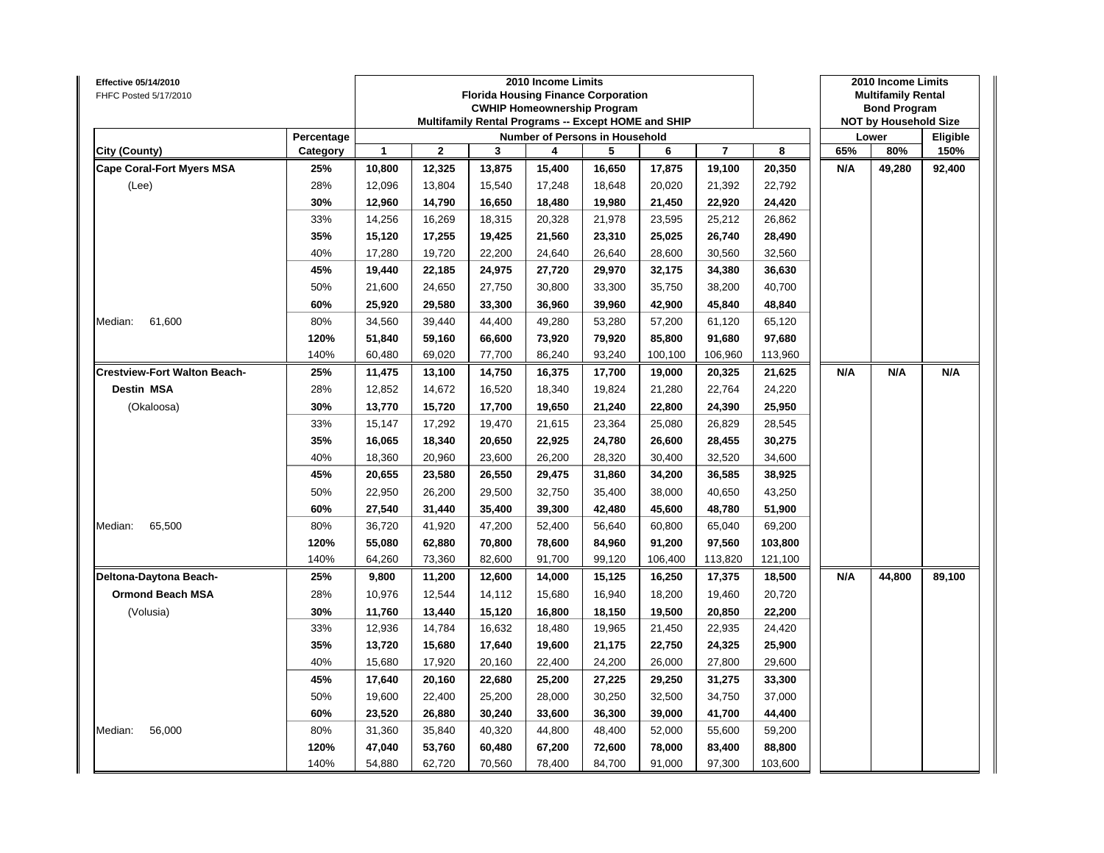| Effective 05/14/2010<br>FHFC Posted 5/17/2010 |                        |                  |             |        | 2010 Income Limits<br><b>Florida Housing Finance Corporation</b><br><b>CWHIP Homeownership Program</b><br>Multifamily Rental Programs -- Except HOME and SHIP |        |         |                |                  |     | 2010 Income Limits<br><b>Multifamily Rental</b><br><b>Bond Program</b><br><b>NOT by Household Size</b> |                  |
|-----------------------------------------------|------------------------|------------------|-------------|--------|---------------------------------------------------------------------------------------------------------------------------------------------------------------|--------|---------|----------------|------------------|-----|--------------------------------------------------------------------------------------------------------|------------------|
| City (County)                                 | Percentage<br>Category | 1                | $\mathbf 2$ | 3      | Number of Persons in Household<br>4                                                                                                                           | 5      | 6       | $\overline{7}$ | 8                | 65% | Lower<br>80%                                                                                           | Eligible<br>150% |
| <b>Cape Coral-Fort Myers MSA</b>              | 25%                    |                  | 12,325      | 13,875 | 15,400                                                                                                                                                        | 16,650 | 17,875  | 19,100         |                  | N/A | 49,280                                                                                                 |                  |
| (Lee)                                         | 28%                    | 10,800<br>12,096 | 13,804      | 15,540 | 17,248                                                                                                                                                        | 18,648 | 20,020  | 21,392         | 20,350<br>22,792 |     |                                                                                                        | 92,400           |
|                                               | 30%                    | 12,960           | 14,790      | 16,650 | 18,480                                                                                                                                                        | 19,980 | 21,450  | 22,920         | 24,420           |     |                                                                                                        |                  |
|                                               | 33%                    | 14,256           | 16,269      | 18,315 | 20,328                                                                                                                                                        | 21,978 | 23,595  | 25,212         | 26,862           |     |                                                                                                        |                  |
|                                               | 35%                    | 15,120           | 17,255      | 19,425 | 21,560                                                                                                                                                        | 23,310 | 25,025  | 26,740         | 28,490           |     |                                                                                                        |                  |
|                                               | 40%                    | 17,280           | 19,720      | 22,200 | 24,640                                                                                                                                                        | 26,640 | 28,600  | 30,560         | 32,560           |     |                                                                                                        |                  |
|                                               | 45%                    | 19,440           | 22,185      | 24,975 | 27,720                                                                                                                                                        | 29,970 | 32,175  | 34,380         | 36,630           |     |                                                                                                        |                  |
|                                               | 50%                    | 21,600           | 24,650      | 27,750 | 30,800                                                                                                                                                        | 33,300 | 35,750  | 38,200         | 40,700           |     |                                                                                                        |                  |
|                                               | 60%                    | 25,920           | 29,580      | 33,300 | 36,960                                                                                                                                                        | 39,960 | 42,900  | 45,840         | 48,840           |     |                                                                                                        |                  |
| 61,600<br>Median:                             | 80%                    | 34,560           | 39,440      | 44,400 | 49,280                                                                                                                                                        | 53,280 | 57,200  | 61,120         | 65,120           |     |                                                                                                        |                  |
|                                               | 120%                   | 51,840           | 59,160      | 66,600 | 73,920                                                                                                                                                        | 79,920 | 85,800  | 91,680         | 97,680           |     |                                                                                                        |                  |
|                                               | 140%                   | 60,480           | 69,020      | 77,700 | 86,240                                                                                                                                                        | 93,240 | 100,100 | 106,960        | 113,960          |     |                                                                                                        |                  |
| <b>Crestview-Fort Walton Beach-</b>           | 25%                    | 11,475           | 13,100      | 14,750 | 16,375                                                                                                                                                        | 17,700 | 19,000  | 20,325         | 21,625           | N/A | N/A                                                                                                    | N/A              |
| Destin MSA                                    | 28%                    | 12,852           | 14,672      | 16,520 | 18,340                                                                                                                                                        | 19,824 | 21,280  | 22,764         | 24,220           |     |                                                                                                        |                  |
| (Okaloosa)                                    | 30%                    | 13,770           | 15,720      | 17,700 | 19,650                                                                                                                                                        | 21,240 | 22,800  | 24,390         | 25,950           |     |                                                                                                        |                  |
|                                               | 33%                    | 15,147           | 17,292      | 19,470 | 21,615                                                                                                                                                        | 23,364 | 25,080  | 26,829         | 28,545           |     |                                                                                                        |                  |
|                                               | 35%                    | 16,065           | 18,340      | 20,650 | 22,925                                                                                                                                                        | 24,780 | 26,600  | 28,455         | 30,275           |     |                                                                                                        |                  |
|                                               | 40%                    | 18,360           | 20,960      | 23,600 | 26,200                                                                                                                                                        | 28,320 | 30,400  | 32,520         | 34,600           |     |                                                                                                        |                  |
|                                               | 45%                    | 20,655           | 23,580      | 26,550 | 29,475                                                                                                                                                        | 31,860 | 34,200  | 36,585         | 38,925           |     |                                                                                                        |                  |
|                                               | 50%                    | 22,950           | 26,200      | 29,500 | 32,750                                                                                                                                                        | 35,400 | 38,000  | 40,650         | 43,250           |     |                                                                                                        |                  |
|                                               | 60%                    | 27,540           | 31,440      | 35,400 | 39,300                                                                                                                                                        | 42,480 | 45,600  | 48,780         | 51,900           |     |                                                                                                        |                  |
| 65,500<br>Median:                             | 80%                    | 36,720           | 41,920      | 47,200 | 52,400                                                                                                                                                        | 56,640 | 60,800  | 65,040         | 69,200           |     |                                                                                                        |                  |
|                                               | 120%                   | 55,080           | 62,880      | 70,800 | 78,600                                                                                                                                                        | 84,960 | 91,200  | 97,560         | 103,800          |     |                                                                                                        |                  |
|                                               | 140%                   | 64,260           | 73,360      | 82,600 | 91,700                                                                                                                                                        | 99,120 | 106,400 | 113,820        | 121,100          |     |                                                                                                        |                  |
| Deltona-Daytona Beach-                        | 25%                    | 9,800            | 11,200      | 12,600 | 14,000                                                                                                                                                        | 15,125 | 16,250  | 17,375         | 18,500           | N/A | 44,800                                                                                                 | 89,100           |
| <b>Ormond Beach MSA</b>                       | 28%                    | 10,976           | 12,544      | 14,112 | 15,680                                                                                                                                                        | 16,940 | 18,200  | 19,460         | 20,720           |     |                                                                                                        |                  |
| (Volusia)                                     | 30%                    | 11,760           | 13,440      | 15,120 | 16,800                                                                                                                                                        | 18,150 | 19,500  | 20,850         | 22,200           |     |                                                                                                        |                  |
|                                               | 33%                    | 12,936           | 14,784      | 16,632 | 18,480                                                                                                                                                        | 19,965 | 21,450  | 22,935         | 24,420           |     |                                                                                                        |                  |
|                                               | 35%                    | 13,720           | 15,680      | 17,640 | 19,600                                                                                                                                                        | 21,175 | 22,750  | 24,325         | 25,900           |     |                                                                                                        |                  |
|                                               | 40%                    | 15,680           | 17,920      | 20,160 | 22,400                                                                                                                                                        | 24,200 | 26,000  | 27,800         | 29,600           |     |                                                                                                        |                  |
|                                               | 45%                    | 17,640           | 20,160      | 22,680 | 25,200                                                                                                                                                        | 27,225 | 29,250  | 31,275         | 33,300           |     |                                                                                                        |                  |
|                                               | 50%                    | 19,600           | 22,400      | 25,200 | 28,000                                                                                                                                                        | 30,250 | 32,500  | 34,750         | 37,000           |     |                                                                                                        |                  |
|                                               | 60%                    | 23,520           | 26,880      | 30,240 | 33,600                                                                                                                                                        | 36,300 | 39,000  | 41,700         | 44,400           |     |                                                                                                        |                  |
| Median:<br>56,000                             | 80%                    | 31,360           | 35,840      | 40,320 | 44,800                                                                                                                                                        | 48,400 | 52,000  | 55,600         | 59,200           |     |                                                                                                        |                  |
|                                               | 120%                   | 47,040           | 53,760      | 60,480 | 67,200                                                                                                                                                        | 72,600 | 78,000  | 83,400         | 88,800           |     |                                                                                                        |                  |
|                                               | 140%                   | 54,880           | 62,720      | 70,560 | 78,400                                                                                                                                                        | 84,700 | 91,000  | 97,300         | 103,600          |     |                                                                                                        |                  |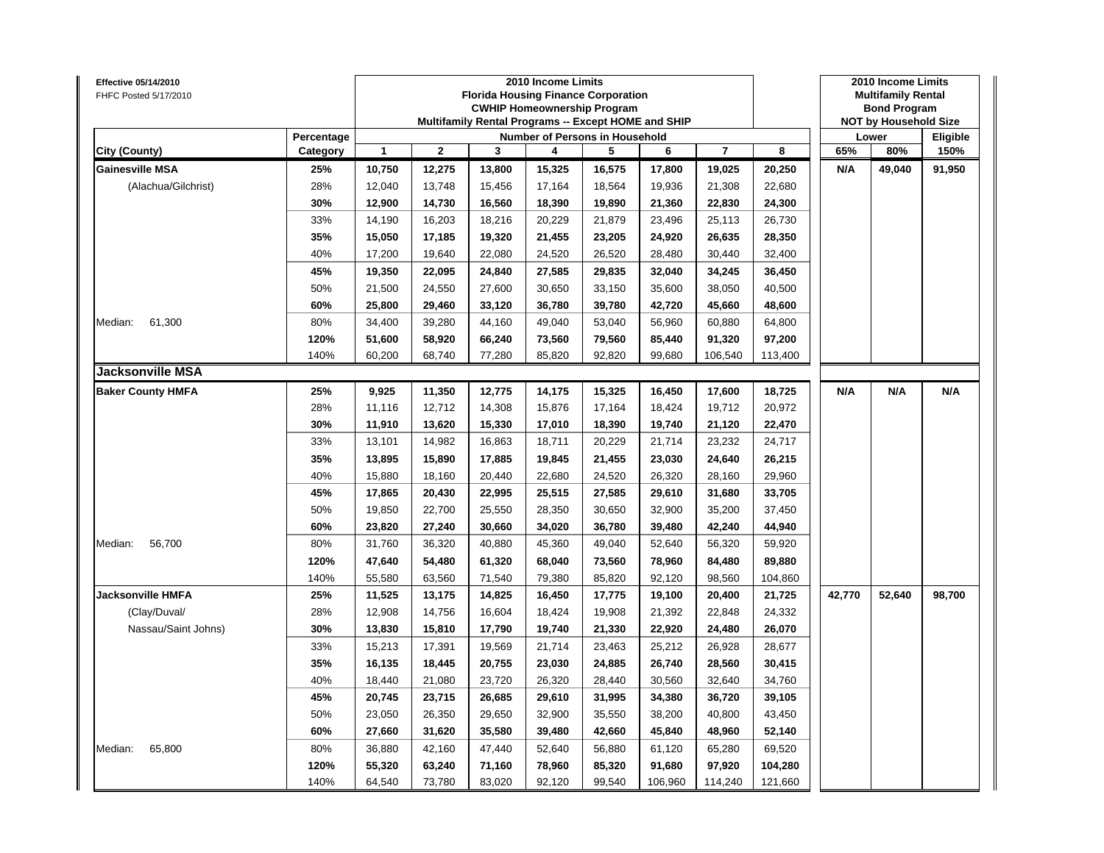| Effective 05/14/2010<br>FHFC Posted 5/17/2010 |            |              |                |        | 2010 Income Limits<br><b>Florida Housing Finance Corporation</b><br><b>CWHIP Homeownership Program</b><br>Multifamily Rental Programs -- Except HOME and SHIP |        |         |                |         |        | 2010 Income Limits<br><b>Multifamily Rental</b><br><b>Bond Program</b><br><b>NOT by Household Size</b> |                 |
|-----------------------------------------------|------------|--------------|----------------|--------|---------------------------------------------------------------------------------------------------------------------------------------------------------------|--------|---------|----------------|---------|--------|--------------------------------------------------------------------------------------------------------|-----------------|
|                                               | Percentage |              |                |        | Number of Persons in Household                                                                                                                                |        |         |                |         |        | Lower                                                                                                  | <b>Eligible</b> |
| City (County)                                 | Category   | $\mathbf{1}$ | $\overline{2}$ | 3      | 4                                                                                                                                                             | 5      | 6       | $\overline{7}$ | 8       | 65%    | 80%                                                                                                    | 150%            |
| <b>Gainesville MSA</b>                        | 25%        | 10,750       | 12,275         | 13,800 | 15,325                                                                                                                                                        | 16,575 | 17,800  | 19,025         | 20,250  | N/A    | 49,040                                                                                                 | 91,950          |
| (Alachua/Gilchrist)                           | 28%        | 12,040       | 13,748         | 15,456 | 17,164                                                                                                                                                        | 18,564 | 19,936  | 21,308         | 22,680  |        |                                                                                                        |                 |
|                                               | 30%        | 12,900       | 14,730         | 16,560 | 18,390                                                                                                                                                        | 19,890 | 21,360  | 22,830         | 24,300  |        |                                                                                                        |                 |
|                                               | 33%        | 14,190       | 16,203         | 18,216 | 20,229                                                                                                                                                        | 21,879 | 23,496  | 25,113         | 26,730  |        |                                                                                                        |                 |
|                                               | 35%        | 15,050       | 17,185         | 19,320 | 21,455                                                                                                                                                        | 23,205 | 24,920  | 26,635         | 28,350  |        |                                                                                                        |                 |
|                                               | 40%        | 17,200       | 19,640         | 22,080 | 24,520                                                                                                                                                        | 26,520 | 28,480  | 30,440         | 32,400  |        |                                                                                                        |                 |
|                                               | 45%        | 19,350       | 22,095         | 24,840 | 27,585                                                                                                                                                        | 29,835 | 32,040  | 34,245         | 36,450  |        |                                                                                                        |                 |
|                                               | 50%        | 21,500       | 24,550         | 27,600 | 30,650                                                                                                                                                        | 33,150 | 35,600  | 38,050         | 40,500  |        |                                                                                                        |                 |
|                                               | 60%        | 25,800       | 29,460         | 33,120 | 36,780                                                                                                                                                        | 39,780 | 42,720  | 45,660         | 48,600  |        |                                                                                                        |                 |
| Median:<br>61,300                             | 80%        | 34,400       | 39,280         | 44,160 | 49,040                                                                                                                                                        | 53,040 | 56,960  | 60,880         | 64,800  |        |                                                                                                        |                 |
|                                               | 120%       | 51,600       | 58,920         | 66,240 | 73,560                                                                                                                                                        | 79,560 | 85,440  | 91,320         | 97,200  |        |                                                                                                        |                 |
|                                               | 140%       | 60,200       | 68,740         | 77,280 | 85,820                                                                                                                                                        | 92,820 | 99,680  | 106,540        | 113,400 |        |                                                                                                        |                 |
| <b>Jacksonville MSA</b>                       |            |              |                |        |                                                                                                                                                               |        |         |                |         |        |                                                                                                        |                 |
| <b>Baker County HMFA</b>                      | 25%        | 9,925        | 11,350         | 12,775 | 14,175                                                                                                                                                        | 15,325 | 16,450  | 17,600         | 18,725  | N/A    | N/A                                                                                                    | N/A             |
|                                               | 28%        | 11,116       | 12,712         | 14,308 | 15,876                                                                                                                                                        | 17,164 | 18,424  | 19,712         | 20,972  |        |                                                                                                        |                 |
|                                               | 30%        | 11,910       | 13,620         | 15,330 | 17,010                                                                                                                                                        | 18,390 | 19,740  | 21,120         | 22,470  |        |                                                                                                        |                 |
|                                               | 33%        | 13,101       | 14,982         | 16,863 | 18,711                                                                                                                                                        | 20,229 | 21,714  | 23,232         | 24,717  |        |                                                                                                        |                 |
|                                               | 35%        | 13,895       | 15,890         | 17,885 | 19,845                                                                                                                                                        | 21,455 | 23,030  | 24,640         | 26,215  |        |                                                                                                        |                 |
|                                               | 40%        | 15,880       | 18,160         | 20,440 | 22,680                                                                                                                                                        | 24,520 | 26,320  | 28,160         | 29,960  |        |                                                                                                        |                 |
|                                               | 45%        | 17,865       | 20,430         | 22,995 | 25,515                                                                                                                                                        | 27,585 | 29,610  | 31,680         | 33,705  |        |                                                                                                        |                 |
|                                               | 50%        | 19,850       | 22,700         | 25,550 | 28,350                                                                                                                                                        | 30,650 | 32,900  | 35,200         | 37,450  |        |                                                                                                        |                 |
|                                               | 60%        | 23,820       | 27,240         | 30,660 | 34,020                                                                                                                                                        | 36,780 | 39,480  | 42,240         | 44,940  |        |                                                                                                        |                 |
| Median:<br>56,700                             | 80%        | 31,760       | 36,320         | 40,880 | 45,360                                                                                                                                                        | 49,040 | 52,640  | 56,320         | 59,920  |        |                                                                                                        |                 |
|                                               | 120%       | 47,640       | 54,480         | 61,320 | 68,040                                                                                                                                                        | 73,560 | 78,960  | 84,480         | 89,880  |        |                                                                                                        |                 |
|                                               | 140%       | 55,580       | 63,560         | 71,540 | 79,380                                                                                                                                                        | 85,820 | 92,120  | 98,560         | 104,860 |        |                                                                                                        |                 |
| <b>Jacksonville HMFA</b>                      | 25%        | 11,525       | 13,175         | 14,825 | 16,450                                                                                                                                                        | 17,775 | 19,100  | 20,400         | 21,725  | 42,770 | 52,640                                                                                                 | 98,700          |
| (Clay/Duval/                                  | 28%        | 12,908       | 14,756         | 16,604 | 18,424                                                                                                                                                        | 19,908 | 21,392  | 22,848         | 24,332  |        |                                                                                                        |                 |
| Nassau/Saint Johns)                           | 30%        | 13,830       | 15,810         | 17,790 | 19,740                                                                                                                                                        | 21,330 | 22,920  | 24,480         | 26,070  |        |                                                                                                        |                 |
|                                               | 33%        | 15,213       | 17,391         | 19,569 | 21,714                                                                                                                                                        | 23,463 | 25,212  | 26,928         | 28,677  |        |                                                                                                        |                 |
|                                               | 35%        | 16,135       | 18,445         | 20,755 | 23,030                                                                                                                                                        | 24,885 | 26,740  | 28,560         | 30,415  |        |                                                                                                        |                 |
|                                               | 40%        | 18,440       | 21,080         | 23,720 | 26,320                                                                                                                                                        | 28,440 | 30,560  | 32,640         | 34,760  |        |                                                                                                        |                 |
|                                               | 45%        | 20,745       | 23,715         | 26,685 | 29,610                                                                                                                                                        | 31,995 | 34,380  | 36,720         | 39,105  |        |                                                                                                        |                 |
|                                               | 50%        | 23,050       | 26,350         | 29,650 | 32,900                                                                                                                                                        | 35,550 | 38,200  | 40,800         | 43,450  |        |                                                                                                        |                 |
|                                               | 60%        | 27,660       | 31,620         | 35,580 | 39,480                                                                                                                                                        | 42,660 | 45,840  | 48,960         | 52,140  |        |                                                                                                        |                 |
| 65,800<br>Median:                             | 80%        | 36,880       | 42,160         | 47,440 | 52,640                                                                                                                                                        | 56,880 | 61,120  | 65,280         | 69,520  |        |                                                                                                        |                 |
|                                               | 120%       | 55,320       | 63,240         | 71,160 | 78,960                                                                                                                                                        | 85,320 | 91,680  | 97,920         | 104,280 |        |                                                                                                        |                 |
|                                               | 140%       | 64,540       | 73,780         | 83,020 | 92,120                                                                                                                                                        | 99,540 | 106,960 | 114,240        | 121,660 |        |                                                                                                        |                 |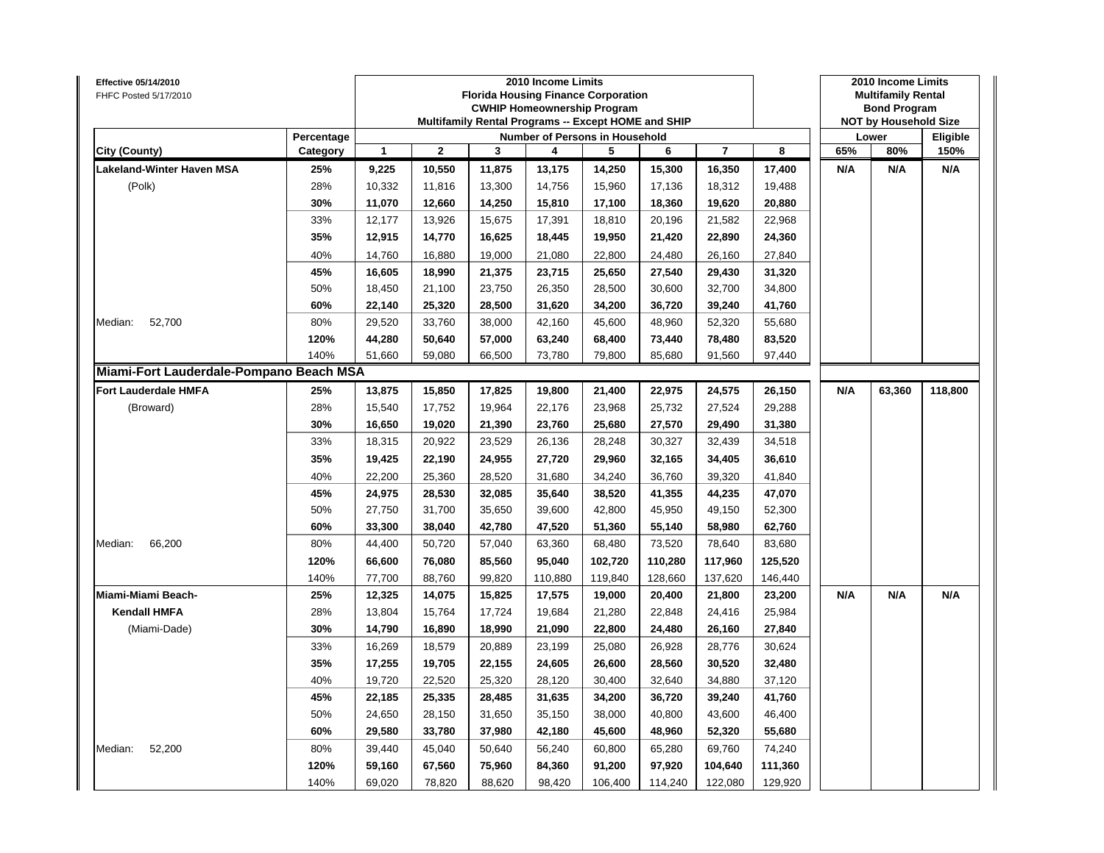| Effective 05/14/2010<br>FHFC Posted 5/17/2010 |                        |        |              |        | 2010 Income Limits<br><b>Florida Housing Finance Corporation</b><br><b>CWHIP Homeownership Program</b><br>Multifamily Rental Programs -- Except HOME and SHIP |         |         |                |         |     | 2010 Income Limits<br><b>Multifamily Rental</b><br><b>Bond Program</b><br><b>NOT by Household Size</b> |                  |
|-----------------------------------------------|------------------------|--------|--------------|--------|---------------------------------------------------------------------------------------------------------------------------------------------------------------|---------|---------|----------------|---------|-----|--------------------------------------------------------------------------------------------------------|------------------|
| City (County)                                 | Percentage<br>Category | 1      | $\mathbf{2}$ | 3      | Number of Persons in Household<br>4                                                                                                                           | 5       | 6       | $\overline{7}$ | 8       | 65% | Lower<br>80%                                                                                           | Eligible<br>150% |
| Lakeland-Winter Haven MSA                     | 25%                    | 9,225  | 10,550       | 11,875 | 13,175                                                                                                                                                        | 14,250  | 15,300  | 16,350         | 17,400  | N/A | N/A                                                                                                    | N/A              |
| (Polk)                                        | 28%                    | 10,332 | 11,816       | 13,300 | 14,756                                                                                                                                                        | 15,960  | 17,136  | 18,312         | 19,488  |     |                                                                                                        |                  |
|                                               | 30%                    | 11,070 | 12,660       | 14,250 | 15,810                                                                                                                                                        | 17,100  | 18,360  | 19,620         | 20,880  |     |                                                                                                        |                  |
|                                               | 33%                    | 12,177 | 13,926       | 15,675 | 17,391                                                                                                                                                        | 18,810  | 20,196  | 21,582         | 22,968  |     |                                                                                                        |                  |
|                                               | 35%                    | 12,915 | 14,770       | 16,625 | 18,445                                                                                                                                                        | 19,950  | 21,420  | 22,890         | 24,360  |     |                                                                                                        |                  |
|                                               | 40%                    | 14,760 | 16,880       | 19,000 | 21,080                                                                                                                                                        | 22,800  | 24,480  | 26,160         | 27,840  |     |                                                                                                        |                  |
|                                               | 45%                    | 16,605 | 18,990       | 21,375 | 23,715                                                                                                                                                        | 25,650  | 27,540  | 29,430         | 31,320  |     |                                                                                                        |                  |
|                                               | 50%                    | 18,450 | 21,100       | 23,750 | 26,350                                                                                                                                                        | 28,500  | 30,600  | 32,700         | 34,800  |     |                                                                                                        |                  |
|                                               | 60%                    | 22,140 | 25,320       | 28,500 | 31,620                                                                                                                                                        | 34,200  | 36,720  | 39,240         | 41,760  |     |                                                                                                        |                  |
| 52,700<br>Median:                             | 80%                    | 29,520 | 33,760       | 38,000 | 42,160                                                                                                                                                        | 45,600  | 48,960  | 52,320         | 55,680  |     |                                                                                                        |                  |
|                                               | 120%                   | 44,280 | 50,640       | 57,000 | 63,240                                                                                                                                                        | 68,400  | 73,440  | 78,480         | 83,520  |     |                                                                                                        |                  |
|                                               | 140%                   | 51,660 | 59,080       | 66,500 | 73,780                                                                                                                                                        | 79,800  | 85,680  | 91,560         | 97,440  |     |                                                                                                        |                  |
| Miami-Fort Lauderdale-Pompano Beach MSA       |                        |        |              |        |                                                                                                                                                               |         |         |                |         |     |                                                                                                        |                  |
| <b>Fort Lauderdale HMFA</b>                   | 25%                    | 13,875 | 15,850       | 17,825 | 19,800                                                                                                                                                        | 21,400  | 22,975  | 24,575         | 26,150  | N/A | 63,360                                                                                                 | 118,800          |
| (Broward)                                     | 28%                    | 15,540 | 17,752       | 19,964 | 22,176                                                                                                                                                        | 23,968  | 25,732  | 27,524         | 29,288  |     |                                                                                                        |                  |
|                                               | 30%                    | 16,650 | 19,020       | 21,390 | 23,760                                                                                                                                                        | 25,680  | 27,570  | 29,490         | 31,380  |     |                                                                                                        |                  |
|                                               | 33%                    | 18,315 | 20,922       | 23,529 | 26,136                                                                                                                                                        | 28,248  | 30,327  | 32,439         | 34,518  |     |                                                                                                        |                  |
|                                               | 35%                    | 19,425 | 22,190       | 24,955 | 27,720                                                                                                                                                        | 29,960  | 32,165  | 34,405         | 36,610  |     |                                                                                                        |                  |
|                                               | 40%                    | 22,200 | 25,360       | 28,520 | 31,680                                                                                                                                                        | 34,240  | 36,760  | 39,320         | 41,840  |     |                                                                                                        |                  |
|                                               | 45%                    | 24,975 | 28,530       | 32,085 | 35,640                                                                                                                                                        | 38,520  | 41,355  | 44,235         | 47,070  |     |                                                                                                        |                  |
|                                               | 50%                    | 27,750 | 31,700       | 35,650 | 39,600                                                                                                                                                        | 42,800  | 45,950  | 49,150         | 52,300  |     |                                                                                                        |                  |
|                                               | 60%                    | 33,300 | 38,040       | 42,780 | 47,520                                                                                                                                                        | 51,360  | 55,140  | 58,980         | 62,760  |     |                                                                                                        |                  |
| 66,200<br>Median:                             | 80%                    | 44,400 | 50,720       | 57,040 | 63,360                                                                                                                                                        | 68,480  | 73,520  | 78,640         | 83,680  |     |                                                                                                        |                  |
|                                               | 120%                   | 66,600 | 76,080       | 85,560 | 95,040                                                                                                                                                        | 102,720 | 110,280 | 117,960        | 125,520 |     |                                                                                                        |                  |
|                                               | 140%                   | 77,700 | 88,760       | 99,820 | 110,880                                                                                                                                                       | 119,840 | 128,660 | 137,620        | 146,440 |     |                                                                                                        |                  |
| Miami-Miami Beach-                            | 25%                    | 12,325 | 14,075       | 15,825 | 17,575                                                                                                                                                        | 19,000  | 20,400  | 21,800         | 23,200  | N/A | N/A                                                                                                    | N/A              |
| <b>Kendall HMFA</b>                           | 28%                    | 13,804 | 15,764       | 17,724 | 19,684                                                                                                                                                        | 21,280  | 22,848  | 24,416         | 25,984  |     |                                                                                                        |                  |
| (Miami-Dade)                                  | 30%                    | 14,790 | 16,890       | 18,990 | 21,090                                                                                                                                                        | 22,800  | 24,480  | 26,160         | 27,840  |     |                                                                                                        |                  |
|                                               | 33%                    | 16,269 | 18,579       | 20,889 | 23,199                                                                                                                                                        | 25,080  | 26,928  | 28,776         | 30,624  |     |                                                                                                        |                  |
|                                               | 35%                    | 17,255 | 19,705       | 22,155 | 24,605                                                                                                                                                        | 26,600  | 28,560  | 30,520         | 32,480  |     |                                                                                                        |                  |
|                                               | 40%                    | 19,720 | 22,520       | 25,320 | 28,120                                                                                                                                                        | 30,400  | 32,640  | 34,880         | 37,120  |     |                                                                                                        |                  |
|                                               | 45%                    | 22,185 | 25,335       | 28,485 | 31,635                                                                                                                                                        | 34,200  | 36,720  | 39,240         | 41,760  |     |                                                                                                        |                  |
|                                               | 50%                    | 24,650 | 28,150       | 31,650 | 35,150                                                                                                                                                        | 38,000  | 40,800  | 43,600         | 46,400  |     |                                                                                                        |                  |
|                                               | 60%                    | 29,580 | 33,780       | 37,980 | 42,180                                                                                                                                                        | 45,600  | 48,960  | 52,320         | 55,680  |     |                                                                                                        |                  |
| 52,200<br>Median:                             | 80%                    | 39,440 | 45,040       | 50,640 | 56,240                                                                                                                                                        | 60,800  | 65,280  | 69,760         | 74,240  |     |                                                                                                        |                  |
|                                               | 120%                   | 59,160 | 67,560       | 75,960 | 84,360                                                                                                                                                        | 91,200  | 97,920  | 104,640        | 111,360 |     |                                                                                                        |                  |
|                                               | 140%                   | 69,020 | 78,820       | 88,620 | 98,420                                                                                                                                                        | 106,400 | 114,240 | 122,080        | 129,920 |     |                                                                                                        |                  |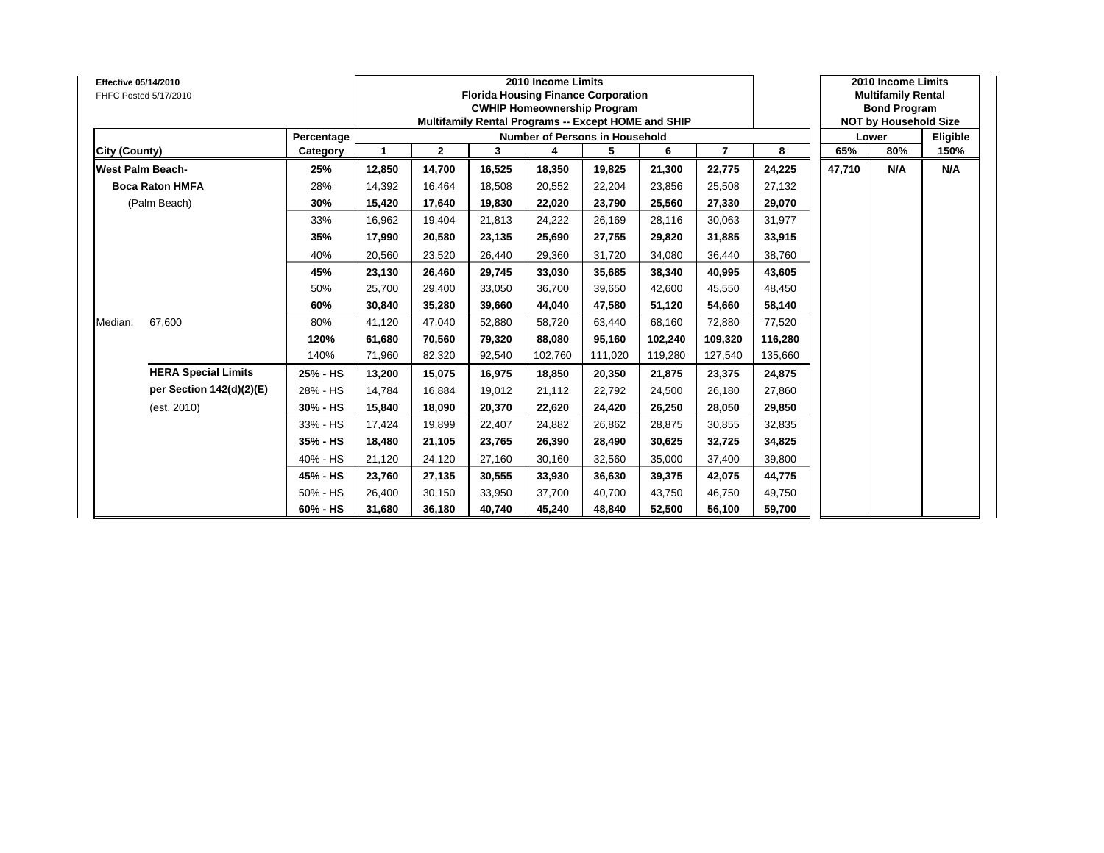| Effective 05/14/2010<br>FHFC Posted 5/17/2010 |            |        |                |        | 2010 Income Limits<br><b>Florida Housing Finance Corporation</b><br><b>CWHIP Homeownership Program</b><br>Multifamily Rental Programs -- Except HOME and SHIP |         |         |                |         |        | 2010 Income Limits<br><b>Multifamily Rental</b><br><b>Bond Program</b><br><b>NOT by Household Size</b> |          |
|-----------------------------------------------|------------|--------|----------------|--------|---------------------------------------------------------------------------------------------------------------------------------------------------------------|---------|---------|----------------|---------|--------|--------------------------------------------------------------------------------------------------------|----------|
|                                               | Percentage |        |                |        | Number of Persons in Household                                                                                                                                |         |         |                |         |        | Lower                                                                                                  | Eligible |
| City (County)                                 | Category   |        | $\overline{2}$ | 3      | 4                                                                                                                                                             | 5       | 6       | $\overline{7}$ | 8       | 65%    | 80%                                                                                                    | 150%     |
| <b>West Palm Beach-</b>                       | 25%        | 12,850 | 14,700         | 16,525 | 18,350                                                                                                                                                        | 19,825  | 21,300  | 22,775         | 24,225  | 47,710 | N/A                                                                                                    | N/A      |
| <b>Boca Raton HMFA</b>                        | 28%        | 14,392 | 16,464         | 18,508 | 20,552                                                                                                                                                        | 22,204  | 23,856  | 25,508         | 27,132  |        |                                                                                                        |          |
| (Palm Beach)                                  | 30%        | 15,420 | 17,640         | 19,830 | 22,020                                                                                                                                                        | 23,790  | 25,560  | 27,330         | 29,070  |        |                                                                                                        |          |
|                                               | 33%        | 16,962 | 19,404         | 21,813 | 24,222                                                                                                                                                        | 26,169  | 28,116  | 30,063         | 31,977  |        |                                                                                                        |          |
|                                               | 35%        | 17,990 | 20,580         | 23,135 | 25,690                                                                                                                                                        | 27,755  | 29,820  | 31,885         | 33,915  |        |                                                                                                        |          |
|                                               | 40%        | 20,560 | 23,520         | 26,440 | 29,360                                                                                                                                                        | 31,720  | 34,080  | 36,440         | 38,760  |        |                                                                                                        |          |
|                                               | 45%        | 23,130 | 26,460         | 29,745 | 33,030                                                                                                                                                        | 35,685  | 38,340  | 40,995         | 43,605  |        |                                                                                                        |          |
|                                               | 50%        | 25,700 | 29,400         | 33,050 | 36,700                                                                                                                                                        | 39,650  | 42,600  | 45,550         | 48,450  |        |                                                                                                        |          |
|                                               | 60%        | 30,840 | 35,280         | 39,660 | 44,040                                                                                                                                                        | 47,580  | 51,120  | 54,660         | 58,140  |        |                                                                                                        |          |
| 67,600<br>Median:                             | 80%        | 41,120 | 47,040         | 52,880 | 58,720                                                                                                                                                        | 63,440  | 68,160  | 72,880         | 77,520  |        |                                                                                                        |          |
|                                               | 120%       | 61,680 | 70,560         | 79,320 | 88,080                                                                                                                                                        | 95,160  | 102,240 | 109,320        | 116,280 |        |                                                                                                        |          |
|                                               | 140%       | 71,960 | 82,320         | 92,540 | 102,760                                                                                                                                                       | 111,020 | 119,280 | 127,540        | 135,660 |        |                                                                                                        |          |
| <b>HERA Special Limits</b>                    | 25% - HS   | 13,200 | 15,075         | 16,975 | 18,850                                                                                                                                                        | 20,350  | 21,875  | 23,375         | 24,875  |        |                                                                                                        |          |
| per Section 142(d)(2)(E)                      | 28% - HS   | 14.784 | 16,884         | 19.012 | 21,112                                                                                                                                                        | 22,792  | 24.500  | 26,180         | 27,860  |        |                                                                                                        |          |
| (est. 2010)                                   | 30% - HS   | 15,840 | 18,090         | 20,370 | 22,620                                                                                                                                                        | 24,420  | 26,250  | 28,050         | 29,850  |        |                                                                                                        |          |
|                                               | 33% - HS   | 17,424 | 19,899         | 22,407 | 24,882                                                                                                                                                        | 26,862  | 28,875  | 30,855         | 32,835  |        |                                                                                                        |          |
|                                               | 35% - HS   | 18,480 | 21,105         | 23,765 | 26,390                                                                                                                                                        | 28,490  | 30,625  | 32,725         | 34,825  |        |                                                                                                        |          |
|                                               | 40% - HS   | 21,120 | 24,120         | 27,160 | 30,160                                                                                                                                                        | 32,560  | 35.000  | 37,400         | 39,800  |        |                                                                                                        |          |
|                                               | 45% - HS   | 23,760 | 27,135         | 30,555 | 33,930                                                                                                                                                        | 36,630  | 39.375  | 42,075         | 44,775  |        |                                                                                                        |          |
|                                               | 50% - HS   | 26,400 | 30,150         | 33,950 | 37,700                                                                                                                                                        | 40,700  | 43,750  | 46,750         | 49,750  |        |                                                                                                        |          |
|                                               | 60% - HS   | 31,680 | 36,180         | 40,740 | 45,240                                                                                                                                                        | 48,840  | 52,500  | 56,100         | 59,700  |        |                                                                                                        |          |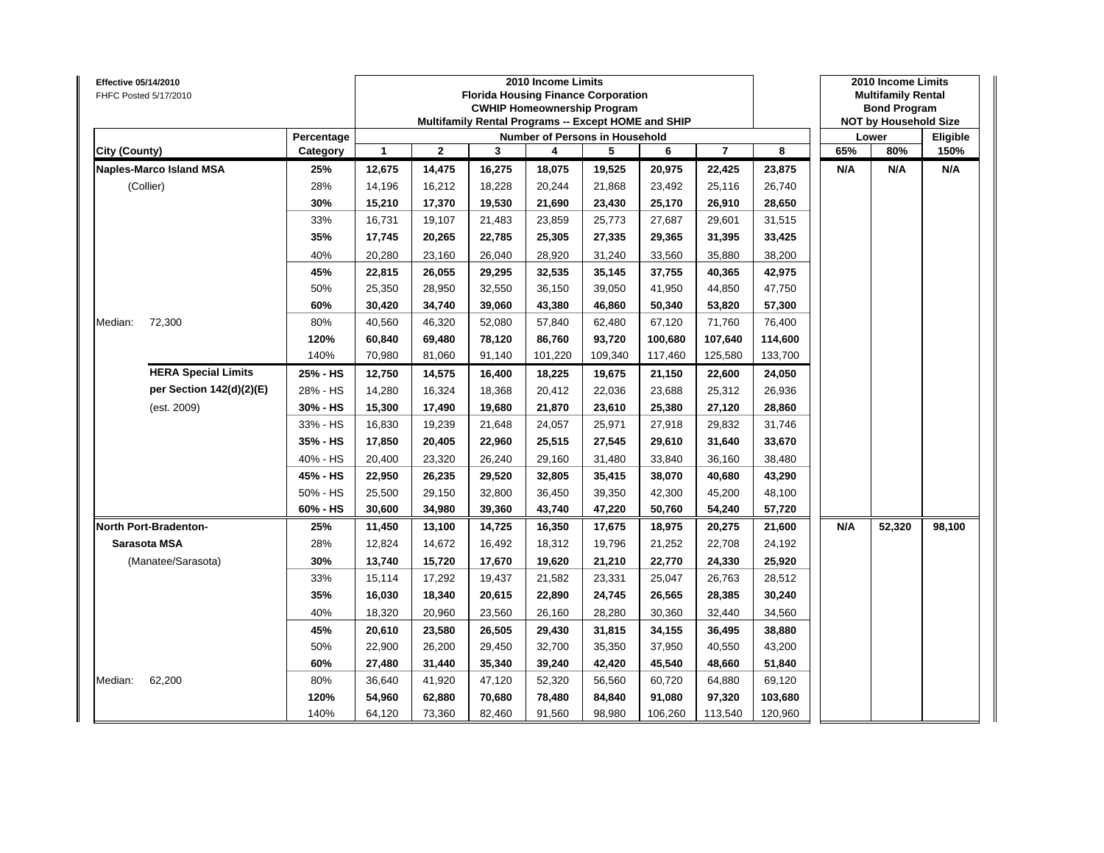| Effective 05/14/2010<br>FHFC Posted 5/17/2010 |                                |            |        |                |        | 2010 Income Limits<br><b>Florida Housing Finance Corporation</b><br><b>CWHIP Homeownership Program</b><br>Multifamily Rental Programs -- Except HOME and SHIP |         |         |                |         |     | 2010 Income Limits<br><b>Multifamily Rental</b><br><b>Bond Program</b><br><b>NOT by Household Size</b> |          |
|-----------------------------------------------|--------------------------------|------------|--------|----------------|--------|---------------------------------------------------------------------------------------------------------------------------------------------------------------|---------|---------|----------------|---------|-----|--------------------------------------------------------------------------------------------------------|----------|
|                                               |                                | Percentage |        |                |        | Number of Persons in Household                                                                                                                                |         |         |                |         |     | Lower                                                                                                  | Eligible |
| City (County)                                 |                                | Category   | 1      | $\overline{2}$ | 3      | 4                                                                                                                                                             | 5       | 6       | $\overline{7}$ | 8       | 65% | 80%                                                                                                    | 150%     |
|                                               | <b>Naples-Marco Island MSA</b> | 25%        | 12,675 | 14,475         | 16,275 | 18,075                                                                                                                                                        | 19,525  | 20,975  | 22,425         | 23,875  | N/A | N/A                                                                                                    | N/A      |
| (Collier)                                     |                                | 28%        | 14,196 | 16,212         | 18,228 | 20,244                                                                                                                                                        | 21,868  | 23,492  | 25,116         | 26,740  |     |                                                                                                        |          |
|                                               |                                | 30%        | 15,210 | 17,370         | 19,530 | 21,690                                                                                                                                                        | 23,430  | 25,170  | 26,910         | 28,650  |     |                                                                                                        |          |
|                                               |                                | 33%        | 16,731 | 19,107         | 21,483 | 23,859                                                                                                                                                        | 25,773  | 27,687  | 29,601         | 31,515  |     |                                                                                                        |          |
|                                               |                                | 35%        | 17,745 | 20,265         | 22,785 | 25,305                                                                                                                                                        | 27,335  | 29,365  | 31,395         | 33,425  |     |                                                                                                        |          |
|                                               |                                | 40%        | 20,280 | 23,160         | 26,040 | 28,920                                                                                                                                                        | 31,240  | 33,560  | 35,880         | 38,200  |     |                                                                                                        |          |
|                                               |                                | 45%        | 22,815 | 26,055         | 29,295 | 32,535                                                                                                                                                        | 35,145  | 37,755  | 40,365         | 42,975  |     |                                                                                                        |          |
|                                               |                                | 50%        | 25,350 | 28,950         | 32,550 | 36,150                                                                                                                                                        | 39,050  | 41,950  | 44,850         | 47,750  |     |                                                                                                        |          |
|                                               |                                | 60%        | 30,420 | 34,740         | 39,060 | 43,380                                                                                                                                                        | 46,860  | 50,340  | 53,820         | 57,300  |     |                                                                                                        |          |
| Median:                                       | 72,300                         | 80%        | 40,560 | 46,320         | 52,080 | 57,840                                                                                                                                                        | 62,480  | 67,120  | 71,760         | 76,400  |     |                                                                                                        |          |
|                                               |                                | 120%       | 60,840 | 69,480         | 78,120 | 86,760                                                                                                                                                        | 93,720  | 100,680 | 107,640        | 114,600 |     |                                                                                                        |          |
|                                               |                                | 140%       | 70,980 | 81,060         | 91,140 | 101,220                                                                                                                                                       | 109,340 | 117,460 | 125,580        | 133,700 |     |                                                                                                        |          |
|                                               | <b>HERA Special Limits</b>     | 25% - HS   | 12,750 | 14,575         | 16,400 | 18,225                                                                                                                                                        | 19,675  | 21,150  | 22,600         | 24,050  |     |                                                                                                        |          |
|                                               | per Section 142(d)(2)(E)       | 28% - HS   | 14,280 | 16,324         | 18,368 | 20,412                                                                                                                                                        | 22,036  | 23,688  | 25,312         | 26,936  |     |                                                                                                        |          |
|                                               | (est. 2009)                    | 30% - HS   | 15,300 | 17,490         | 19,680 | 21,870                                                                                                                                                        | 23,610  | 25,380  | 27,120         | 28,860  |     |                                                                                                        |          |
|                                               |                                | 33% - HS   | 16,830 | 19,239         | 21,648 | 24,057                                                                                                                                                        | 25,971  | 27,918  | 29,832         | 31,746  |     |                                                                                                        |          |
|                                               |                                | 35% - HS   | 17,850 | 20,405         | 22,960 | 25,515                                                                                                                                                        | 27,545  | 29,610  | 31,640         | 33,670  |     |                                                                                                        |          |
|                                               |                                | 40% - HS   | 20,400 | 23,320         | 26,240 | 29,160                                                                                                                                                        | 31,480  | 33,840  | 36,160         | 38,480  |     |                                                                                                        |          |
|                                               |                                | 45% - HS   | 22,950 | 26,235         | 29,520 | 32,805                                                                                                                                                        | 35,415  | 38,070  | 40,680         | 43,290  |     |                                                                                                        |          |
|                                               |                                | 50% - HS   | 25,500 | 29,150         | 32,800 | 36,450                                                                                                                                                        | 39,350  | 42,300  | 45,200         | 48,100  |     |                                                                                                        |          |
|                                               |                                | 60% - HS   | 30,600 | 34,980         | 39,360 | 43,740                                                                                                                                                        | 47,220  | 50,760  | 54,240         | 57,720  |     |                                                                                                        |          |
|                                               | North Port-Bradenton-          | 25%        | 11,450 | 13,100         | 14,725 | 16,350                                                                                                                                                        | 17,675  | 18,975  | 20,275         | 21,600  | N/A | 52,320                                                                                                 | 98,100   |
| Sarasota MSA                                  |                                | 28%        | 12,824 | 14,672         | 16,492 | 18,312                                                                                                                                                        | 19,796  | 21,252  | 22,708         | 24,192  |     |                                                                                                        |          |
|                                               | (Manatee/Sarasota)             | 30%        | 13,740 | 15,720         | 17,670 | 19,620                                                                                                                                                        | 21,210  | 22,770  | 24,330         | 25,920  |     |                                                                                                        |          |
|                                               |                                | 33%        | 15,114 | 17,292         | 19,437 | 21,582                                                                                                                                                        | 23,331  | 25,047  | 26,763         | 28,512  |     |                                                                                                        |          |
|                                               |                                | 35%        | 16,030 | 18,340         | 20,615 | 22,890                                                                                                                                                        | 24,745  | 26,565  | 28,385         | 30,240  |     |                                                                                                        |          |
|                                               |                                | 40%        | 18,320 | 20,960         | 23,560 | 26,160                                                                                                                                                        | 28,280  | 30,360  | 32,440         | 34,560  |     |                                                                                                        |          |
|                                               |                                | 45%        | 20,610 | 23,580         | 26,505 | 29,430                                                                                                                                                        | 31,815  | 34,155  | 36,495         | 38,880  |     |                                                                                                        |          |
|                                               |                                | 50%        | 22,900 | 26,200         | 29,450 | 32,700                                                                                                                                                        | 35,350  | 37,950  | 40,550         | 43,200  |     |                                                                                                        |          |
|                                               |                                | 60%        | 27,480 | 31,440         | 35,340 | 39,240                                                                                                                                                        | 42,420  | 45,540  | 48,660         | 51,840  |     |                                                                                                        |          |
| Median:                                       | 62,200                         | 80%        | 36,640 | 41,920         | 47,120 | 52,320                                                                                                                                                        | 56,560  | 60,720  | 64,880         | 69,120  |     |                                                                                                        |          |
|                                               |                                | 120%       | 54,960 | 62,880         | 70,680 | 78,480                                                                                                                                                        | 84,840  | 91,080  | 97,320         | 103,680 |     |                                                                                                        |          |
|                                               |                                | 140%       | 64,120 | 73,360         | 82,460 | 91,560                                                                                                                                                        | 98,980  | 106,260 | 113,540        | 120,960 |     |                                                                                                        |          |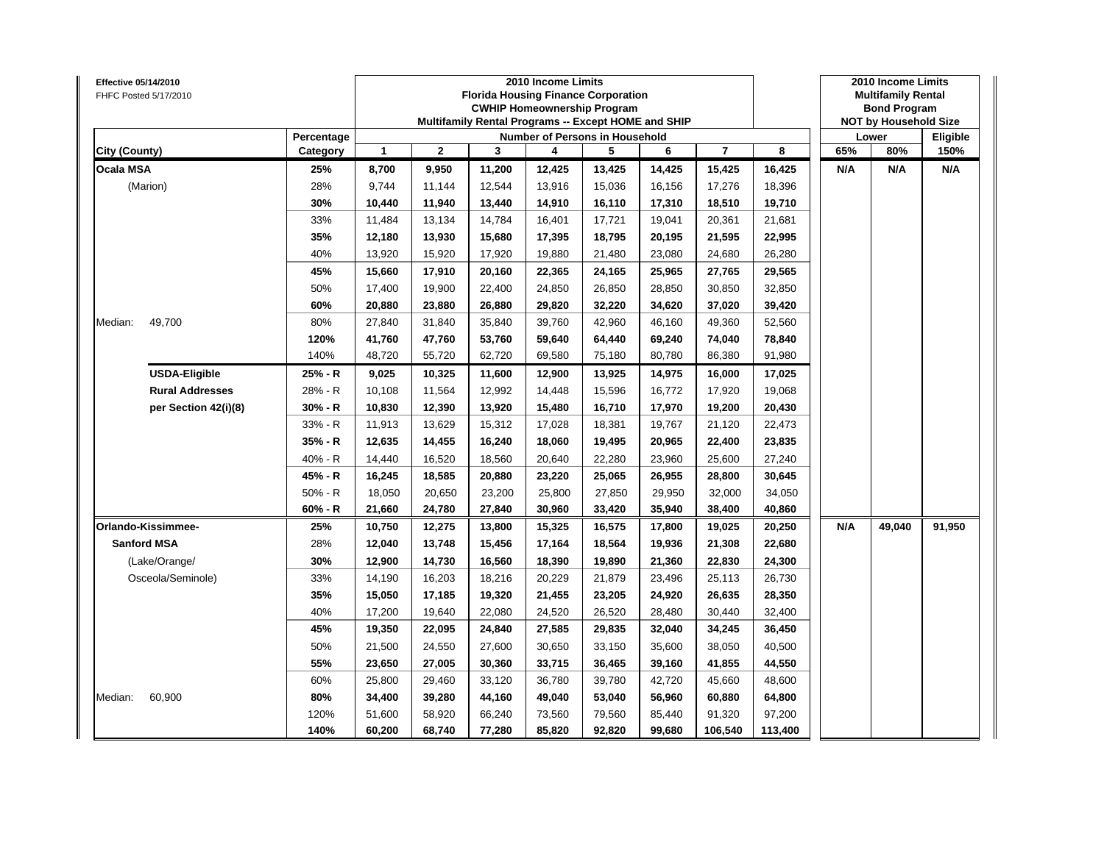| <b>Effective 05/14/2010</b> | FHFC Posted 5/17/2010  |            |              |              | <b>Florida Housing Finance Corporation</b><br>Multifamily Rental Programs -- Except HOME and SHIP | 2010 Income Limits | <b>CWHIP Homeownership Program</b> |        |                |         |     | 2010 Income Limits<br><b>Multifamily Rental</b><br><b>Bond Program</b><br><b>NOT by Household Size</b> |          |
|-----------------------------|------------------------|------------|--------------|--------------|---------------------------------------------------------------------------------------------------|--------------------|------------------------------------|--------|----------------|---------|-----|--------------------------------------------------------------------------------------------------------|----------|
|                             |                        | Percentage |              |              |                                                                                                   |                    | Number of Persons in Household     |        |                |         |     | Lower                                                                                                  | Eligible |
| City (County)               |                        | Category   | $\mathbf{1}$ | $\mathbf{2}$ | 3                                                                                                 | 4                  | 5                                  | 6      | $\overline{7}$ | 8       | 65% | 80%                                                                                                    | 150%     |
| <b>Ocala MSA</b>            |                        | 25%        | 8,700        | 9,950        | 11,200                                                                                            | 12,425             | 13,425                             | 14,425 | 15,425         | 16,425  | N/A | N/A                                                                                                    | N/A      |
|                             | (Marion)               | 28%        | 9,744        | 11,144       | 12,544                                                                                            | 13,916             | 15,036                             | 16,156 | 17,276         | 18,396  |     |                                                                                                        |          |
|                             |                        | 30%        | 10,440       | 11,940       | 13,440                                                                                            | 14,910             | 16,110                             | 17,310 | 18,510         | 19,710  |     |                                                                                                        |          |
|                             |                        | 33%        | 11,484       | 13,134       | 14,784                                                                                            | 16,401             | 17,721                             | 19,041 | 20,361         | 21,681  |     |                                                                                                        |          |
|                             |                        | 35%        | 12,180       | 13,930       | 15,680                                                                                            | 17,395             | 18,795                             | 20,195 | 21,595         | 22,995  |     |                                                                                                        |          |
|                             |                        | 40%        | 13,920       | 15,920       | 17,920                                                                                            | 19,880             | 21,480                             | 23,080 | 24,680         | 26,280  |     |                                                                                                        |          |
|                             |                        | 45%        | 15,660       | 17,910       | 20,160                                                                                            | 22,365             | 24,165                             | 25,965 | 27,765         | 29,565  |     |                                                                                                        |          |
|                             |                        | 50%        | 17,400       | 19,900       | 22,400                                                                                            | 24,850             | 26,850                             | 28,850 | 30,850         | 32,850  |     |                                                                                                        |          |
|                             |                        | 60%        | 20,880       | 23,880       | 26,880                                                                                            | 29,820             | 32,220                             | 34,620 | 37,020         | 39,420  |     |                                                                                                        |          |
| Median:                     | 49,700                 | 80%        | 27,840       | 31,840       | 35,840                                                                                            | 39,760             | 42,960                             | 46,160 | 49,360         | 52,560  |     |                                                                                                        |          |
|                             |                        | 120%       | 41,760       | 47,760       | 53,760                                                                                            | 59,640             | 64,440                             | 69,240 | 74,040         | 78,840  |     |                                                                                                        |          |
|                             |                        | 140%       | 48,720       | 55,720       | 62,720                                                                                            | 69,580             | 75,180                             | 80,780 | 86,380         | 91,980  |     |                                                                                                        |          |
|                             | <b>USDA-Eligible</b>   | 25% - R    | 9,025        | 10,325       | 11,600                                                                                            | 12,900             | 13,925                             | 14,975 | 16,000         | 17,025  |     |                                                                                                        |          |
|                             | <b>Rural Addresses</b> | 28% - R    | 10,108       | 11,564       | 12,992                                                                                            | 14,448             | 15,596                             | 16,772 | 17,920         | 19,068  |     |                                                                                                        |          |
|                             | per Section 42(i)(8)   | 30% - R    | 10,830       | 12,390       | 13,920                                                                                            | 15,480             | 16,710                             | 17,970 | 19,200         | 20,430  |     |                                                                                                        |          |
|                             |                        | 33% - R    | 11,913       | 13,629       | 15,312                                                                                            | 17,028             | 18,381                             | 19,767 | 21,120         | 22,473  |     |                                                                                                        |          |
|                             |                        | 35% - R    | 12,635       | 14,455       | 16,240                                                                                            | 18,060             | 19,495                             | 20,965 | 22,400         | 23,835  |     |                                                                                                        |          |
|                             |                        | 40% - R    | 14,440       | 16,520       | 18,560                                                                                            | 20,640             | 22,280                             | 23,960 | 25,600         | 27,240  |     |                                                                                                        |          |
|                             |                        | 45% - R    | 16,245       | 18,585       | 20,880                                                                                            | 23,220             | 25,065                             | 26,955 | 28,800         | 30,645  |     |                                                                                                        |          |
|                             |                        | $50% - R$  | 18,050       | 20,650       | 23,200                                                                                            | 25,800             | 27,850                             | 29,950 | 32,000         | 34,050  |     |                                                                                                        |          |
|                             |                        | $60% - R$  | 21,660       | 24,780       | 27,840                                                                                            | 30,960             | 33,420                             | 35,940 | 38,400         | 40,860  |     |                                                                                                        |          |
|                             | Orlando-Kissimmee-     | 25%        | 10,750       | 12,275       | 13,800                                                                                            | 15,325             | 16,575                             | 17,800 | 19,025         | 20,250  | N/A | 49,040                                                                                                 | 91,950   |
|                             | <b>Sanford MSA</b>     | 28%        | 12,040       | 13,748       | 15,456                                                                                            | 17,164             | 18,564                             | 19,936 | 21,308         | 22,680  |     |                                                                                                        |          |
|                             | (Lake/Orange/          | 30%        | 12,900       | 14,730       | 16,560                                                                                            | 18,390             | 19,890                             | 21,360 | 22,830         | 24,300  |     |                                                                                                        |          |
|                             | Osceola/Seminole)      | 33%        | 14,190       | 16,203       | 18,216                                                                                            | 20,229             | 21,879                             | 23,496 | 25,113         | 26,730  |     |                                                                                                        |          |
|                             |                        | 35%        | 15,050       | 17,185       | 19,320                                                                                            | 21,455             | 23,205                             | 24,920 | 26,635         | 28,350  |     |                                                                                                        |          |
|                             |                        | 40%        | 17,200       | 19,640       | 22,080                                                                                            | 24,520             | 26,520                             | 28,480 | 30,440         | 32,400  |     |                                                                                                        |          |
|                             |                        | 45%        | 19,350       | 22,095       | 24,840                                                                                            | 27,585             | 29,835                             | 32,040 | 34,245         | 36,450  |     |                                                                                                        |          |
|                             |                        | 50%        | 21,500       | 24,550       | 27,600                                                                                            | 30,650             | 33,150                             | 35,600 | 38,050         | 40,500  |     |                                                                                                        |          |
|                             |                        | 55%        | 23,650       | 27,005       | 30,360                                                                                            | 33,715             | 36,465                             | 39,160 | 41,855         | 44,550  |     |                                                                                                        |          |
|                             |                        | 60%        | 25,800       | 29,460       | 33,120                                                                                            | 36,780             | 39,780                             | 42,720 | 45,660         | 48,600  |     |                                                                                                        |          |
| Median:                     | 60,900                 | 80%        | 34,400       | 39,280       | 44,160                                                                                            | 49,040             | 53,040                             | 56,960 | 60,880         | 64,800  |     |                                                                                                        |          |
|                             |                        | 120%       | 51,600       | 58,920       | 66,240                                                                                            | 73,560             | 79,560                             | 85,440 | 91,320         | 97,200  |     |                                                                                                        |          |
|                             |                        | 140%       | 60,200       | 68,740       | 77,280                                                                                            | 85,820             | 92,820                             | 99,680 | 106,540        | 113,400 |     |                                                                                                        |          |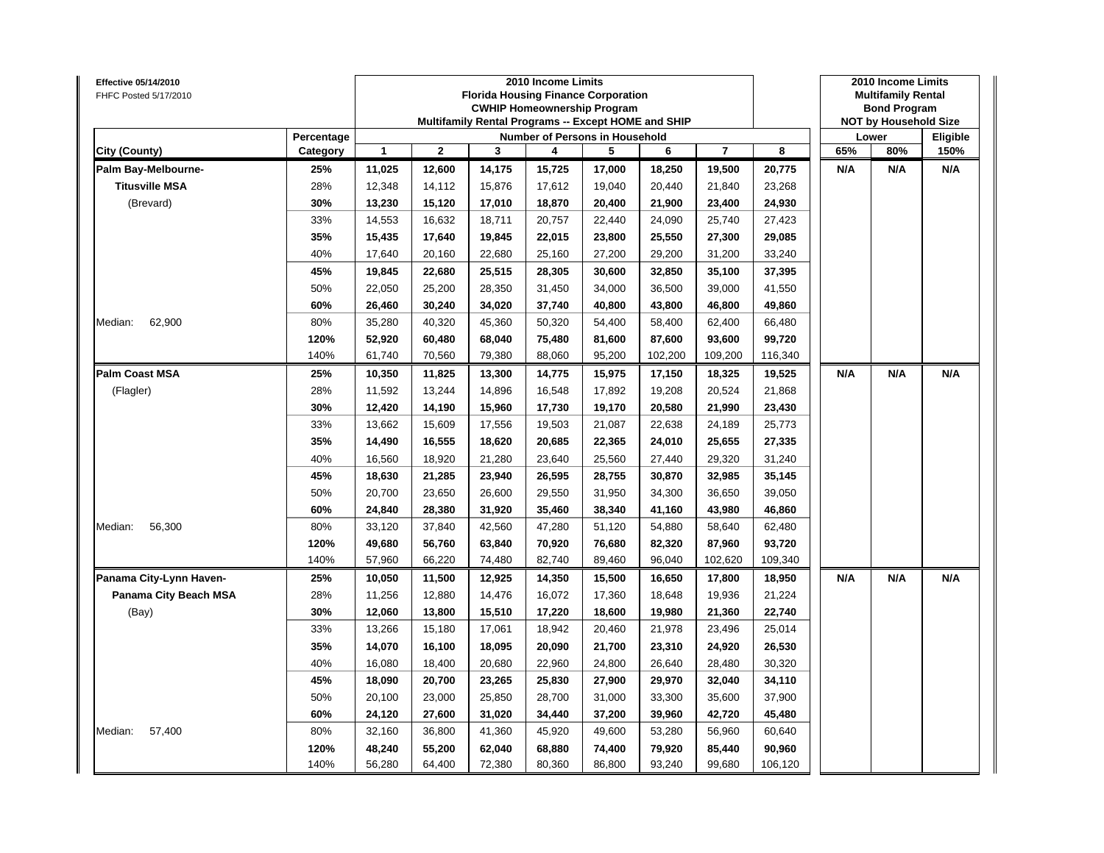| Effective 05/14/2010<br>FHFC Posted 5/17/2010 |                        |        |             |        | 2010 Income Limits | <b>Florida Housing Finance Corporation</b><br><b>CWHIP Homeownership Program</b><br>Multifamily Rental Programs -- Except HOME and SHIP |         |                |         |     | 2010 Income Limits<br><b>Multifamily Rental</b><br><b>Bond Program</b><br><b>NOT by Household Size</b> |                  |
|-----------------------------------------------|------------------------|--------|-------------|--------|--------------------|-----------------------------------------------------------------------------------------------------------------------------------------|---------|----------------|---------|-----|--------------------------------------------------------------------------------------------------------|------------------|
| City (County)                                 | Percentage<br>Category | 1      | $\mathbf 2$ | 3      | 4                  | Number of Persons in Household<br>5                                                                                                     | 6       | $\overline{7}$ | 8       | 65% | Lower<br>80%                                                                                           | Eligible<br>150% |
| Palm Bay-Melbourne-                           | 25%                    | 11,025 | 12,600      | 14,175 | 15,725             | 17,000                                                                                                                                  | 18,250  | 19,500         | 20,775  | N/A | N/A                                                                                                    | N/A              |
| <b>Titusville MSA</b>                         | 28%                    | 12,348 | 14,112      | 15,876 | 17,612             | 19,040                                                                                                                                  | 20,440  | 21,840         | 23,268  |     |                                                                                                        |                  |
| (Brevard)                                     | 30%                    | 13,230 | 15,120      | 17,010 | 18,870             | 20,400                                                                                                                                  | 21,900  | 23,400         | 24,930  |     |                                                                                                        |                  |
|                                               | 33%                    | 14,553 | 16,632      | 18,711 | 20,757             | 22,440                                                                                                                                  | 24,090  | 25,740         | 27,423  |     |                                                                                                        |                  |
|                                               | 35%                    | 15,435 | 17,640      | 19,845 | 22,015             | 23,800                                                                                                                                  | 25,550  | 27,300         | 29,085  |     |                                                                                                        |                  |
|                                               | 40%                    | 17,640 | 20,160      | 22,680 | 25,160             | 27,200                                                                                                                                  | 29,200  | 31,200         | 33,240  |     |                                                                                                        |                  |
|                                               | 45%                    | 19,845 | 22,680      | 25,515 | 28,305             | 30,600                                                                                                                                  | 32,850  | 35,100         | 37,395  |     |                                                                                                        |                  |
|                                               | 50%                    | 22,050 | 25,200      | 28,350 | 31,450             | 34,000                                                                                                                                  | 36,500  | 39,000         | 41,550  |     |                                                                                                        |                  |
|                                               | 60%                    | 26,460 | 30,240      | 34,020 | 37,740             | 40,800                                                                                                                                  | 43,800  | 46,800         | 49,860  |     |                                                                                                        |                  |
| 62,900<br>Median:                             | 80%                    | 35,280 | 40,320      | 45,360 | 50,320             | 54,400                                                                                                                                  | 58,400  | 62,400         | 66,480  |     |                                                                                                        |                  |
|                                               | 120%                   | 52,920 | 60,480      | 68,040 | 75,480             | 81,600                                                                                                                                  | 87,600  | 93,600         | 99,720  |     |                                                                                                        |                  |
|                                               | 140%                   | 61,740 | 70,560      | 79,380 | 88,060             | 95,200                                                                                                                                  | 102,200 | 109,200        | 116,340 |     |                                                                                                        |                  |
| <b>Palm Coast MSA</b>                         | 25%                    | 10,350 | 11,825      | 13,300 | 14,775             | 15,975                                                                                                                                  | 17,150  | 18,325         | 19,525  | N/A | N/A                                                                                                    | N/A              |
| (Flagler)                                     | 28%                    | 11,592 | 13,244      | 14,896 | 16,548             | 17,892                                                                                                                                  | 19,208  | 20,524         | 21,868  |     |                                                                                                        |                  |
|                                               | 30%                    | 12,420 | 14,190      | 15,960 | 17,730             | 19,170                                                                                                                                  | 20,580  | 21,990         | 23,430  |     |                                                                                                        |                  |
|                                               | 33%                    | 13,662 | 15,609      | 17,556 | 19,503             | 21,087                                                                                                                                  | 22,638  | 24,189         | 25,773  |     |                                                                                                        |                  |
|                                               | 35%                    | 14,490 | 16,555      | 18,620 | 20,685             | 22,365                                                                                                                                  | 24,010  | 25,655         | 27,335  |     |                                                                                                        |                  |
|                                               | 40%                    | 16,560 | 18,920      | 21,280 | 23,640             | 25,560                                                                                                                                  | 27,440  | 29,320         | 31,240  |     |                                                                                                        |                  |
|                                               | 45%                    | 18,630 | 21,285      | 23,940 | 26,595             | 28,755                                                                                                                                  | 30,870  | 32,985         | 35,145  |     |                                                                                                        |                  |
|                                               | 50%                    | 20,700 | 23,650      | 26,600 | 29,550             | 31,950                                                                                                                                  | 34,300  | 36,650         | 39,050  |     |                                                                                                        |                  |
|                                               | 60%                    | 24,840 | 28,380      | 31,920 | 35,460             | 38,340                                                                                                                                  | 41,160  | 43,980         | 46,860  |     |                                                                                                        |                  |
| Median:<br>56,300                             | 80%                    | 33,120 | 37,840      | 42,560 | 47,280             | 51,120                                                                                                                                  | 54,880  | 58,640         | 62,480  |     |                                                                                                        |                  |
|                                               | 120%                   | 49,680 | 56,760      | 63,840 | 70,920             | 76,680                                                                                                                                  | 82,320  | 87,960         | 93,720  |     |                                                                                                        |                  |
|                                               | 140%                   | 57,960 | 66,220      | 74,480 | 82,740             | 89,460                                                                                                                                  | 96,040  | 102,620        | 109,340 |     |                                                                                                        |                  |
| Panama City-Lynn Haven-                       | 25%                    | 10,050 | 11,500      | 12,925 | 14,350             | 15,500                                                                                                                                  | 16,650  | 17,800         | 18,950  | N/A | N/A                                                                                                    | N/A              |
| <b>Panama City Beach MSA</b>                  | 28%                    | 11,256 | 12,880      | 14,476 | 16,072             | 17,360                                                                                                                                  | 18,648  | 19,936         | 21,224  |     |                                                                                                        |                  |
| (Bay)                                         | 30%                    | 12,060 | 13,800      | 15,510 | 17,220             | 18,600                                                                                                                                  | 19,980  | 21,360         | 22,740  |     |                                                                                                        |                  |
|                                               | 33%                    | 13,266 | 15,180      | 17,061 | 18,942             | 20,460                                                                                                                                  | 21,978  | 23,496         | 25,014  |     |                                                                                                        |                  |
|                                               | 35%                    | 14,070 | 16,100      | 18,095 | 20,090             | 21,700                                                                                                                                  | 23,310  | 24,920         | 26,530  |     |                                                                                                        |                  |
|                                               | 40%                    | 16,080 | 18,400      | 20,680 | 22,960             | 24,800                                                                                                                                  | 26,640  | 28,480         | 30,320  |     |                                                                                                        |                  |
|                                               | 45%                    | 18,090 | 20,700      | 23,265 | 25,830             | 27,900                                                                                                                                  | 29,970  | 32,040         | 34,110  |     |                                                                                                        |                  |
|                                               | 50%                    | 20,100 | 23,000      | 25,850 | 28,700             | 31,000                                                                                                                                  | 33,300  | 35,600         | 37,900  |     |                                                                                                        |                  |
|                                               | 60%                    | 24,120 | 27,600      | 31,020 | 34,440             | 37,200                                                                                                                                  | 39,960  | 42,720         | 45,480  |     |                                                                                                        |                  |
| Median:<br>57,400                             | 80%                    | 32,160 | 36,800      | 41,360 | 45,920             | 49,600                                                                                                                                  | 53,280  | 56,960         | 60,640  |     |                                                                                                        |                  |
|                                               | 120%                   | 48,240 | 55,200      | 62,040 | 68,880             | 74,400                                                                                                                                  | 79,920  | 85,440         | 90,960  |     |                                                                                                        |                  |
|                                               | 140%                   | 56,280 | 64,400      | 72,380 | 80,360             | 86,800                                                                                                                                  | 93,240  | 99,680         | 106,120 |     |                                                                                                        |                  |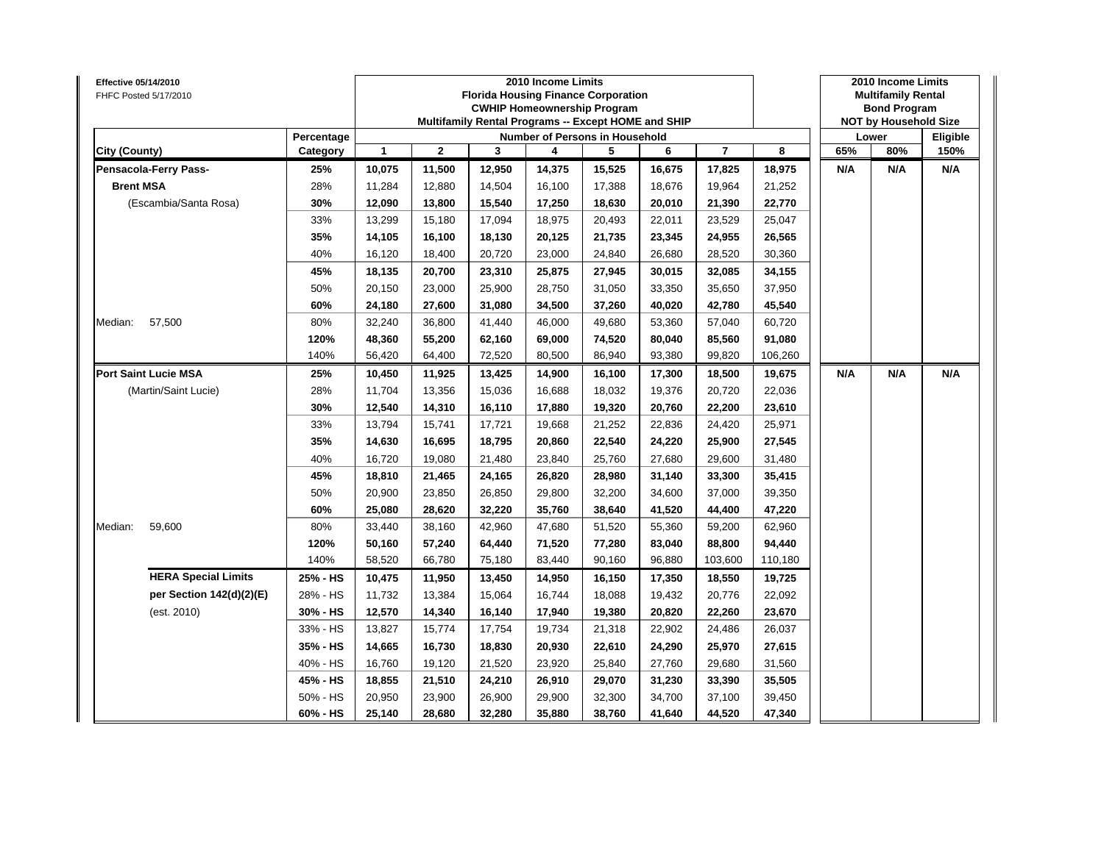| Effective 05/14/2010<br>FHFC Posted 5/17/2010 |            |        |              |              | 2010 Income Limits | <b>Florida Housing Finance Corporation</b><br><b>CWHIP Homeownership Program</b><br>Multifamily Rental Programs -- Except HOME and SHIP |        |                |         |     | 2010 Income Limits<br><b>Multifamily Rental</b><br><b>Bond Program</b><br><b>NOT by Household Size</b> |          |
|-----------------------------------------------|------------|--------|--------------|--------------|--------------------|-----------------------------------------------------------------------------------------------------------------------------------------|--------|----------------|---------|-----|--------------------------------------------------------------------------------------------------------|----------|
|                                               | Percentage |        |              |              |                    | Number of Persons in Household                                                                                                          |        |                |         |     | Lower                                                                                                  | Eligible |
| City (County)                                 | Category   | 1      | $\mathbf{2}$ | $\mathbf{3}$ | 4                  | 5                                                                                                                                       | 6      | $\overline{7}$ | 8       | 65% | 80%                                                                                                    | 150%     |
| Pensacola-Ferry Pass-                         | 25%        | 10,075 | 11,500       | 12,950       | 14,375             | 15,525                                                                                                                                  | 16,675 | 17,825         | 18,975  | N/A | N/A                                                                                                    | N/A      |
| <b>Brent MSA</b>                              | 28%        | 11,284 | 12,880       | 14,504       | 16,100             | 17,388                                                                                                                                  | 18,676 | 19,964         | 21,252  |     |                                                                                                        |          |
| (Escambia/Santa Rosa)                         | 30%        | 12,090 | 13,800       | 15,540       | 17,250             | 18,630                                                                                                                                  | 20,010 | 21,390         | 22,770  |     |                                                                                                        |          |
|                                               | 33%        | 13,299 | 15,180       | 17,094       | 18,975             | 20,493                                                                                                                                  | 22,011 | 23,529         | 25,047  |     |                                                                                                        |          |
|                                               | 35%        | 14,105 | 16,100       | 18,130       | 20,125             | 21,735                                                                                                                                  | 23,345 | 24,955         | 26,565  |     |                                                                                                        |          |
|                                               | 40%        | 16,120 | 18,400       | 20,720       | 23,000             | 24,840                                                                                                                                  | 26,680 | 28,520         | 30,360  |     |                                                                                                        |          |
|                                               | 45%        | 18,135 | 20,700       | 23,310       | 25,875             | 27,945                                                                                                                                  | 30,015 | 32,085         | 34,155  |     |                                                                                                        |          |
|                                               | 50%        | 20,150 | 23,000       | 25,900       | 28,750             | 31,050                                                                                                                                  | 33,350 | 35,650         | 37,950  |     |                                                                                                        |          |
|                                               | 60%        | 24,180 | 27,600       | 31,080       | 34,500             | 37,260                                                                                                                                  | 40,020 | 42,780         | 45,540  |     |                                                                                                        |          |
| 57,500<br>Median:                             | 80%        | 32,240 | 36,800       | 41,440       | 46,000             | 49,680                                                                                                                                  | 53,360 | 57,040         | 60,720  |     |                                                                                                        |          |
|                                               | 120%       | 48,360 | 55.200       | 62,160       | 69,000             | 74,520                                                                                                                                  | 80,040 | 85,560         | 91,080  |     |                                                                                                        |          |
|                                               | 140%       | 56,420 | 64,400       | 72,520       | 80,500             | 86,940                                                                                                                                  | 93,380 | 99,820         | 106,260 |     |                                                                                                        |          |
| <b>Port Saint Lucie MSA</b>                   | 25%        | 10,450 | 11,925       | 13,425       | 14,900             | 16,100                                                                                                                                  | 17,300 | 18,500         | 19,675  | N/A | N/A                                                                                                    | N/A      |
| (Martin/Saint Lucie)                          | 28%        | 11,704 | 13,356       | 15,036       | 16,688             | 18,032                                                                                                                                  | 19,376 | 20,720         | 22,036  |     |                                                                                                        |          |
|                                               | 30%        | 12,540 | 14,310       | 16,110       | 17,880             | 19,320                                                                                                                                  | 20,760 | 22,200         | 23,610  |     |                                                                                                        |          |
|                                               | 33%        | 13,794 | 15,741       | 17,721       | 19,668             | 21,252                                                                                                                                  | 22,836 | 24,420         | 25,971  |     |                                                                                                        |          |
|                                               | 35%        | 14,630 | 16,695       | 18,795       | 20,860             | 22,540                                                                                                                                  | 24,220 | 25,900         | 27,545  |     |                                                                                                        |          |
|                                               | 40%        | 16,720 | 19,080       | 21,480       | 23,840             | 25,760                                                                                                                                  | 27,680 | 29,600         | 31,480  |     |                                                                                                        |          |
|                                               | 45%        | 18,810 | 21,465       | 24,165       | 26,820             | 28,980                                                                                                                                  | 31,140 | 33,300         | 35,415  |     |                                                                                                        |          |
|                                               | 50%        | 20,900 | 23,850       | 26,850       | 29,800             | 32,200                                                                                                                                  | 34,600 | 37,000         | 39,350  |     |                                                                                                        |          |
|                                               | 60%        | 25,080 | 28,620       | 32,220       | 35,760             | 38,640                                                                                                                                  | 41,520 | 44,400         | 47,220  |     |                                                                                                        |          |
| 59,600<br>Median:                             | 80%        | 33,440 | 38,160       | 42,960       | 47,680             | 51,520                                                                                                                                  | 55,360 | 59,200         | 62,960  |     |                                                                                                        |          |
|                                               | 120%       | 50,160 | 57,240       | 64,440       | 71,520             | 77,280                                                                                                                                  | 83,040 | 88,800         | 94,440  |     |                                                                                                        |          |
|                                               | 140%       | 58,520 | 66,780       | 75,180       | 83,440             | 90,160                                                                                                                                  | 96,880 | 103,600        | 110,180 |     |                                                                                                        |          |
| <b>HERA Special Limits</b>                    | 25% - HS   | 10,475 | 11,950       | 13,450       | 14,950             | 16,150                                                                                                                                  | 17,350 | 18,550         | 19,725  |     |                                                                                                        |          |
| per Section 142(d)(2)(E)                      | 28% - HS   | 11,732 | 13,384       | 15,064       | 16,744             | 18,088                                                                                                                                  | 19,432 | 20,776         | 22,092  |     |                                                                                                        |          |
| (est. 2010)                                   | 30% - HS   | 12,570 | 14,340       | 16,140       | 17,940             | 19,380                                                                                                                                  | 20,820 | 22,260         | 23,670  |     |                                                                                                        |          |
|                                               | 33% - HS   | 13,827 | 15,774       | 17,754       | 19,734             | 21,318                                                                                                                                  | 22,902 | 24,486         | 26,037  |     |                                                                                                        |          |
|                                               | 35% - HS   | 14,665 | 16,730       | 18,830       | 20,930             | 22,610                                                                                                                                  | 24,290 | 25,970         | 27,615  |     |                                                                                                        |          |
|                                               | 40% - HS   | 16,760 | 19,120       | 21,520       | 23,920             | 25,840                                                                                                                                  | 27,760 | 29,680         | 31,560  |     |                                                                                                        |          |
|                                               | 45% - HS   | 18,855 | 21,510       | 24,210       | 26,910             | 29,070                                                                                                                                  | 31,230 | 33,390         | 35,505  |     |                                                                                                        |          |
|                                               | 50% - HS   | 20,950 | 23,900       | 26,900       | 29,900             | 32,300                                                                                                                                  | 34,700 | 37,100         | 39,450  |     |                                                                                                        |          |
|                                               | 60% - HS   | 25,140 | 28,680       | 32,280       | 35,880             | 38,760                                                                                                                                  | 41,640 | 44,520         | 47,340  |     |                                                                                                        |          |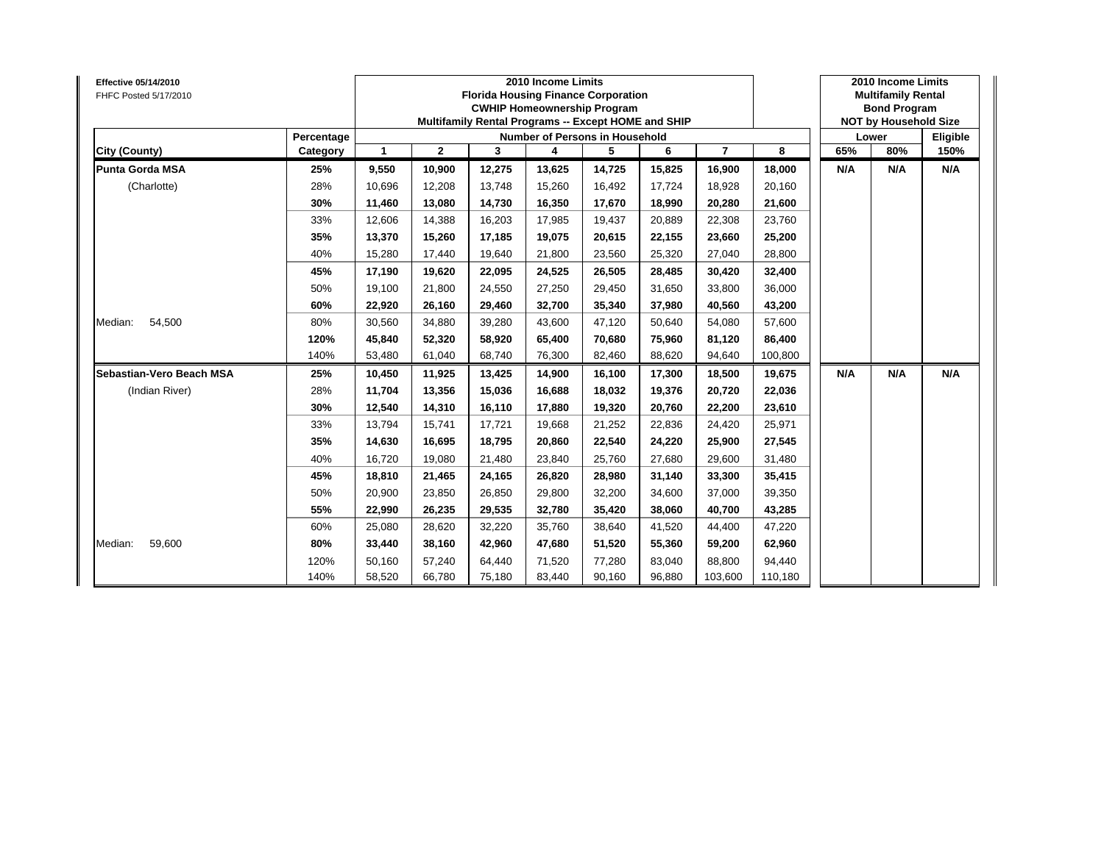| <b>Effective 05/14/2010</b><br>FHFC Posted 5/17/2010 |            |        |              | <b>Florida Housing Finance Corporation</b><br>Multifamily Rental Programs -- Except HOME and SHIP | 2010 Income Limits | <b>CWHIP Homeownership Program</b> |        |                |         |     | 2010 Income Limits<br><b>Multifamily Rental</b><br><b>Bond Program</b><br><b>NOT by Household Size</b> |          |
|------------------------------------------------------|------------|--------|--------------|---------------------------------------------------------------------------------------------------|--------------------|------------------------------------|--------|----------------|---------|-----|--------------------------------------------------------------------------------------------------------|----------|
|                                                      | Percentage |        |              |                                                                                                   |                    | Number of Persons in Household     |        |                |         |     | Lower                                                                                                  | Eligible |
| City (County)                                        | Category   | 1      | $\mathbf{2}$ | 3                                                                                                 | 4                  | 5                                  | 6      | $\overline{7}$ | 8       | 65% | 80%                                                                                                    | 150%     |
| <b>Punta Gorda MSA</b>                               | 25%        | 9,550  | 10,900       | 12,275                                                                                            | 13,625             | 14,725                             | 15,825 | 16,900         | 18,000  | N/A | N/A                                                                                                    | N/A      |
| (Charlotte)                                          | 28%        | 10,696 | 12,208       | 13,748                                                                                            | 15,260             | 16,492                             | 17,724 | 18,928         | 20,160  |     |                                                                                                        |          |
|                                                      | 30%        | 11,460 | 13,080       | 14,730                                                                                            | 16,350             | 17,670                             | 18,990 | 20,280         | 21,600  |     |                                                                                                        |          |
|                                                      | 33%        | 12,606 | 14,388       | 16,203                                                                                            | 17,985             | 19,437                             | 20,889 | 22,308         | 23,760  |     |                                                                                                        |          |
|                                                      | 35%        | 13,370 | 15,260       | 17,185                                                                                            | 19,075             | 20,615                             | 22,155 | 23,660         | 25,200  |     |                                                                                                        |          |
|                                                      | 40%        | 15,280 | 17,440       | 19,640                                                                                            | 21,800             | 23,560                             | 25,320 | 27,040         | 28,800  |     |                                                                                                        |          |
|                                                      | 45%        | 17,190 | 19,620       | 22,095                                                                                            | 24,525             | 26,505                             | 28,485 | 30,420         | 32,400  |     |                                                                                                        |          |
|                                                      | 50%        | 19,100 | 21,800       | 24,550                                                                                            | 27,250             | 29,450                             | 31,650 | 33,800         | 36,000  |     |                                                                                                        |          |
|                                                      | 60%        | 22,920 | 26,160       | 29,460                                                                                            | 32,700             | 35,340                             | 37,980 | 40,560         | 43,200  |     |                                                                                                        |          |
| Median:<br>54,500                                    | 80%        | 30,560 | 34,880       | 39,280                                                                                            | 43,600             | 47,120                             | 50,640 | 54,080         | 57,600  |     |                                                                                                        |          |
|                                                      | 120%       | 45,840 | 52,320       | 58,920                                                                                            | 65,400             | 70,680                             | 75,960 | 81,120         | 86,400  |     |                                                                                                        |          |
|                                                      | 140%       | 53,480 | 61,040       | 68,740                                                                                            | 76,300             | 82,460                             | 88,620 | 94,640         | 100,800 |     |                                                                                                        |          |
| Sebastian-Vero Beach MSA                             | 25%        | 10,450 | 11,925       | 13,425                                                                                            | 14,900             | 16,100                             | 17,300 | 18,500         | 19,675  | N/A | N/A                                                                                                    | N/A      |
| (Indian River)                                       | 28%        | 11,704 | 13,356       | 15,036                                                                                            | 16,688             | 18,032                             | 19,376 | 20,720         | 22,036  |     |                                                                                                        |          |
|                                                      | 30%        | 12,540 | 14,310       | 16,110                                                                                            | 17,880             | 19,320                             | 20,760 | 22,200         | 23,610  |     |                                                                                                        |          |
|                                                      | 33%        | 13,794 | 15,741       | 17,721                                                                                            | 19,668             | 21,252                             | 22,836 | 24,420         | 25,971  |     |                                                                                                        |          |
|                                                      | 35%        | 14,630 | 16,695       | 18,795                                                                                            | 20,860             | 22,540                             | 24,220 | 25,900         | 27,545  |     |                                                                                                        |          |
|                                                      | 40%        | 16,720 | 19,080       | 21,480                                                                                            | 23,840             | 25,760                             | 27,680 | 29,600         | 31,480  |     |                                                                                                        |          |
|                                                      | 45%        | 18,810 | 21,465       | 24,165                                                                                            | 26,820             | 28,980                             | 31,140 | 33,300         | 35,415  |     |                                                                                                        |          |
|                                                      | 50%        | 20,900 | 23,850       | 26,850                                                                                            | 29,800             | 32,200                             | 34,600 | 37,000         | 39,350  |     |                                                                                                        |          |
|                                                      | 55%        | 22,990 | 26,235       | 29,535                                                                                            | 32,780             | 35,420                             | 38,060 | 40,700         | 43,285  |     |                                                                                                        |          |
|                                                      | 60%        | 25,080 | 28,620       | 32,220                                                                                            | 35,760             | 38,640                             | 41,520 | 44,400         | 47,220  |     |                                                                                                        |          |
| 59,600<br>Median:                                    | 80%        | 33,440 | 38,160       | 42,960                                                                                            | 47,680             | 51,520                             | 55,360 | 59,200         | 62,960  |     |                                                                                                        |          |
|                                                      | 120%       | 50,160 | 57,240       | 64,440                                                                                            | 71,520             | 77,280                             | 83,040 | 88,800         | 94,440  |     |                                                                                                        |          |
|                                                      | 140%       | 58,520 | 66,780       | 75,180                                                                                            | 83,440             | 90,160                             | 96,880 | 103,600        | 110,180 |     |                                                                                                        |          |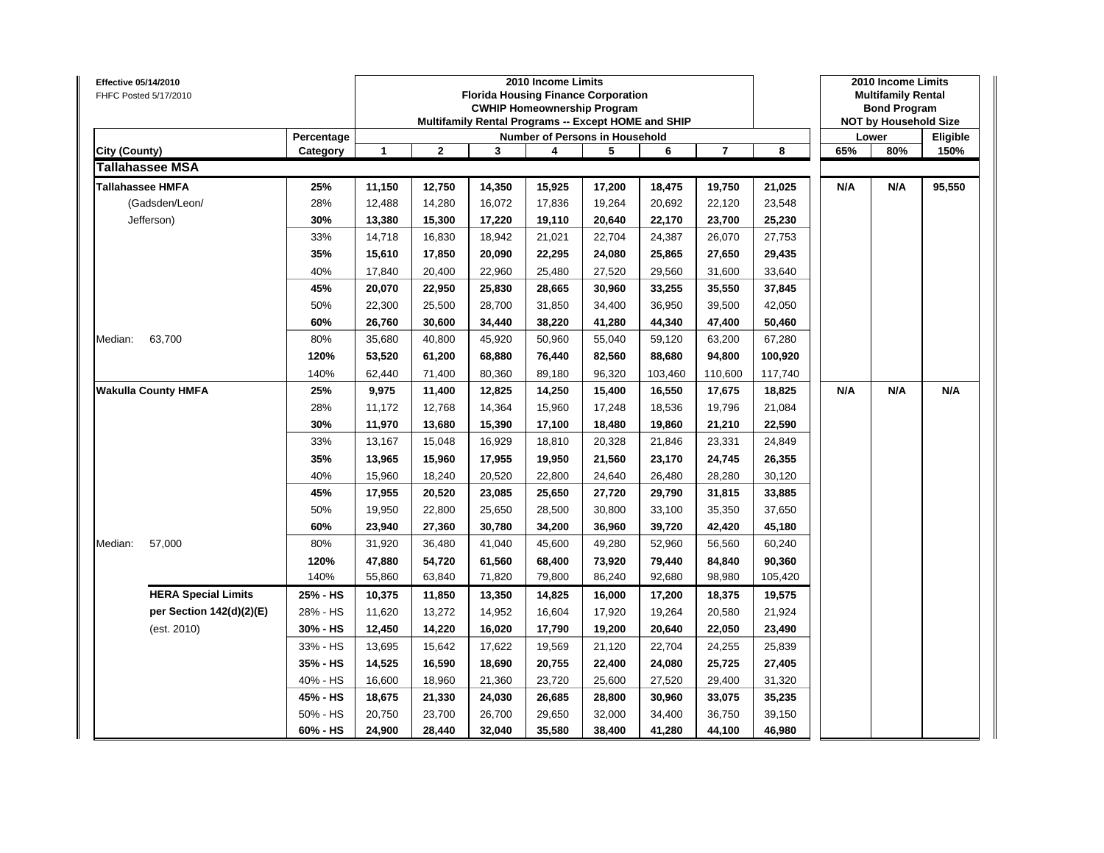| Effective 05/14/2010<br>FHFC Posted 5/17/2010 |                            |                        |        |              |        | 2010 Income Limits<br><b>Florida Housing Finance Corporation</b><br><b>CWHIP Homeownership Program</b><br>Multifamily Rental Programs -- Except HOME and SHIP |        |         |                |         |     | 2010 Income Limits<br><b>Multifamily Rental</b><br><b>Bond Program</b><br><b>NOT by Household Size</b> |                  |
|-----------------------------------------------|----------------------------|------------------------|--------|--------------|--------|---------------------------------------------------------------------------------------------------------------------------------------------------------------|--------|---------|----------------|---------|-----|--------------------------------------------------------------------------------------------------------|------------------|
| City (County)                                 |                            | Percentage<br>Category | 1      | $\mathbf{2}$ | 3      | Number of Persons in Household<br>4                                                                                                                           | 5      | 6       | $\overline{7}$ | 8       | 65% | Lower<br>80%                                                                                           | Eligible<br>150% |
|                                               | <b>Tallahassee MSA</b>     |                        |        |              |        |                                                                                                                                                               |        |         |                |         |     |                                                                                                        |                  |
| <b>Tallahassee HMFA</b>                       |                            | 25%                    | 11,150 | 12,750       | 14,350 | 15,925                                                                                                                                                        | 17,200 | 18,475  | 19,750         | 21,025  | N/A | N/A                                                                                                    | 95,550           |
|                                               | (Gadsden/Leon/             | 28%                    | 12,488 | 14,280       | 16,072 | 17,836                                                                                                                                                        | 19,264 | 20.692  | 22,120         | 23,548  |     |                                                                                                        |                  |
|                                               | Jefferson)                 | 30%                    | 13,380 | 15,300       | 17,220 | 19,110                                                                                                                                                        | 20,640 | 22,170  | 23,700         | 25,230  |     |                                                                                                        |                  |
|                                               |                            | 33%                    | 14,718 | 16,830       | 18,942 | 21,021                                                                                                                                                        | 22,704 | 24,387  | 26,070         | 27,753  |     |                                                                                                        |                  |
|                                               |                            | 35%                    | 15,610 | 17,850       | 20,090 | 22,295                                                                                                                                                        | 24,080 | 25,865  | 27,650         | 29,435  |     |                                                                                                        |                  |
|                                               |                            | 40%                    | 17,840 | 20,400       | 22,960 | 25,480                                                                                                                                                        | 27,520 | 29,560  | 31,600         | 33,640  |     |                                                                                                        |                  |
|                                               |                            | 45%                    | 20,070 | 22,950       | 25,830 | 28,665                                                                                                                                                        | 30,960 | 33,255  | 35,550         | 37,845  |     |                                                                                                        |                  |
|                                               |                            | 50%                    | 22,300 | 25,500       | 28,700 | 31,850                                                                                                                                                        | 34,400 | 36,950  | 39,500         | 42,050  |     |                                                                                                        |                  |
|                                               |                            | 60%                    | 26,760 | 30,600       | 34,440 | 38,220                                                                                                                                                        | 41,280 | 44,340  | 47,400         | 50,460  |     |                                                                                                        |                  |
| Median:                                       | 63,700                     | 80%                    | 35,680 | 40,800       | 45,920 | 50,960                                                                                                                                                        | 55,040 | 59,120  | 63,200         | 67,280  |     |                                                                                                        |                  |
|                                               |                            | 120%                   | 53,520 | 61,200       | 68,880 | 76,440                                                                                                                                                        | 82,560 | 88,680  | 94,800         | 100,920 |     |                                                                                                        |                  |
|                                               |                            | 140%                   | 62,440 | 71,400       | 80,360 | 89,180                                                                                                                                                        | 96,320 | 103,460 | 110,600        | 117,740 |     |                                                                                                        |                  |
|                                               | <b>Wakulla County HMFA</b> | 25%                    | 9,975  | 11,400       | 12,825 | 14,250                                                                                                                                                        | 15,400 | 16,550  | 17,675         | 18,825  | N/A | N/A                                                                                                    | N/A              |
|                                               |                            | 28%                    | 11,172 | 12,768       | 14,364 | 15,960                                                                                                                                                        | 17,248 | 18,536  | 19,796         | 21,084  |     |                                                                                                        |                  |
|                                               |                            | 30%                    | 11,970 | 13,680       | 15,390 | 17,100                                                                                                                                                        | 18,480 | 19,860  | 21,210         | 22,590  |     |                                                                                                        |                  |
|                                               |                            | 33%                    | 13,167 | 15,048       | 16,929 | 18,810                                                                                                                                                        | 20,328 | 21,846  | 23,331         | 24,849  |     |                                                                                                        |                  |
|                                               |                            | 35%                    | 13,965 | 15,960       | 17,955 | 19,950                                                                                                                                                        | 21,560 | 23,170  | 24,745         | 26,355  |     |                                                                                                        |                  |
|                                               |                            | 40%                    | 15,960 | 18,240       | 20,520 | 22,800                                                                                                                                                        | 24,640 | 26,480  | 28,280         | 30,120  |     |                                                                                                        |                  |
|                                               |                            | 45%                    | 17,955 | 20,520       | 23,085 | 25,650                                                                                                                                                        | 27,720 | 29,790  | 31,815         | 33,885  |     |                                                                                                        |                  |
|                                               |                            | 50%                    | 19,950 | 22,800       | 25,650 | 28,500                                                                                                                                                        | 30,800 | 33,100  | 35,350         | 37,650  |     |                                                                                                        |                  |
|                                               |                            | 60%                    | 23,940 | 27,360       | 30,780 | 34,200                                                                                                                                                        | 36,960 | 39,720  | 42,420         | 45,180  |     |                                                                                                        |                  |
| Median:                                       | 57,000                     | 80%                    | 31,920 | 36,480       | 41,040 | 45,600                                                                                                                                                        | 49,280 | 52,960  | 56,560         | 60,240  |     |                                                                                                        |                  |
|                                               |                            | 120%                   | 47,880 | 54,720       | 61,560 | 68,400                                                                                                                                                        | 73,920 | 79,440  | 84,840         | 90,360  |     |                                                                                                        |                  |
|                                               |                            | 140%                   | 55,860 | 63,840       | 71,820 | 79,800                                                                                                                                                        | 86,240 | 92,680  | 98,980         | 105,420 |     |                                                                                                        |                  |
|                                               | <b>HERA Special Limits</b> | 25% - HS               | 10,375 | 11,850       | 13,350 | 14,825                                                                                                                                                        | 16,000 | 17,200  | 18,375         | 19,575  |     |                                                                                                        |                  |
|                                               | per Section 142(d)(2)(E)   | 28% - HS               | 11,620 | 13,272       | 14,952 | 16,604                                                                                                                                                        | 17,920 | 19,264  | 20,580         | 21,924  |     |                                                                                                        |                  |
|                                               | (est. 2010)                | 30% - HS               | 12,450 | 14,220       | 16,020 | 17,790                                                                                                                                                        | 19,200 | 20,640  | 22,050         | 23,490  |     |                                                                                                        |                  |
|                                               |                            | 33% - HS               | 13,695 | 15,642       | 17,622 | 19,569                                                                                                                                                        | 21,120 | 22,704  | 24,255         | 25,839  |     |                                                                                                        |                  |
|                                               |                            | 35% - HS               | 14,525 | 16,590       | 18,690 | 20,755                                                                                                                                                        | 22,400 | 24,080  | 25,725         | 27,405  |     |                                                                                                        |                  |
|                                               |                            | 40% - HS               | 16,600 | 18,960       | 21,360 | 23,720                                                                                                                                                        | 25,600 | 27,520  | 29,400         | 31,320  |     |                                                                                                        |                  |
|                                               |                            | 45% - HS               | 18,675 | 21,330       | 24,030 | 26,685                                                                                                                                                        | 28,800 | 30,960  | 33,075         | 35,235  |     |                                                                                                        |                  |
|                                               |                            | 50% - HS               | 20,750 | 23,700       | 26,700 | 29,650                                                                                                                                                        | 32,000 | 34,400  | 36,750         | 39,150  |     |                                                                                                        |                  |
|                                               |                            | 60% - HS               | 24,900 | 28,440       | 32,040 | 35,580                                                                                                                                                        | 38,400 | 41,280  | 44,100         | 46,980  |     |                                                                                                        |                  |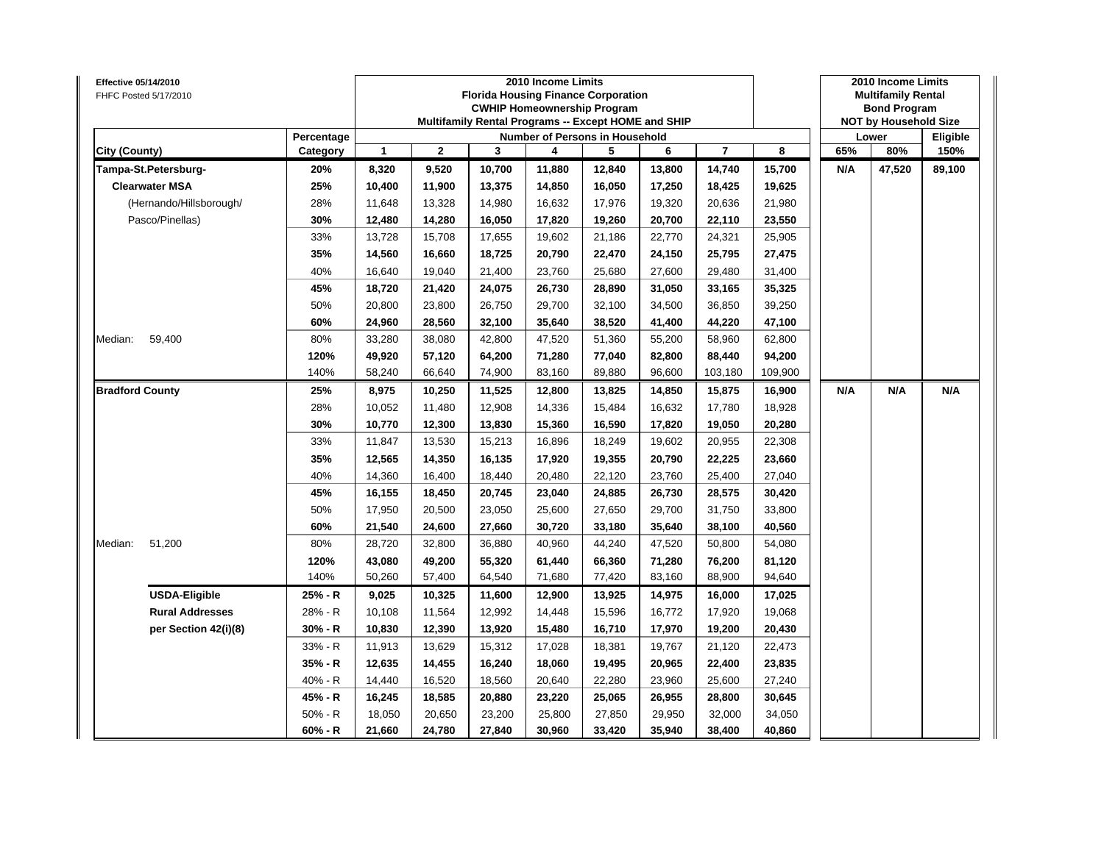| Number of Persons in Household<br>Percentage<br>Lower<br>$\mathbf{1}$<br>$\mathbf{2}$<br>3<br>6<br>$\overline{7}$<br>8<br>65%<br>80%<br>City (County)<br>Category<br>4<br>5<br>150%<br>20%<br>9,520<br>10,700<br>11,880<br>12,840<br>13,800<br>15,700<br>N/A<br>47,520<br>Tampa-St.Petersburg-<br>8,320<br>14,740<br>89,100<br><b>Clearwater MSA</b><br>25%<br>11,900<br>13,375<br>16,050<br>19,625<br>10,400<br>14,850<br>17,250<br>18,425<br>28%<br>(Hernando/Hillsborough/<br>13,328<br>14,980<br>17,976<br>19,320<br>20,636<br>21,980<br>11,648<br>16,632<br>Pasco/Pinellas)<br>30%<br>12,480<br>14,280<br>16,050<br>17,820<br>19,260<br>20,700<br>22,110<br>23,550<br>33%<br>25,905<br>13,728<br>15,708<br>17,655<br>19,602<br>21,186<br>22,770<br>24,321<br>35%<br>27,475<br>14,560<br>16,660<br>18,725<br>20,790<br>22,470<br>24,150<br>25,795<br>40%<br>16,640<br>19,040<br>21,400<br>23,760<br>25,680<br>27,600<br>29,480<br>31,400<br>45%<br>18,720<br>21,420<br>24,075<br>26,730<br>28,890<br>31,050<br>33,165<br>35,325<br>50%<br>23,800<br>26,750<br>29,700<br>32,100<br>39,250<br>20,800<br>34,500<br>36,850<br>60%<br>28,560<br>32,100<br>35,640<br>38,520<br>41,400<br>44,220<br>47,100<br>24,960<br>80%<br>33,280<br>38,080<br>42,800<br>47,520<br>51,360<br>55,200<br>58,960<br>62,800<br>Median:<br>59,400<br>120%<br>49,920<br>57,120<br>64,200<br>71,280<br>77,040<br>82,800<br>88,440<br>94,200<br>140%<br>58,240<br>66,640<br>74,900<br>83,160<br>89,880<br>96,600<br>103,180<br>109,900<br>25%<br>8,975<br>13,825<br>16,900<br>N/A<br>N/A<br><b>Bradford County</b><br>10,250<br>11,525<br>12,800<br>14,850<br>15,875<br>N/A<br>28%<br>12,908<br>15,484<br>17,780<br>18,928<br>10,052<br>11,480<br>14,336<br>16,632<br>30%<br>10,770<br>12,300<br>13,830<br>15,360<br>16,590<br>17,820<br>19,050<br>20,280<br>33%<br>11,847<br>13,530<br>15,213<br>18,249<br>20,955<br>22,308<br>16,896<br>19,602<br>35%<br>12,565<br>14,350<br>16,135<br>17,920<br>19,355<br>20,790<br>22,225<br>23,660<br>40%<br>27,040<br>14,360<br>16,400<br>18,440<br>20,480<br>22,120<br>23,760<br>25,400<br>45%<br>30,420<br>16,155<br>18,450<br>20,745<br>23,040<br>24,885<br>26,730<br>28,575<br>50%<br>17,950<br>20,500<br>23,050<br>25,600<br>27,650<br>29,700<br>31,750<br>33,800<br>60%<br>21,540<br>24,600<br>27,660<br>30,720<br>33,180<br>35,640<br>38,100<br>40,560<br>51,200<br>44,240<br>54,080<br>Median:<br>80%<br>28,720<br>32,800<br>36,880<br>40,960<br>47,520<br>50,800<br>120%<br>49,200<br>55,320<br>81,120<br>43,080<br>61,440<br>66,360<br>71,280<br>76,200<br>140%<br>50,260<br>64,540<br>71,680<br>77,420<br>83,160<br>88,900<br>94,640<br>57,400<br><b>USDA-Eligible</b><br>25% - R<br>9,025<br>10,325<br>12,900<br>13,925<br>17,025<br>11,600<br>14,975<br>16,000<br><b>Rural Addresses</b><br>28% - R<br>10,108<br>11,564<br>12,992<br>14,448<br>15,596<br>16,772<br>17,920<br>19,068<br>30% - R<br>10,830<br>16,710<br>per Section 42(i)(8)<br>12,390<br>13,920<br>15,480<br>17,970<br>19,200<br>20,430<br>33% - R<br>15,312<br>19,767<br>22,473<br>11,913<br>13,629<br>17,028<br>18,381<br>21,120<br>$35% - R$<br>12,635<br>14,455<br>16,240<br>18,060<br>19,495<br>20,965<br>22,400<br>23,835<br>40% - R<br>16,520<br>18,560<br>20,640<br>22,280<br>23,960<br>25,600<br>27,240<br>14,440<br>45% - R<br>18,585<br>30,645<br>16,245<br>20,880<br>23,220<br>25,065<br>26,955<br>28,800<br>$50% - R$<br>27,850<br>34,050<br>18,050<br>20,650<br>23,200<br>25,800<br>29,950<br>32,000 | Effective 05/14/2010<br>FHFC Posted 5/17/2010 |         |        |        |        | 2010 Income Limits<br><b>Florida Housing Finance Corporation</b><br><b>CWHIP Homeownership Program</b><br>Multifamily Rental Programs -- Except HOME and SHIP |        |        |        |        | 2010 Income Limits<br><b>Multifamily Rental</b><br><b>Bond Program</b><br><b>NOT by Household Size</b> |          |
|---------------------------------------------------------------------------------------------------------------------------------------------------------------------------------------------------------------------------------------------------------------------------------------------------------------------------------------------------------------------------------------------------------------------------------------------------------------------------------------------------------------------------------------------------------------------------------------------------------------------------------------------------------------------------------------------------------------------------------------------------------------------------------------------------------------------------------------------------------------------------------------------------------------------------------------------------------------------------------------------------------------------------------------------------------------------------------------------------------------------------------------------------------------------------------------------------------------------------------------------------------------------------------------------------------------------------------------------------------------------------------------------------------------------------------------------------------------------------------------------------------------------------------------------------------------------------------------------------------------------------------------------------------------------------------------------------------------------------------------------------------------------------------------------------------------------------------------------------------------------------------------------------------------------------------------------------------------------------------------------------------------------------------------------------------------------------------------------------------------------------------------------------------------------------------------------------------------------------------------------------------------------------------------------------------------------------------------------------------------------------------------------------------------------------------------------------------------------------------------------------------------------------------------------------------------------------------------------------------------------------------------------------------------------------------------------------------------------------------------------------------------------------------------------------------------------------------------------------------------------------------------------------------------------------------------------------------------------------------------------------------------------------------------------------------------------------------------------------------------------------------------------------------------------------------------------------------------------------------------------------------------------------------------------------------------------------------------------------------------------------------------------------------------------------------------------------------------------------------------------------------------|-----------------------------------------------|---------|--------|--------|--------|---------------------------------------------------------------------------------------------------------------------------------------------------------------|--------|--------|--------|--------|--------------------------------------------------------------------------------------------------------|----------|
|                                                                                                                                                                                                                                                                                                                                                                                                                                                                                                                                                                                                                                                                                                                                                                                                                                                                                                                                                                                                                                                                                                                                                                                                                                                                                                                                                                                                                                                                                                                                                                                                                                                                                                                                                                                                                                                                                                                                                                                                                                                                                                                                                                                                                                                                                                                                                                                                                                                                                                                                                                                                                                                                                                                                                                                                                                                                                                                                                                                                                                                                                                                                                                                                                                                                                                                                                                                                                                                                                                               |                                               |         |        |        |        |                                                                                                                                                               |        |        |        |        |                                                                                                        | Eligible |
|                                                                                                                                                                                                                                                                                                                                                                                                                                                                                                                                                                                                                                                                                                                                                                                                                                                                                                                                                                                                                                                                                                                                                                                                                                                                                                                                                                                                                                                                                                                                                                                                                                                                                                                                                                                                                                                                                                                                                                                                                                                                                                                                                                                                                                                                                                                                                                                                                                                                                                                                                                                                                                                                                                                                                                                                                                                                                                                                                                                                                                                                                                                                                                                                                                                                                                                                                                                                                                                                                                               |                                               |         |        |        |        |                                                                                                                                                               |        |        |        |        |                                                                                                        |          |
|                                                                                                                                                                                                                                                                                                                                                                                                                                                                                                                                                                                                                                                                                                                                                                                                                                                                                                                                                                                                                                                                                                                                                                                                                                                                                                                                                                                                                                                                                                                                                                                                                                                                                                                                                                                                                                                                                                                                                                                                                                                                                                                                                                                                                                                                                                                                                                                                                                                                                                                                                                                                                                                                                                                                                                                                                                                                                                                                                                                                                                                                                                                                                                                                                                                                                                                                                                                                                                                                                                               |                                               |         |        |        |        |                                                                                                                                                               |        |        |        |        |                                                                                                        |          |
|                                                                                                                                                                                                                                                                                                                                                                                                                                                                                                                                                                                                                                                                                                                                                                                                                                                                                                                                                                                                                                                                                                                                                                                                                                                                                                                                                                                                                                                                                                                                                                                                                                                                                                                                                                                                                                                                                                                                                                                                                                                                                                                                                                                                                                                                                                                                                                                                                                                                                                                                                                                                                                                                                                                                                                                                                                                                                                                                                                                                                                                                                                                                                                                                                                                                                                                                                                                                                                                                                                               |                                               |         |        |        |        |                                                                                                                                                               |        |        |        |        |                                                                                                        |          |
|                                                                                                                                                                                                                                                                                                                                                                                                                                                                                                                                                                                                                                                                                                                                                                                                                                                                                                                                                                                                                                                                                                                                                                                                                                                                                                                                                                                                                                                                                                                                                                                                                                                                                                                                                                                                                                                                                                                                                                                                                                                                                                                                                                                                                                                                                                                                                                                                                                                                                                                                                                                                                                                                                                                                                                                                                                                                                                                                                                                                                                                                                                                                                                                                                                                                                                                                                                                                                                                                                                               |                                               |         |        |        |        |                                                                                                                                                               |        |        |        |        |                                                                                                        |          |
|                                                                                                                                                                                                                                                                                                                                                                                                                                                                                                                                                                                                                                                                                                                                                                                                                                                                                                                                                                                                                                                                                                                                                                                                                                                                                                                                                                                                                                                                                                                                                                                                                                                                                                                                                                                                                                                                                                                                                                                                                                                                                                                                                                                                                                                                                                                                                                                                                                                                                                                                                                                                                                                                                                                                                                                                                                                                                                                                                                                                                                                                                                                                                                                                                                                                                                                                                                                                                                                                                                               |                                               |         |        |        |        |                                                                                                                                                               |        |        |        |        |                                                                                                        |          |
|                                                                                                                                                                                                                                                                                                                                                                                                                                                                                                                                                                                                                                                                                                                                                                                                                                                                                                                                                                                                                                                                                                                                                                                                                                                                                                                                                                                                                                                                                                                                                                                                                                                                                                                                                                                                                                                                                                                                                                                                                                                                                                                                                                                                                                                                                                                                                                                                                                                                                                                                                                                                                                                                                                                                                                                                                                                                                                                                                                                                                                                                                                                                                                                                                                                                                                                                                                                                                                                                                                               |                                               |         |        |        |        |                                                                                                                                                               |        |        |        |        |                                                                                                        |          |
|                                                                                                                                                                                                                                                                                                                                                                                                                                                                                                                                                                                                                                                                                                                                                                                                                                                                                                                                                                                                                                                                                                                                                                                                                                                                                                                                                                                                                                                                                                                                                                                                                                                                                                                                                                                                                                                                                                                                                                                                                                                                                                                                                                                                                                                                                                                                                                                                                                                                                                                                                                                                                                                                                                                                                                                                                                                                                                                                                                                                                                                                                                                                                                                                                                                                                                                                                                                                                                                                                                               |                                               |         |        |        |        |                                                                                                                                                               |        |        |        |        |                                                                                                        |          |
|                                                                                                                                                                                                                                                                                                                                                                                                                                                                                                                                                                                                                                                                                                                                                                                                                                                                                                                                                                                                                                                                                                                                                                                                                                                                                                                                                                                                                                                                                                                                                                                                                                                                                                                                                                                                                                                                                                                                                                                                                                                                                                                                                                                                                                                                                                                                                                                                                                                                                                                                                                                                                                                                                                                                                                                                                                                                                                                                                                                                                                                                                                                                                                                                                                                                                                                                                                                                                                                                                                               |                                               |         |        |        |        |                                                                                                                                                               |        |        |        |        |                                                                                                        |          |
|                                                                                                                                                                                                                                                                                                                                                                                                                                                                                                                                                                                                                                                                                                                                                                                                                                                                                                                                                                                                                                                                                                                                                                                                                                                                                                                                                                                                                                                                                                                                                                                                                                                                                                                                                                                                                                                                                                                                                                                                                                                                                                                                                                                                                                                                                                                                                                                                                                                                                                                                                                                                                                                                                                                                                                                                                                                                                                                                                                                                                                                                                                                                                                                                                                                                                                                                                                                                                                                                                                               |                                               |         |        |        |        |                                                                                                                                                               |        |        |        |        |                                                                                                        |          |
|                                                                                                                                                                                                                                                                                                                                                                                                                                                                                                                                                                                                                                                                                                                                                                                                                                                                                                                                                                                                                                                                                                                                                                                                                                                                                                                                                                                                                                                                                                                                                                                                                                                                                                                                                                                                                                                                                                                                                                                                                                                                                                                                                                                                                                                                                                                                                                                                                                                                                                                                                                                                                                                                                                                                                                                                                                                                                                                                                                                                                                                                                                                                                                                                                                                                                                                                                                                                                                                                                                               |                                               |         |        |        |        |                                                                                                                                                               |        |        |        |        |                                                                                                        |          |
|                                                                                                                                                                                                                                                                                                                                                                                                                                                                                                                                                                                                                                                                                                                                                                                                                                                                                                                                                                                                                                                                                                                                                                                                                                                                                                                                                                                                                                                                                                                                                                                                                                                                                                                                                                                                                                                                                                                                                                                                                                                                                                                                                                                                                                                                                                                                                                                                                                                                                                                                                                                                                                                                                                                                                                                                                                                                                                                                                                                                                                                                                                                                                                                                                                                                                                                                                                                                                                                                                                               |                                               |         |        |        |        |                                                                                                                                                               |        |        |        |        |                                                                                                        |          |
|                                                                                                                                                                                                                                                                                                                                                                                                                                                                                                                                                                                                                                                                                                                                                                                                                                                                                                                                                                                                                                                                                                                                                                                                                                                                                                                                                                                                                                                                                                                                                                                                                                                                                                                                                                                                                                                                                                                                                                                                                                                                                                                                                                                                                                                                                                                                                                                                                                                                                                                                                                                                                                                                                                                                                                                                                                                                                                                                                                                                                                                                                                                                                                                                                                                                                                                                                                                                                                                                                                               |                                               |         |        |        |        |                                                                                                                                                               |        |        |        |        |                                                                                                        |          |
|                                                                                                                                                                                                                                                                                                                                                                                                                                                                                                                                                                                                                                                                                                                                                                                                                                                                                                                                                                                                                                                                                                                                                                                                                                                                                                                                                                                                                                                                                                                                                                                                                                                                                                                                                                                                                                                                                                                                                                                                                                                                                                                                                                                                                                                                                                                                                                                                                                                                                                                                                                                                                                                                                                                                                                                                                                                                                                                                                                                                                                                                                                                                                                                                                                                                                                                                                                                                                                                                                                               |                                               |         |        |        |        |                                                                                                                                                               |        |        |        |        |                                                                                                        |          |
|                                                                                                                                                                                                                                                                                                                                                                                                                                                                                                                                                                                                                                                                                                                                                                                                                                                                                                                                                                                                                                                                                                                                                                                                                                                                                                                                                                                                                                                                                                                                                                                                                                                                                                                                                                                                                                                                                                                                                                                                                                                                                                                                                                                                                                                                                                                                                                                                                                                                                                                                                                                                                                                                                                                                                                                                                                                                                                                                                                                                                                                                                                                                                                                                                                                                                                                                                                                                                                                                                                               |                                               |         |        |        |        |                                                                                                                                                               |        |        |        |        |                                                                                                        |          |
|                                                                                                                                                                                                                                                                                                                                                                                                                                                                                                                                                                                                                                                                                                                                                                                                                                                                                                                                                                                                                                                                                                                                                                                                                                                                                                                                                                                                                                                                                                                                                                                                                                                                                                                                                                                                                                                                                                                                                                                                                                                                                                                                                                                                                                                                                                                                                                                                                                                                                                                                                                                                                                                                                                                                                                                                                                                                                                                                                                                                                                                                                                                                                                                                                                                                                                                                                                                                                                                                                                               |                                               |         |        |        |        |                                                                                                                                                               |        |        |        |        |                                                                                                        |          |
|                                                                                                                                                                                                                                                                                                                                                                                                                                                                                                                                                                                                                                                                                                                                                                                                                                                                                                                                                                                                                                                                                                                                                                                                                                                                                                                                                                                                                                                                                                                                                                                                                                                                                                                                                                                                                                                                                                                                                                                                                                                                                                                                                                                                                                                                                                                                                                                                                                                                                                                                                                                                                                                                                                                                                                                                                                                                                                                                                                                                                                                                                                                                                                                                                                                                                                                                                                                                                                                                                                               |                                               |         |        |        |        |                                                                                                                                                               |        |        |        |        |                                                                                                        |          |
|                                                                                                                                                                                                                                                                                                                                                                                                                                                                                                                                                                                                                                                                                                                                                                                                                                                                                                                                                                                                                                                                                                                                                                                                                                                                                                                                                                                                                                                                                                                                                                                                                                                                                                                                                                                                                                                                                                                                                                                                                                                                                                                                                                                                                                                                                                                                                                                                                                                                                                                                                                                                                                                                                                                                                                                                                                                                                                                                                                                                                                                                                                                                                                                                                                                                                                                                                                                                                                                                                                               |                                               |         |        |        |        |                                                                                                                                                               |        |        |        |        |                                                                                                        |          |
|                                                                                                                                                                                                                                                                                                                                                                                                                                                                                                                                                                                                                                                                                                                                                                                                                                                                                                                                                                                                                                                                                                                                                                                                                                                                                                                                                                                                                                                                                                                                                                                                                                                                                                                                                                                                                                                                                                                                                                                                                                                                                                                                                                                                                                                                                                                                                                                                                                                                                                                                                                                                                                                                                                                                                                                                                                                                                                                                                                                                                                                                                                                                                                                                                                                                                                                                                                                                                                                                                                               |                                               |         |        |        |        |                                                                                                                                                               |        |        |        |        |                                                                                                        |          |
|                                                                                                                                                                                                                                                                                                                                                                                                                                                                                                                                                                                                                                                                                                                                                                                                                                                                                                                                                                                                                                                                                                                                                                                                                                                                                                                                                                                                                                                                                                                                                                                                                                                                                                                                                                                                                                                                                                                                                                                                                                                                                                                                                                                                                                                                                                                                                                                                                                                                                                                                                                                                                                                                                                                                                                                                                                                                                                                                                                                                                                                                                                                                                                                                                                                                                                                                                                                                                                                                                                               |                                               |         |        |        |        |                                                                                                                                                               |        |        |        |        |                                                                                                        |          |
|                                                                                                                                                                                                                                                                                                                                                                                                                                                                                                                                                                                                                                                                                                                                                                                                                                                                                                                                                                                                                                                                                                                                                                                                                                                                                                                                                                                                                                                                                                                                                                                                                                                                                                                                                                                                                                                                                                                                                                                                                                                                                                                                                                                                                                                                                                                                                                                                                                                                                                                                                                                                                                                                                                                                                                                                                                                                                                                                                                                                                                                                                                                                                                                                                                                                                                                                                                                                                                                                                                               |                                               |         |        |        |        |                                                                                                                                                               |        |        |        |        |                                                                                                        |          |
|                                                                                                                                                                                                                                                                                                                                                                                                                                                                                                                                                                                                                                                                                                                                                                                                                                                                                                                                                                                                                                                                                                                                                                                                                                                                                                                                                                                                                                                                                                                                                                                                                                                                                                                                                                                                                                                                                                                                                                                                                                                                                                                                                                                                                                                                                                                                                                                                                                                                                                                                                                                                                                                                                                                                                                                                                                                                                                                                                                                                                                                                                                                                                                                                                                                                                                                                                                                                                                                                                                               |                                               |         |        |        |        |                                                                                                                                                               |        |        |        |        |                                                                                                        |          |
|                                                                                                                                                                                                                                                                                                                                                                                                                                                                                                                                                                                                                                                                                                                                                                                                                                                                                                                                                                                                                                                                                                                                                                                                                                                                                                                                                                                                                                                                                                                                                                                                                                                                                                                                                                                                                                                                                                                                                                                                                                                                                                                                                                                                                                                                                                                                                                                                                                                                                                                                                                                                                                                                                                                                                                                                                                                                                                                                                                                                                                                                                                                                                                                                                                                                                                                                                                                                                                                                                                               |                                               |         |        |        |        |                                                                                                                                                               |        |        |        |        |                                                                                                        |          |
|                                                                                                                                                                                                                                                                                                                                                                                                                                                                                                                                                                                                                                                                                                                                                                                                                                                                                                                                                                                                                                                                                                                                                                                                                                                                                                                                                                                                                                                                                                                                                                                                                                                                                                                                                                                                                                                                                                                                                                                                                                                                                                                                                                                                                                                                                                                                                                                                                                                                                                                                                                                                                                                                                                                                                                                                                                                                                                                                                                                                                                                                                                                                                                                                                                                                                                                                                                                                                                                                                                               |                                               |         |        |        |        |                                                                                                                                                               |        |        |        |        |                                                                                                        |          |
|                                                                                                                                                                                                                                                                                                                                                                                                                                                                                                                                                                                                                                                                                                                                                                                                                                                                                                                                                                                                                                                                                                                                                                                                                                                                                                                                                                                                                                                                                                                                                                                                                                                                                                                                                                                                                                                                                                                                                                                                                                                                                                                                                                                                                                                                                                                                                                                                                                                                                                                                                                                                                                                                                                                                                                                                                                                                                                                                                                                                                                                                                                                                                                                                                                                                                                                                                                                                                                                                                                               |                                               |         |        |        |        |                                                                                                                                                               |        |        |        |        |                                                                                                        |          |
|                                                                                                                                                                                                                                                                                                                                                                                                                                                                                                                                                                                                                                                                                                                                                                                                                                                                                                                                                                                                                                                                                                                                                                                                                                                                                                                                                                                                                                                                                                                                                                                                                                                                                                                                                                                                                                                                                                                                                                                                                                                                                                                                                                                                                                                                                                                                                                                                                                                                                                                                                                                                                                                                                                                                                                                                                                                                                                                                                                                                                                                                                                                                                                                                                                                                                                                                                                                                                                                                                                               |                                               |         |        |        |        |                                                                                                                                                               |        |        |        |        |                                                                                                        |          |
|                                                                                                                                                                                                                                                                                                                                                                                                                                                                                                                                                                                                                                                                                                                                                                                                                                                                                                                                                                                                                                                                                                                                                                                                                                                                                                                                                                                                                                                                                                                                                                                                                                                                                                                                                                                                                                                                                                                                                                                                                                                                                                                                                                                                                                                                                                                                                                                                                                                                                                                                                                                                                                                                                                                                                                                                                                                                                                                                                                                                                                                                                                                                                                                                                                                                                                                                                                                                                                                                                                               |                                               |         |        |        |        |                                                                                                                                                               |        |        |        |        |                                                                                                        |          |
|                                                                                                                                                                                                                                                                                                                                                                                                                                                                                                                                                                                                                                                                                                                                                                                                                                                                                                                                                                                                                                                                                                                                                                                                                                                                                                                                                                                                                                                                                                                                                                                                                                                                                                                                                                                                                                                                                                                                                                                                                                                                                                                                                                                                                                                                                                                                                                                                                                                                                                                                                                                                                                                                                                                                                                                                                                                                                                                                                                                                                                                                                                                                                                                                                                                                                                                                                                                                                                                                                                               |                                               |         |        |        |        |                                                                                                                                                               |        |        |        |        |                                                                                                        |          |
|                                                                                                                                                                                                                                                                                                                                                                                                                                                                                                                                                                                                                                                                                                                                                                                                                                                                                                                                                                                                                                                                                                                                                                                                                                                                                                                                                                                                                                                                                                                                                                                                                                                                                                                                                                                                                                                                                                                                                                                                                                                                                                                                                                                                                                                                                                                                                                                                                                                                                                                                                                                                                                                                                                                                                                                                                                                                                                                                                                                                                                                                                                                                                                                                                                                                                                                                                                                                                                                                                                               |                                               |         |        |        |        |                                                                                                                                                               |        |        |        |        |                                                                                                        |          |
|                                                                                                                                                                                                                                                                                                                                                                                                                                                                                                                                                                                                                                                                                                                                                                                                                                                                                                                                                                                                                                                                                                                                                                                                                                                                                                                                                                                                                                                                                                                                                                                                                                                                                                                                                                                                                                                                                                                                                                                                                                                                                                                                                                                                                                                                                                                                                                                                                                                                                                                                                                                                                                                                                                                                                                                                                                                                                                                                                                                                                                                                                                                                                                                                                                                                                                                                                                                                                                                                                                               |                                               |         |        |        |        |                                                                                                                                                               |        |        |        |        |                                                                                                        |          |
|                                                                                                                                                                                                                                                                                                                                                                                                                                                                                                                                                                                                                                                                                                                                                                                                                                                                                                                                                                                                                                                                                                                                                                                                                                                                                                                                                                                                                                                                                                                                                                                                                                                                                                                                                                                                                                                                                                                                                                                                                                                                                                                                                                                                                                                                                                                                                                                                                                                                                                                                                                                                                                                                                                                                                                                                                                                                                                                                                                                                                                                                                                                                                                                                                                                                                                                                                                                                                                                                                                               |                                               |         |        |        |        |                                                                                                                                                               |        |        |        |        |                                                                                                        |          |
|                                                                                                                                                                                                                                                                                                                                                                                                                                                                                                                                                                                                                                                                                                                                                                                                                                                                                                                                                                                                                                                                                                                                                                                                                                                                                                                                                                                                                                                                                                                                                                                                                                                                                                                                                                                                                                                                                                                                                                                                                                                                                                                                                                                                                                                                                                                                                                                                                                                                                                                                                                                                                                                                                                                                                                                                                                                                                                                                                                                                                                                                                                                                                                                                                                                                                                                                                                                                                                                                                                               |                                               |         |        |        |        |                                                                                                                                                               |        |        |        |        |                                                                                                        |          |
|                                                                                                                                                                                                                                                                                                                                                                                                                                                                                                                                                                                                                                                                                                                                                                                                                                                                                                                                                                                                                                                                                                                                                                                                                                                                                                                                                                                                                                                                                                                                                                                                                                                                                                                                                                                                                                                                                                                                                                                                                                                                                                                                                                                                                                                                                                                                                                                                                                                                                                                                                                                                                                                                                                                                                                                                                                                                                                                                                                                                                                                                                                                                                                                                                                                                                                                                                                                                                                                                                                               |                                               |         |        |        |        |                                                                                                                                                               |        |        |        |        |                                                                                                        |          |
|                                                                                                                                                                                                                                                                                                                                                                                                                                                                                                                                                                                                                                                                                                                                                                                                                                                                                                                                                                                                                                                                                                                                                                                                                                                                                                                                                                                                                                                                                                                                                                                                                                                                                                                                                                                                                                                                                                                                                                                                                                                                                                                                                                                                                                                                                                                                                                                                                                                                                                                                                                                                                                                                                                                                                                                                                                                                                                                                                                                                                                                                                                                                                                                                                                                                                                                                                                                                                                                                                                               |                                               |         |        |        |        |                                                                                                                                                               |        |        |        |        |                                                                                                        |          |
|                                                                                                                                                                                                                                                                                                                                                                                                                                                                                                                                                                                                                                                                                                                                                                                                                                                                                                                                                                                                                                                                                                                                                                                                                                                                                                                                                                                                                                                                                                                                                                                                                                                                                                                                                                                                                                                                                                                                                                                                                                                                                                                                                                                                                                                                                                                                                                                                                                                                                                                                                                                                                                                                                                                                                                                                                                                                                                                                                                                                                                                                                                                                                                                                                                                                                                                                                                                                                                                                                                               |                                               |         |        |        |        |                                                                                                                                                               |        |        |        |        |                                                                                                        |          |
|                                                                                                                                                                                                                                                                                                                                                                                                                                                                                                                                                                                                                                                                                                                                                                                                                                                                                                                                                                                                                                                                                                                                                                                                                                                                                                                                                                                                                                                                                                                                                                                                                                                                                                                                                                                                                                                                                                                                                                                                                                                                                                                                                                                                                                                                                                                                                                                                                                                                                                                                                                                                                                                                                                                                                                                                                                                                                                                                                                                                                                                                                                                                                                                                                                                                                                                                                                                                                                                                                                               |                                               | 60% - R | 21,660 | 24,780 | 27,840 | 30,960                                                                                                                                                        | 33,420 | 35,940 | 38,400 | 40,860 |                                                                                                        |          |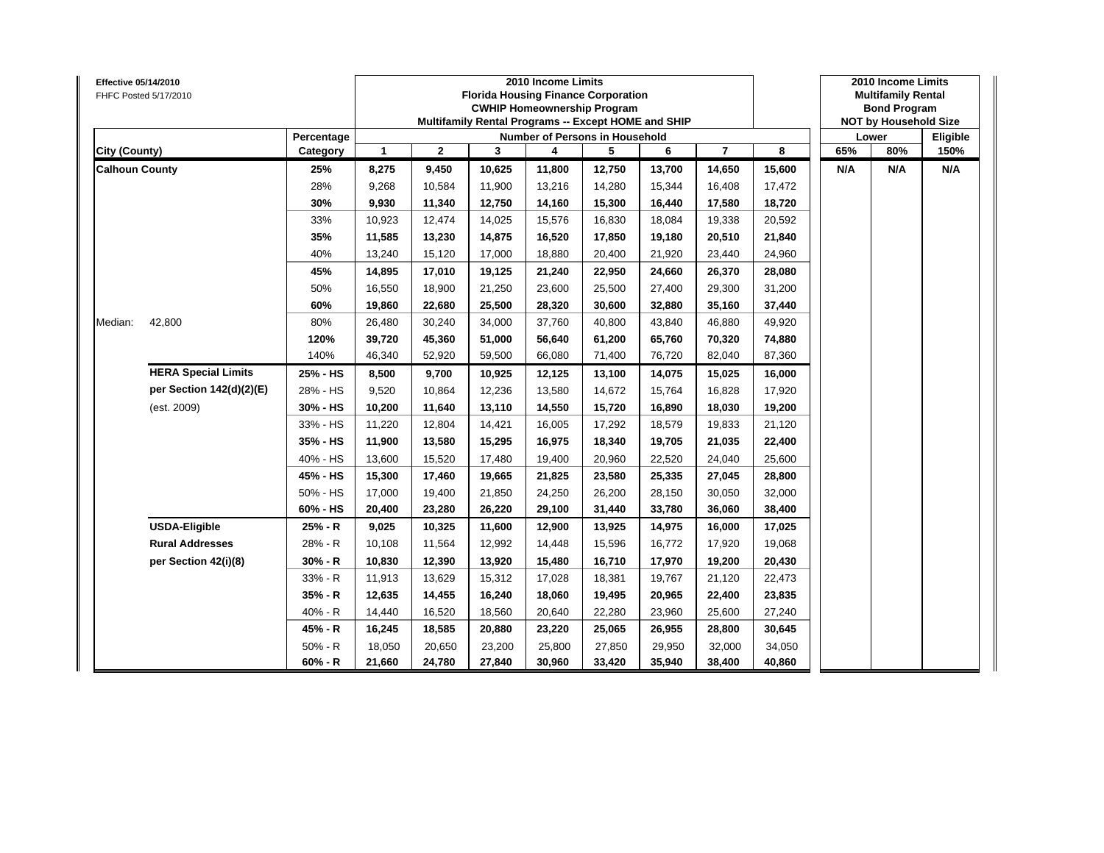| Effective 05/14/2010  | FHFC Posted 5/17/2010      |            |              |              |        | 2010 Income Limits<br><b>Florida Housing Finance Corporation</b><br><b>CWHIP Homeownership Program</b><br>Multifamily Rental Programs -- Except HOME and SHIP |        |        |                |        |     | 2010 Income Limits<br><b>Multifamily Rental</b><br><b>Bond Program</b><br><b>NOT by Household Size</b> |          |
|-----------------------|----------------------------|------------|--------------|--------------|--------|---------------------------------------------------------------------------------------------------------------------------------------------------------------|--------|--------|----------------|--------|-----|--------------------------------------------------------------------------------------------------------|----------|
|                       |                            | Percentage |              |              |        | Number of Persons in Household                                                                                                                                |        |        |                |        |     | Lower                                                                                                  | Eligible |
| City (County)         |                            | Category   | $\mathbf{1}$ | $\mathbf{2}$ | 3      | 4                                                                                                                                                             | 5      | 6      | $\overline{7}$ | 8      | 65% | 80%                                                                                                    | 150%     |
| <b>Calhoun County</b> |                            | 25%        | 8,275        | 9,450        | 10,625 | 11,800                                                                                                                                                        | 12,750 | 13,700 | 14,650         | 15,600 | N/A | N/A                                                                                                    | N/A      |
|                       |                            | 28%        | 9,268        | 10,584       | 11,900 | 13,216                                                                                                                                                        | 14,280 | 15,344 | 16,408         | 17,472 |     |                                                                                                        |          |
|                       |                            | 30%        | 9,930        | 11,340       | 12,750 | 14,160                                                                                                                                                        | 15,300 | 16,440 | 17,580         | 18,720 |     |                                                                                                        |          |
|                       |                            | 33%        | 10,923       | 12,474       | 14,025 | 15,576                                                                                                                                                        | 16,830 | 18,084 | 19,338         | 20,592 |     |                                                                                                        |          |
|                       |                            | 35%        | 11,585       | 13,230       | 14,875 | 16,520                                                                                                                                                        | 17,850 | 19,180 | 20,510         | 21,840 |     |                                                                                                        |          |
|                       |                            | 40%        | 13,240       | 15,120       | 17,000 | 18,880                                                                                                                                                        | 20,400 | 21,920 | 23,440         | 24,960 |     |                                                                                                        |          |
|                       |                            | 45%        | 14,895       | 17,010       | 19,125 | 21,240                                                                                                                                                        | 22,950 | 24,660 | 26,370         | 28,080 |     |                                                                                                        |          |
|                       |                            | 50%        | 16,550       | 18,900       | 21,250 | 23,600                                                                                                                                                        | 25,500 | 27,400 | 29,300         | 31,200 |     |                                                                                                        |          |
|                       |                            | 60%        | 19,860       | 22,680       | 25,500 | 28,320                                                                                                                                                        | 30,600 | 32,880 | 35,160         | 37,440 |     |                                                                                                        |          |
| Median:               | 42,800                     | 80%        | 26,480       | 30,240       | 34,000 | 37,760                                                                                                                                                        | 40,800 | 43,840 | 46,880         | 49,920 |     |                                                                                                        |          |
|                       |                            | 120%       | 39,720       | 45,360       | 51,000 | 56,640                                                                                                                                                        | 61,200 | 65,760 | 70,320         | 74,880 |     |                                                                                                        |          |
|                       |                            | 140%       | 46,340       | 52,920       | 59,500 | 66,080                                                                                                                                                        | 71,400 | 76,720 | 82,040         | 87,360 |     |                                                                                                        |          |
|                       | <b>HERA Special Limits</b> | 25% - HS   | 8,500        | 9,700        | 10,925 | 12,125                                                                                                                                                        | 13,100 | 14,075 | 15,025         | 16,000 |     |                                                                                                        |          |
|                       | per Section 142(d)(2)(E)   | 28% - HS   | 9,520        | 10,864       | 12,236 | 13,580                                                                                                                                                        | 14,672 | 15.764 | 16,828         | 17,920 |     |                                                                                                        |          |
|                       | (est. 2009)                | 30% - HS   | 10,200       | 11,640       | 13,110 | 14,550                                                                                                                                                        | 15,720 | 16,890 | 18,030         | 19,200 |     |                                                                                                        |          |
|                       |                            | 33% - HS   | 11,220       | 12,804       | 14,421 | 16,005                                                                                                                                                        | 17,292 | 18,579 | 19,833         | 21,120 |     |                                                                                                        |          |
|                       |                            | 35% - HS   | 11,900       | 13,580       | 15,295 | 16,975                                                                                                                                                        | 18,340 | 19,705 | 21,035         | 22,400 |     |                                                                                                        |          |
|                       |                            | 40% - HS   | 13,600       | 15,520       | 17,480 | 19,400                                                                                                                                                        | 20,960 | 22,520 | 24,040         | 25,600 |     |                                                                                                        |          |
|                       |                            | 45% - HS   | 15,300       | 17,460       | 19,665 | 21,825                                                                                                                                                        | 23,580 | 25,335 | 27,045         | 28,800 |     |                                                                                                        |          |
|                       |                            | 50% - HS   | 17,000       | 19,400       | 21,850 | 24,250                                                                                                                                                        | 26,200 | 28,150 | 30,050         | 32,000 |     |                                                                                                        |          |
|                       |                            | 60% - HS   | 20,400       | 23,280       | 26,220 | 29,100                                                                                                                                                        | 31,440 | 33,780 | 36,060         | 38,400 |     |                                                                                                        |          |
|                       | <b>USDA-Eligible</b>       | 25% - R    | 9,025        | 10,325       | 11,600 | 12,900                                                                                                                                                        | 13,925 | 14,975 | 16,000         | 17,025 |     |                                                                                                        |          |
|                       | <b>Rural Addresses</b>     | 28% - R    | 10,108       | 11,564       | 12,992 | 14,448                                                                                                                                                        | 15,596 | 16,772 | 17,920         | 19,068 |     |                                                                                                        |          |
|                       | per Section 42(i)(8)       | 30% - R    | 10,830       | 12,390       | 13,920 | 15,480                                                                                                                                                        | 16,710 | 17,970 | 19,200         | 20,430 |     |                                                                                                        |          |
|                       |                            | 33% - R    | 11,913       | 13,629       | 15,312 | 17,028                                                                                                                                                        | 18,381 | 19,767 | 21,120         | 22,473 |     |                                                                                                        |          |
|                       |                            | $35% - R$  | 12,635       | 14,455       | 16,240 | 18,060                                                                                                                                                        | 19,495 | 20,965 | 22,400         | 23,835 |     |                                                                                                        |          |
|                       |                            | 40% - R    | 14,440       | 16,520       | 18,560 | 20,640                                                                                                                                                        | 22,280 | 23,960 | 25,600         | 27,240 |     |                                                                                                        |          |
|                       |                            | 45% - R    | 16,245       | 18,585       | 20,880 | 23,220                                                                                                                                                        | 25,065 | 26,955 | 28,800         | 30,645 |     |                                                                                                        |          |
|                       |                            | $50% - R$  | 18,050       | 20,650       | 23,200 | 25,800                                                                                                                                                        | 27,850 | 29,950 | 32,000         | 34,050 |     |                                                                                                        |          |
|                       |                            | $60% - R$  | 21,660       | 24,780       | 27,840 | 30,960                                                                                                                                                        | 33,420 | 35,940 | 38,400         | 40,860 |     |                                                                                                        |          |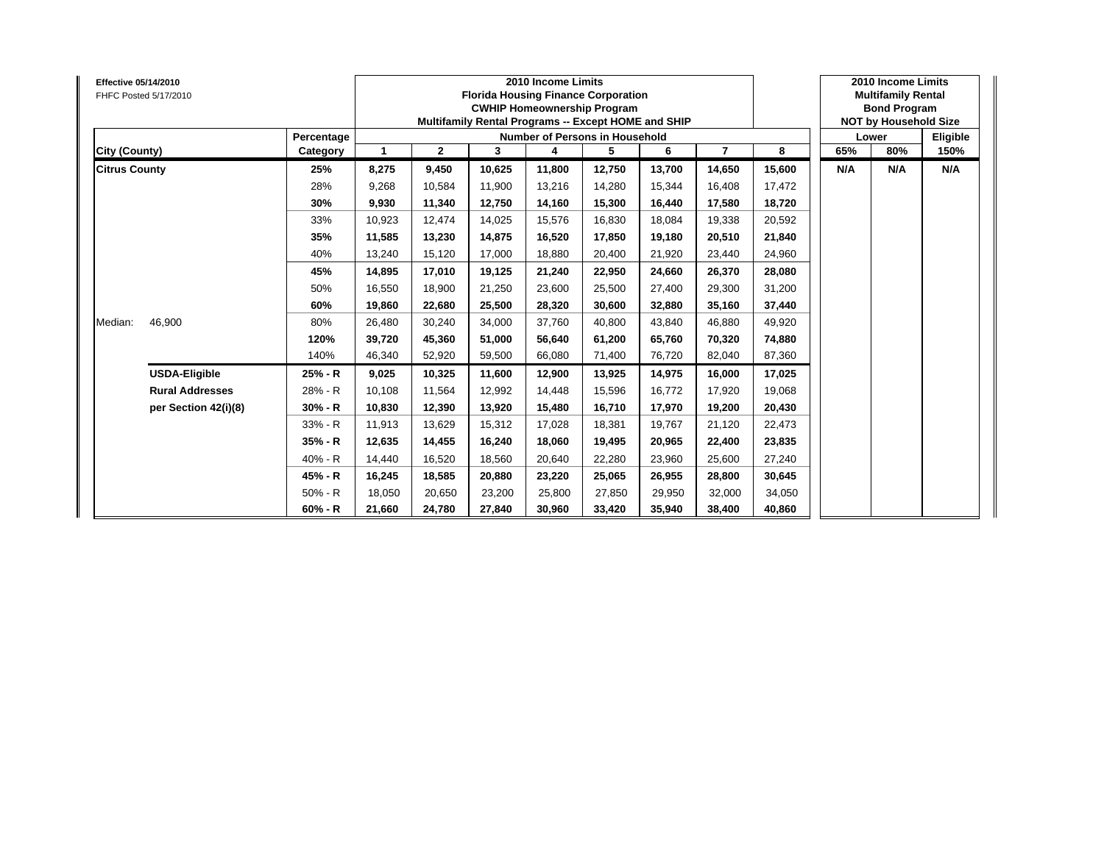| <b>Effective 05/14/2010</b> | FHFC Posted 5/17/2010  |            |        |              |        | 2010 Income Limits<br><b>Florida Housing Finance Corporation</b><br><b>CWHIP Homeownership Program</b><br>Multifamily Rental Programs -- Except HOME and SHIP |        |        |                |        |     | 2010 Income Limits<br><b>Multifamily Rental</b><br><b>Bond Program</b><br><b>NOT by Household Size</b> |          |
|-----------------------------|------------------------|------------|--------|--------------|--------|---------------------------------------------------------------------------------------------------------------------------------------------------------------|--------|--------|----------------|--------|-----|--------------------------------------------------------------------------------------------------------|----------|
|                             |                        | Percentage |        |              |        | <b>Number of Persons in Household</b>                                                                                                                         |        |        |                |        |     | Lower                                                                                                  | Eligible |
| City (County)               |                        | Category   | 1      | $\mathbf{2}$ | 3      | 4                                                                                                                                                             | 5      | 6      | $\overline{7}$ | 8      | 65% | 80%                                                                                                    | 150%     |
| <b>Citrus County</b>        |                        | 25%        | 8,275  | 9,450        | 10,625 | 11,800                                                                                                                                                        | 12,750 | 13,700 | 14,650         | 15,600 | N/A | N/A                                                                                                    | N/A      |
|                             |                        | 28%        | 9,268  | 10,584       | 11,900 | 13,216                                                                                                                                                        | 14,280 | 15,344 | 16,408         | 17,472 |     |                                                                                                        |          |
|                             |                        | 30%        | 9,930  | 11,340       | 12,750 | 14,160                                                                                                                                                        | 15,300 | 16,440 | 17,580         | 18,720 |     |                                                                                                        |          |
|                             |                        | 33%        | 10,923 | 12,474       | 14,025 | 15,576                                                                                                                                                        | 16,830 | 18,084 | 19,338         | 20,592 |     |                                                                                                        |          |
|                             |                        | 35%        | 11,585 | 13,230       | 14.875 | 16,520                                                                                                                                                        | 17,850 | 19.180 | 20,510         | 21,840 |     |                                                                                                        |          |
|                             |                        | 40%        | 13,240 | 15,120       | 17,000 | 18,880                                                                                                                                                        | 20,400 | 21,920 | 23,440         | 24,960 |     |                                                                                                        |          |
|                             |                        | 45%        | 14,895 | 17,010       | 19,125 | 21,240                                                                                                                                                        | 22,950 | 24,660 | 26,370         | 28,080 |     |                                                                                                        |          |
|                             |                        | 50%        | 16,550 | 18,900       | 21,250 | 23,600                                                                                                                                                        | 25,500 | 27,400 | 29,300         | 31,200 |     |                                                                                                        |          |
|                             |                        | 60%        | 19,860 | 22,680       | 25,500 | 28,320                                                                                                                                                        | 30,600 | 32,880 | 35,160         | 37,440 |     |                                                                                                        |          |
| Median:                     | 46,900                 | 80%        | 26,480 | 30,240       | 34,000 | 37,760                                                                                                                                                        | 40,800 | 43.840 | 46,880         | 49,920 |     |                                                                                                        |          |
|                             |                        | 120%       | 39,720 | 45,360       | 51.000 | 56,640                                                                                                                                                        | 61,200 | 65.760 | 70,320         | 74,880 |     |                                                                                                        |          |
|                             |                        | 140%       | 46,340 | 52,920       | 59,500 | 66,080                                                                                                                                                        | 71,400 | 76,720 | 82,040         | 87,360 |     |                                                                                                        |          |
|                             | <b>USDA-Eligible</b>   | 25% - R    | 9,025  | 10,325       | 11,600 | 12,900                                                                                                                                                        | 13,925 | 14,975 | 16,000         | 17,025 |     |                                                                                                        |          |
|                             | <b>Rural Addresses</b> | 28% - R    | 10,108 | 11,564       | 12,992 | 14,448                                                                                                                                                        | 15,596 | 16,772 | 17,920         | 19,068 |     |                                                                                                        |          |
|                             | per Section 42(i)(8)   | $30% - R$  | 10,830 | 12,390       | 13.920 | 15,480                                                                                                                                                        | 16,710 | 17.970 | 19,200         | 20,430 |     |                                                                                                        |          |
|                             |                        | 33% - R    | 11,913 | 13,629       | 15,312 | 17,028                                                                                                                                                        | 18,381 | 19,767 | 21,120         | 22,473 |     |                                                                                                        |          |
|                             |                        | 35% - R    | 12,635 | 14,455       | 16,240 | 18,060                                                                                                                                                        | 19,495 | 20,965 | 22,400         | 23,835 |     |                                                                                                        |          |
|                             |                        | 40% - R    | 14,440 | 16,520       | 18,560 | 20,640                                                                                                                                                        | 22,280 | 23,960 | 25,600         | 27,240 |     |                                                                                                        |          |
|                             |                        | 45% - R    | 16,245 | 18,585       | 20,880 | 23,220                                                                                                                                                        | 25,065 | 26,955 | 28,800         | 30,645 |     |                                                                                                        |          |
|                             |                        | $50% - R$  | 18,050 | 20,650       | 23,200 | 25,800                                                                                                                                                        | 27,850 | 29,950 | 32,000         | 34,050 |     |                                                                                                        |          |
|                             |                        | $60% - R$  | 21,660 | 24,780       | 27,840 | 30,960                                                                                                                                                        | 33,420 | 35,940 | 38,400         | 40,860 |     |                                                                                                        |          |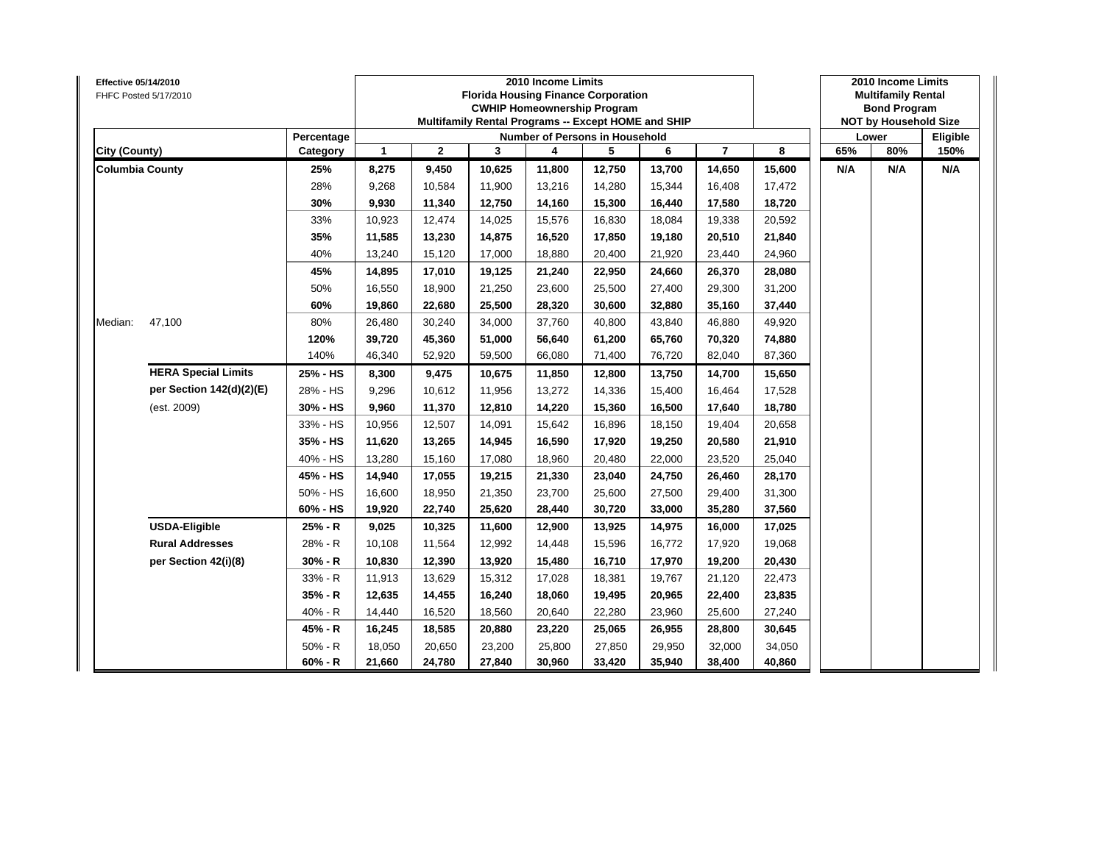| Effective 05/14/2010   | FHFC Posted 5/17/2010      |            |              |              |        | 2010 Income Limits<br><b>Florida Housing Finance Corporation</b><br><b>CWHIP Homeownership Program</b><br>Multifamily Rental Programs -- Except HOME and SHIP |        |        |                |        |     | 2010 Income Limits<br><b>Multifamily Rental</b><br><b>Bond Program</b><br><b>NOT by Household Size</b><br>80%<br>N/A |          |
|------------------------|----------------------------|------------|--------------|--------------|--------|---------------------------------------------------------------------------------------------------------------------------------------------------------------|--------|--------|----------------|--------|-----|----------------------------------------------------------------------------------------------------------------------|----------|
|                        |                            | Percentage |              |              |        | Number of Persons in Household                                                                                                                                |        |        |                |        |     | Lower                                                                                                                | Eligible |
| City (County)          |                            | Category   | $\mathbf{1}$ | $\mathbf{2}$ | 3      | 4                                                                                                                                                             | 5      | 6      | $\overline{7}$ | 8      | 65% |                                                                                                                      | 150%     |
| <b>Columbia County</b> |                            | 25%        | 8,275        | 9,450        | 10,625 | 11,800                                                                                                                                                        | 12,750 | 13,700 | 14,650         | 15,600 | N/A |                                                                                                                      | N/A      |
|                        |                            | 28%        | 9,268        | 10,584       | 11,900 | 13,216                                                                                                                                                        | 14,280 | 15,344 | 16,408         | 17,472 |     |                                                                                                                      |          |
|                        |                            | 30%        | 9,930        | 11,340       | 12,750 | 14,160                                                                                                                                                        | 15,300 | 16,440 | 17,580         | 18,720 |     |                                                                                                                      |          |
|                        |                            | 33%        | 10,923       | 12,474       | 14,025 | 15,576                                                                                                                                                        | 16,830 | 18,084 | 19,338         | 20,592 |     |                                                                                                                      |          |
|                        |                            | 35%        | 11,585       | 13,230       | 14,875 | 16,520                                                                                                                                                        | 17,850 | 19,180 | 20,510         | 21,840 |     |                                                                                                                      |          |
|                        |                            | 40%        | 13,240       | 15,120       | 17,000 | 18,880                                                                                                                                                        | 20,400 | 21,920 | 23,440         | 24,960 |     |                                                                                                                      |          |
|                        |                            | 45%        | 14,895       | 17,010       | 19,125 | 21,240                                                                                                                                                        | 22,950 | 24,660 | 26,370         | 28,080 |     |                                                                                                                      |          |
|                        |                            | 50%        | 16,550       | 18,900       | 21,250 | 23,600                                                                                                                                                        | 25,500 | 27,400 | 29,300         | 31,200 |     |                                                                                                                      |          |
|                        |                            | 60%        | 19,860       | 22,680       | 25,500 | 28,320                                                                                                                                                        | 30,600 | 32,880 | 35,160         | 37,440 |     |                                                                                                                      |          |
| Median:                | 47,100                     | 80%        | 26,480       | 30,240       | 34,000 | 37,760                                                                                                                                                        | 40,800 | 43,840 | 46,880         | 49,920 |     |                                                                                                                      |          |
|                        |                            | 120%       | 39,720       | 45,360       | 51,000 | 56,640                                                                                                                                                        | 61,200 | 65,760 | 70,320         | 74,880 |     |                                                                                                                      |          |
|                        |                            | 140%       | 46,340       | 52,920       | 59,500 | 66,080                                                                                                                                                        | 71,400 | 76,720 | 82,040         | 87,360 |     |                                                                                                                      |          |
|                        | <b>HERA Special Limits</b> | 25% - HS   | 8,300        | 9,475        | 10,675 | 11,850                                                                                                                                                        | 12,800 | 13,750 | 14,700         | 15,650 |     |                                                                                                                      |          |
|                        | per Section 142(d)(2)(E)   | 28% - HS   | 9,296        | 10,612       | 11,956 | 13,272                                                                                                                                                        | 14,336 | 15,400 | 16,464         | 17,528 |     |                                                                                                                      |          |
|                        | (est. 2009)                | 30% - HS   | 9,960        | 11,370       | 12,810 | 14,220                                                                                                                                                        | 15,360 | 16,500 | 17,640         | 18,780 |     |                                                                                                                      |          |
|                        |                            | 33% - HS   | 10,956       | 12,507       | 14,091 | 15,642                                                                                                                                                        | 16,896 | 18,150 | 19,404         | 20,658 |     |                                                                                                                      |          |
|                        |                            | 35% - HS   | 11,620       | 13,265       | 14,945 | 16,590                                                                                                                                                        | 17,920 | 19,250 | 20,580         | 21,910 |     |                                                                                                                      |          |
|                        |                            | 40% - HS   | 13,280       | 15,160       | 17,080 | 18,960                                                                                                                                                        | 20,480 | 22,000 | 23,520         | 25,040 |     |                                                                                                                      |          |
|                        |                            | 45% - HS   | 14,940       | 17,055       | 19,215 | 21,330                                                                                                                                                        | 23,040 | 24,750 | 26,460         | 28,170 |     |                                                                                                                      |          |
|                        |                            | 50% - HS   | 16,600       | 18,950       | 21,350 | 23,700                                                                                                                                                        | 25,600 | 27,500 | 29,400         | 31,300 |     |                                                                                                                      |          |
|                        |                            | 60% - HS   | 19,920       | 22,740       | 25,620 | 28,440                                                                                                                                                        | 30,720 | 33,000 | 35,280         | 37,560 |     |                                                                                                                      |          |
|                        | <b>USDA-Eligible</b>       | 25% - R    | 9,025        | 10,325       | 11,600 | 12,900                                                                                                                                                        | 13,925 | 14,975 | 16,000         | 17,025 |     |                                                                                                                      |          |
|                        | <b>Rural Addresses</b>     | 28% - R    | 10,108       | 11,564       | 12,992 | 14,448                                                                                                                                                        | 15,596 | 16,772 | 17,920         | 19,068 |     |                                                                                                                      |          |
|                        | per Section 42(i)(8)       | 30% - R    | 10,830       | 12,390       | 13,920 | 15,480                                                                                                                                                        | 16,710 | 17,970 | 19,200         | 20,430 |     |                                                                                                                      |          |
|                        |                            | 33% - R    | 11,913       | 13,629       | 15,312 | 17,028                                                                                                                                                        | 18,381 | 19,767 | 21,120         | 22,473 |     |                                                                                                                      |          |
|                        |                            | $35% - R$  | 12,635       | 14,455       | 16,240 | 18,060                                                                                                                                                        | 19,495 | 20,965 | 22,400         | 23,835 |     |                                                                                                                      |          |
|                        |                            | 40% - R    | 14,440       | 16,520       | 18,560 | 20,640                                                                                                                                                        | 22,280 | 23,960 | 25,600         | 27,240 |     |                                                                                                                      |          |
|                        |                            | 45% - R    | 16,245       | 18,585       | 20,880 | 23,220                                                                                                                                                        | 25,065 | 26,955 | 28,800         | 30,645 |     |                                                                                                                      |          |
|                        |                            | $50% - R$  | 18,050       | 20,650       | 23,200 | 25,800                                                                                                                                                        | 27,850 | 29,950 | 32,000         | 34,050 |     |                                                                                                                      |          |
|                        |                            | $60% - R$  | 21,660       | 24,780       | 27,840 | 30,960                                                                                                                                                        | 33,420 | 35,940 | 38,400         | 40,860 |     |                                                                                                                      |          |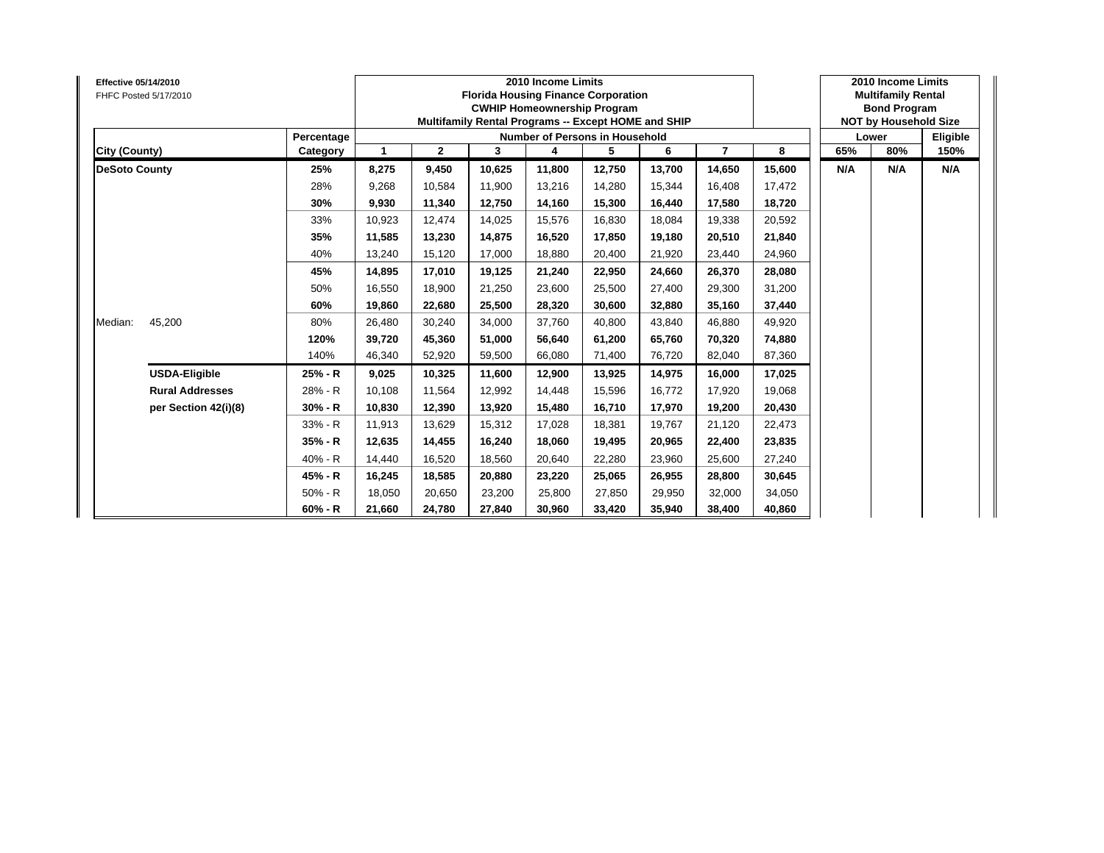| <b>Effective 05/14/2010</b><br>FHFC Posted 5/17/2010 |                        |            |        |              | <b>Florida Housing Finance Corporation</b><br>Multifamily Rental Programs -- Except HOME and SHIP | 2010 Income Limits | <b>CWHIP Homeownership Program</b> |        |                |        |     | 2010 Income Limits<br><b>Multifamily Rental</b><br><b>Bond Program</b><br><b>NOT by Household Size</b> |          |
|------------------------------------------------------|------------------------|------------|--------|--------------|---------------------------------------------------------------------------------------------------|--------------------|------------------------------------|--------|----------------|--------|-----|--------------------------------------------------------------------------------------------------------|----------|
|                                                      |                        | Percentage |        |              |                                                                                                   |                    | Number of Persons in Household     |        |                |        |     | Lower                                                                                                  | Eligible |
| <b>City (County)</b>                                 |                        | Category   | 1      | $\mathbf{2}$ | 3                                                                                                 |                    | 5                                  | 6      | $\overline{7}$ | 8      | 65% | 80%                                                                                                    | 150%     |
| <b>DeSoto County</b>                                 |                        | 25%        | 8,275  | 9,450        | 10,625                                                                                            | 11,800             | 12,750                             | 13,700 | 14,650         | 15,600 | N/A | N/A                                                                                                    | N/A      |
|                                                      |                        | 28%        | 9,268  | 10,584       | 11,900                                                                                            | 13,216             | 14,280                             | 15,344 | 16,408         | 17,472 |     |                                                                                                        |          |
|                                                      |                        | 30%        | 9,930  | 11,340       | 12,750                                                                                            | 14,160             | 15,300                             | 16.440 | 17.580         | 18,720 |     |                                                                                                        |          |
|                                                      |                        | 33%        | 10,923 | 12,474       | 14,025                                                                                            | 15,576             | 16,830                             | 18,084 | 19,338         | 20,592 |     |                                                                                                        |          |
|                                                      |                        | 35%        | 11,585 | 13,230       | 14.875                                                                                            | 16,520             | 17,850                             | 19.180 | 20,510         | 21,840 |     |                                                                                                        |          |
|                                                      |                        | 40%        | 13,240 | 15,120       | 17,000                                                                                            | 18,880             | 20,400                             | 21,920 | 23,440         | 24,960 |     |                                                                                                        |          |
|                                                      |                        | 45%        | 14,895 | 17,010       | 19,125                                                                                            | 21,240             | 22,950                             | 24,660 | 26,370         | 28,080 |     |                                                                                                        |          |
|                                                      |                        | 50%        | 16,550 | 18,900       | 21,250                                                                                            | 23,600             | 25,500                             | 27,400 | 29,300         | 31,200 |     |                                                                                                        |          |
|                                                      |                        | 60%        | 19,860 | 22,680       | 25,500                                                                                            | 28,320             | 30,600                             | 32,880 | 35,160         | 37,440 |     |                                                                                                        |          |
| Median:                                              | 45,200                 | 80%        | 26,480 | 30,240       | 34,000                                                                                            | 37,760             | 40,800                             | 43.840 | 46,880         | 49,920 |     |                                                                                                        |          |
|                                                      |                        | 120%       | 39,720 | 45,360       | 51,000                                                                                            | 56,640             | 61,200                             | 65,760 | 70,320         | 74,880 |     |                                                                                                        |          |
|                                                      |                        | 140%       | 46,340 | 52,920       | 59,500                                                                                            | 66,080             | 71,400                             | 76,720 | 82,040         | 87,360 |     |                                                                                                        |          |
|                                                      | <b>USDA-Eligible</b>   | 25% - R    | 9,025  | 10,325       | 11,600                                                                                            | 12,900             | 13,925                             | 14,975 | 16,000         | 17,025 |     |                                                                                                        |          |
|                                                      | <b>Rural Addresses</b> | 28% - R    | 10,108 | 11,564       | 12,992                                                                                            | 14,448             | 15,596                             | 16,772 | 17,920         | 19,068 |     |                                                                                                        |          |
|                                                      | per Section 42(i)(8)   | $30% - R$  | 10,830 | 12,390       | 13,920                                                                                            | 15,480             | 16,710                             | 17,970 | 19,200         | 20,430 |     |                                                                                                        |          |
|                                                      |                        | 33% - R    | 11,913 | 13,629       | 15,312                                                                                            | 17,028             | 18,381                             | 19,767 | 21,120         | 22,473 |     |                                                                                                        |          |
|                                                      |                        | $35% - R$  | 12,635 | 14,455       | 16,240                                                                                            | 18,060             | 19,495                             | 20,965 | 22,400         | 23,835 |     |                                                                                                        |          |
|                                                      |                        | 40% - R    | 14,440 | 16,520       | 18,560                                                                                            | 20,640             | 22,280                             | 23,960 | 25,600         | 27,240 |     |                                                                                                        |          |
|                                                      |                        | 45% - R    | 16,245 | 18,585       | 20,880                                                                                            | 23,220             | 25,065                             | 26,955 | 28,800         | 30,645 |     |                                                                                                        |          |
|                                                      |                        | 50% - R    | 18,050 | 20,650       | 23,200                                                                                            | 25,800             | 27,850                             | 29,950 | 32,000         | 34,050 |     |                                                                                                        |          |
|                                                      |                        | $60% - R$  | 21,660 | 24,780       | 27,840                                                                                            | 30,960             | 33,420                             | 35,940 | 38,400         | 40,860 |     |                                                                                                        |          |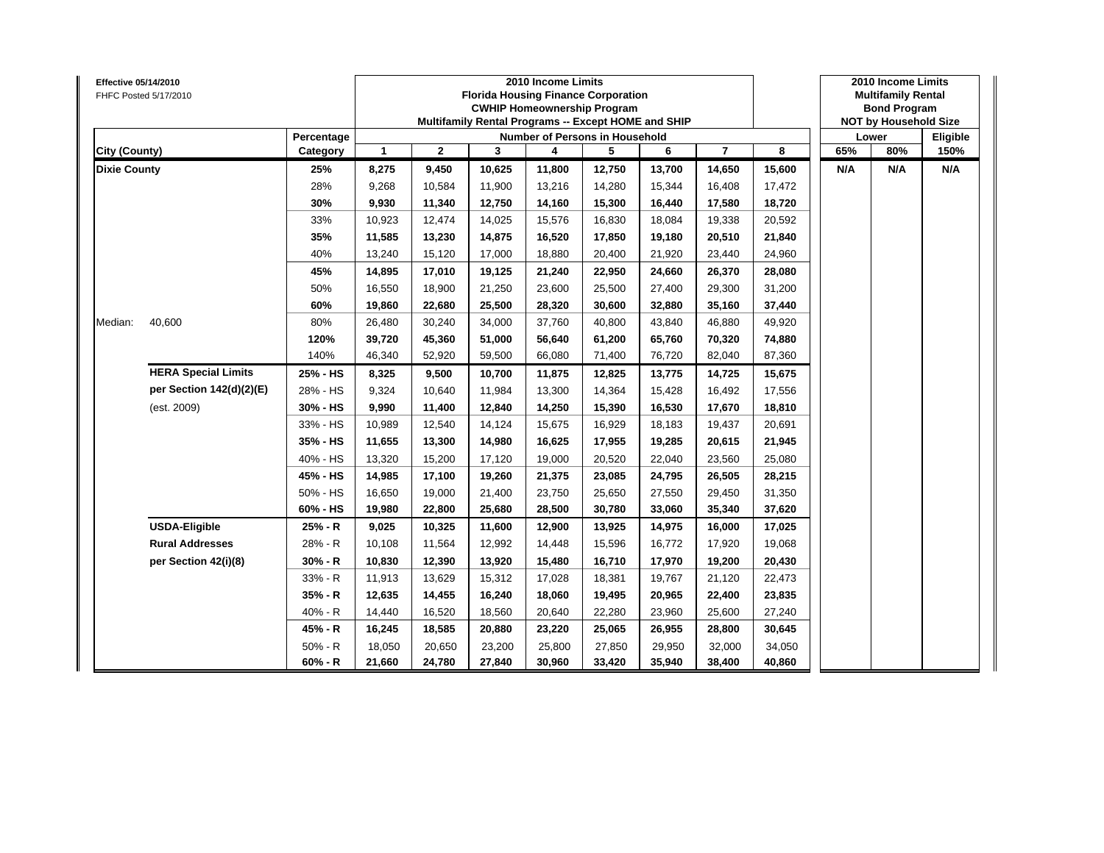| Effective 05/14/2010 | FHFC Posted 5/17/2010      |            |              |              |        | 2010 Income Limits<br><b>Florida Housing Finance Corporation</b><br><b>CWHIP Homeownership Program</b><br>Multifamily Rental Programs -- Except HOME and SHIP |        |        |                |        |     | 2010 Income Limits<br><b>Multifamily Rental</b><br><b>Bond Program</b><br><b>NOT by Household Size</b><br>80%<br>N/A |          |
|----------------------|----------------------------|------------|--------------|--------------|--------|---------------------------------------------------------------------------------------------------------------------------------------------------------------|--------|--------|----------------|--------|-----|----------------------------------------------------------------------------------------------------------------------|----------|
|                      |                            | Percentage |              |              |        | Number of Persons in Household                                                                                                                                |        |        |                |        |     | Lower                                                                                                                | Eligible |
| City (County)        |                            | Category   | $\mathbf{1}$ | $\mathbf{2}$ | 3      | 4                                                                                                                                                             | 5      | 6      | $\overline{7}$ | 8      | 65% |                                                                                                                      | 150%     |
| <b>Dixie County</b>  |                            | 25%        | 8,275        | 9,450        | 10,625 | 11,800                                                                                                                                                        | 12,750 | 13,700 | 14,650         | 15,600 | N/A |                                                                                                                      | N/A      |
|                      |                            | 28%        | 9,268        | 10,584       | 11,900 | 13,216                                                                                                                                                        | 14,280 | 15,344 | 16,408         | 17,472 |     |                                                                                                                      |          |
|                      |                            | 30%        | 9,930        | 11,340       | 12,750 | 14,160                                                                                                                                                        | 15,300 | 16,440 | 17,580         | 18,720 |     |                                                                                                                      |          |
|                      |                            | 33%        | 10,923       | 12,474       | 14,025 | 15,576                                                                                                                                                        | 16,830 | 18,084 | 19,338         | 20,592 |     |                                                                                                                      |          |
|                      |                            | 35%        | 11,585       | 13,230       | 14,875 | 16,520                                                                                                                                                        | 17,850 | 19,180 | 20,510         | 21,840 |     |                                                                                                                      |          |
|                      |                            | 40%        | 13,240       | 15,120       | 17,000 | 18,880                                                                                                                                                        | 20,400 | 21,920 | 23,440         | 24,960 |     |                                                                                                                      |          |
|                      |                            | 45%        | 14,895       | 17,010       | 19,125 | 21,240                                                                                                                                                        | 22,950 | 24,660 | 26,370         | 28,080 |     |                                                                                                                      |          |
|                      |                            | 50%        | 16,550       | 18,900       | 21,250 | 23,600                                                                                                                                                        | 25,500 | 27,400 | 29,300         | 31,200 |     |                                                                                                                      |          |
|                      |                            | 60%        | 19,860       | 22,680       | 25,500 | 28,320                                                                                                                                                        | 30,600 | 32,880 | 35,160         | 37,440 |     |                                                                                                                      |          |
| Median:              | 40,600                     | 80%        | 26,480       | 30,240       | 34,000 | 37,760                                                                                                                                                        | 40,800 | 43,840 | 46,880         | 49,920 |     |                                                                                                                      |          |
|                      |                            | 120%       | 39,720       | 45,360       | 51,000 | 56,640                                                                                                                                                        | 61,200 | 65,760 | 70,320         | 74,880 |     |                                                                                                                      |          |
|                      |                            | 140%       | 46,340       | 52,920       | 59,500 | 66,080                                                                                                                                                        | 71,400 | 76,720 | 82,040         | 87,360 |     |                                                                                                                      |          |
|                      | <b>HERA Special Limits</b> | 25% - HS   | 8,325        | 9,500        | 10,700 | 11,875                                                                                                                                                        | 12,825 | 13,775 | 14,725         | 15,675 |     |                                                                                                                      |          |
|                      | per Section 142(d)(2)(E)   | 28% - HS   | 9,324        | 10,640       | 11,984 | 13,300                                                                                                                                                        | 14,364 | 15,428 | 16,492         | 17,556 |     |                                                                                                                      |          |
|                      | (est. 2009)                | 30% - HS   | 9,990        | 11,400       | 12,840 | 14,250                                                                                                                                                        | 15,390 | 16,530 | 17,670         | 18,810 |     |                                                                                                                      |          |
|                      |                            | 33% - HS   | 10,989       | 12,540       | 14,124 | 15,675                                                                                                                                                        | 16,929 | 18,183 | 19,437         | 20,691 |     |                                                                                                                      |          |
|                      |                            | 35% - HS   | 11,655       | 13,300       | 14,980 | 16,625                                                                                                                                                        | 17,955 | 19,285 | 20,615         | 21,945 |     |                                                                                                                      |          |
|                      |                            | 40% - HS   | 13,320       | 15,200       | 17,120 | 19,000                                                                                                                                                        | 20,520 | 22,040 | 23,560         | 25,080 |     |                                                                                                                      |          |
|                      |                            | 45% - HS   | 14,985       | 17,100       | 19,260 | 21,375                                                                                                                                                        | 23,085 | 24,795 | 26,505         | 28,215 |     |                                                                                                                      |          |
|                      |                            | 50% - HS   | 16,650       | 19,000       | 21,400 | 23,750                                                                                                                                                        | 25,650 | 27,550 | 29,450         | 31,350 |     |                                                                                                                      |          |
|                      |                            | 60% - HS   | 19,980       | 22,800       | 25,680 | 28,500                                                                                                                                                        | 30,780 | 33,060 | 35,340         | 37,620 |     |                                                                                                                      |          |
|                      | <b>USDA-Eligible</b>       | 25% - R    | 9,025        | 10,325       | 11,600 | 12,900                                                                                                                                                        | 13,925 | 14,975 | 16,000         | 17,025 |     |                                                                                                                      |          |
|                      | <b>Rural Addresses</b>     | 28% - R    | 10,108       | 11,564       | 12,992 | 14,448                                                                                                                                                        | 15,596 | 16,772 | 17,920         | 19,068 |     |                                                                                                                      |          |
|                      | per Section 42(i)(8)       | 30% - R    | 10,830       | 12,390       | 13,920 | 15,480                                                                                                                                                        | 16,710 | 17,970 | 19,200         | 20,430 |     |                                                                                                                      |          |
|                      |                            | 33% - R    | 11,913       | 13,629       | 15,312 | 17,028                                                                                                                                                        | 18,381 | 19,767 | 21,120         | 22,473 |     |                                                                                                                      |          |
|                      |                            | $35% - R$  | 12,635       | 14,455       | 16,240 | 18,060                                                                                                                                                        | 19,495 | 20,965 | 22,400         | 23,835 |     |                                                                                                                      |          |
|                      |                            | 40% - R    | 14,440       | 16,520       | 18,560 | 20,640                                                                                                                                                        | 22,280 | 23,960 | 25,600         | 27,240 |     |                                                                                                                      |          |
|                      |                            | 45% - R    | 16,245       | 18,585       | 20,880 | 23,220                                                                                                                                                        | 25,065 | 26,955 | 28,800         | 30,645 |     |                                                                                                                      |          |
|                      |                            | $50% - R$  | 18,050       | 20,650       | 23,200 | 25,800                                                                                                                                                        | 27,850 | 29,950 | 32,000         | 34,050 |     |                                                                                                                      |          |
|                      |                            | $60% - R$  | 21,660       | 24,780       | 27,840 | 30,960                                                                                                                                                        | 33,420 | 35,940 | 38,400         | 40,860 |     |                                                                                                                      |          |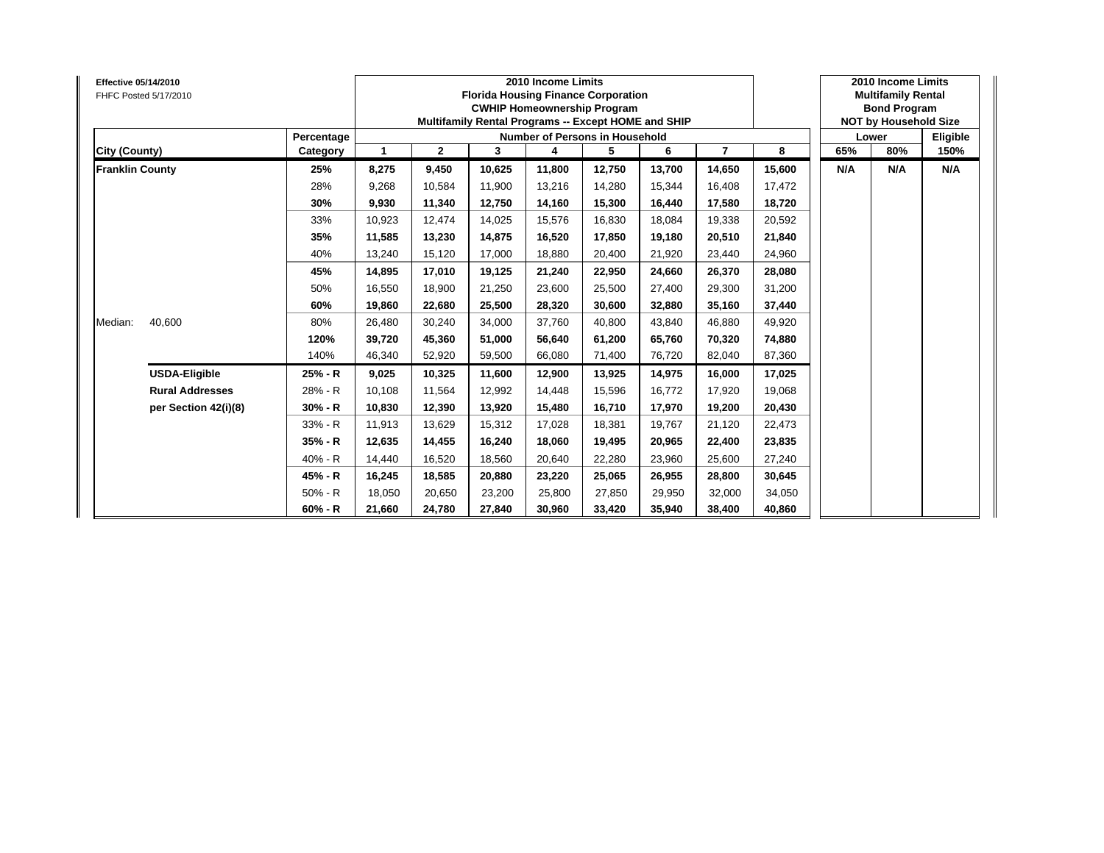| <b>Effective 05/14/2010</b> | FHFC Posted 5/17/2010  |            |        |              |        | 2010 Income Limits<br><b>Florida Housing Finance Corporation</b><br><b>CWHIP Homeownership Program</b><br>Multifamily Rental Programs -- Except HOME and SHIP |        |        |        |        |     | 2010 Income Limits<br><b>Multifamily Rental</b><br><b>Bond Program</b><br><b>NOT by Household Size</b> |          |
|-----------------------------|------------------------|------------|--------|--------------|--------|---------------------------------------------------------------------------------------------------------------------------------------------------------------|--------|--------|--------|--------|-----|--------------------------------------------------------------------------------------------------------|----------|
|                             |                        | Percentage |        |              |        | Number of Persons in Household                                                                                                                                |        |        |        |        |     | Lower                                                                                                  | Eligible |
| City (County)               |                        | Category   | 1      | $\mathbf{2}$ | 3      | 4                                                                                                                                                             | 5      | 6      | 7      | 8      | 65% | 80%                                                                                                    | 150%     |
| <b>Franklin County</b>      |                        | 25%        | 8,275  | 9,450        | 10,625 | 11,800                                                                                                                                                        | 12,750 | 13,700 | 14,650 | 15,600 | N/A | N/A                                                                                                    | N/A      |
|                             |                        | 28%        | 9,268  | 10,584       | 11,900 | 13,216                                                                                                                                                        | 14,280 | 15,344 | 16,408 | 17,472 |     |                                                                                                        |          |
|                             |                        | 30%        | 9,930  | 11,340       | 12,750 | 14,160                                                                                                                                                        | 15,300 | 16,440 | 17,580 | 18,720 |     |                                                                                                        |          |
|                             |                        | 33%        | 10,923 | 12,474       | 14,025 | 15,576                                                                                                                                                        | 16,830 | 18,084 | 19,338 | 20,592 |     |                                                                                                        |          |
|                             |                        | 35%        | 11,585 | 13,230       | 14,875 | 16,520                                                                                                                                                        | 17,850 | 19.180 | 20,510 | 21,840 |     |                                                                                                        |          |
|                             |                        | 40%        | 13,240 | 15,120       | 17,000 | 18,880                                                                                                                                                        | 20,400 | 21,920 | 23,440 | 24,960 |     |                                                                                                        |          |
|                             |                        | 45%        | 14,895 | 17,010       | 19.125 | 21,240                                                                                                                                                        | 22,950 | 24.660 | 26,370 | 28,080 |     |                                                                                                        |          |
|                             |                        | 50%        | 16,550 | 18,900       | 21,250 | 23,600                                                                                                                                                        | 25,500 | 27,400 | 29,300 | 31,200 |     |                                                                                                        |          |
|                             |                        | 60%        | 19,860 | 22,680       | 25,500 | 28,320                                                                                                                                                        | 30,600 | 32,880 | 35,160 | 37,440 |     |                                                                                                        |          |
| Median:                     | 40,600                 | 80%        | 26,480 | 30,240       | 34,000 | 37,760                                                                                                                                                        | 40,800 | 43,840 | 46,880 | 49,920 |     |                                                                                                        |          |
|                             |                        | 120%       | 39,720 | 45,360       | 51,000 | 56,640                                                                                                                                                        | 61,200 | 65.760 | 70,320 | 74,880 |     |                                                                                                        |          |
|                             |                        | 140%       | 46,340 | 52,920       | 59,500 | 66,080                                                                                                                                                        | 71,400 | 76,720 | 82,040 | 87,360 |     |                                                                                                        |          |
|                             | <b>USDA-Eligible</b>   | 25% - R    | 9,025  | 10,325       | 11,600 | 12,900                                                                                                                                                        | 13,925 | 14,975 | 16,000 | 17,025 |     |                                                                                                        |          |
|                             | <b>Rural Addresses</b> | 28% - R    | 10,108 | 11,564       | 12,992 | 14,448                                                                                                                                                        | 15,596 | 16,772 | 17,920 | 19,068 |     |                                                                                                        |          |
|                             | per Section 42(i)(8)   | $30% - R$  | 10,830 | 12,390       | 13,920 | 15,480                                                                                                                                                        | 16,710 | 17,970 | 19,200 | 20,430 |     |                                                                                                        |          |
|                             |                        | 33% - R    | 11,913 | 13,629       | 15,312 | 17,028                                                                                                                                                        | 18,381 | 19,767 | 21,120 | 22,473 |     |                                                                                                        |          |
|                             |                        | 35% - R    | 12,635 | 14,455       | 16,240 | 18,060                                                                                                                                                        | 19,495 | 20,965 | 22,400 | 23,835 |     |                                                                                                        |          |
|                             |                        | 40% - R    | 14,440 | 16,520       | 18.560 | 20,640                                                                                                                                                        | 22,280 | 23,960 | 25,600 | 27,240 |     |                                                                                                        |          |
|                             |                        | 45% - R    | 16,245 | 18,585       | 20.880 | 23,220                                                                                                                                                        | 25,065 | 26.955 | 28,800 | 30,645 |     |                                                                                                        |          |
|                             |                        | $50% - R$  | 18,050 | 20,650       | 23,200 | 25,800                                                                                                                                                        | 27,850 | 29,950 | 32,000 | 34,050 |     |                                                                                                        |          |
|                             |                        | $60% - R$  | 21,660 | 24,780       | 27,840 | 30,960                                                                                                                                                        | 33,420 | 35,940 | 38,400 | 40,860 |     |                                                                                                        |          |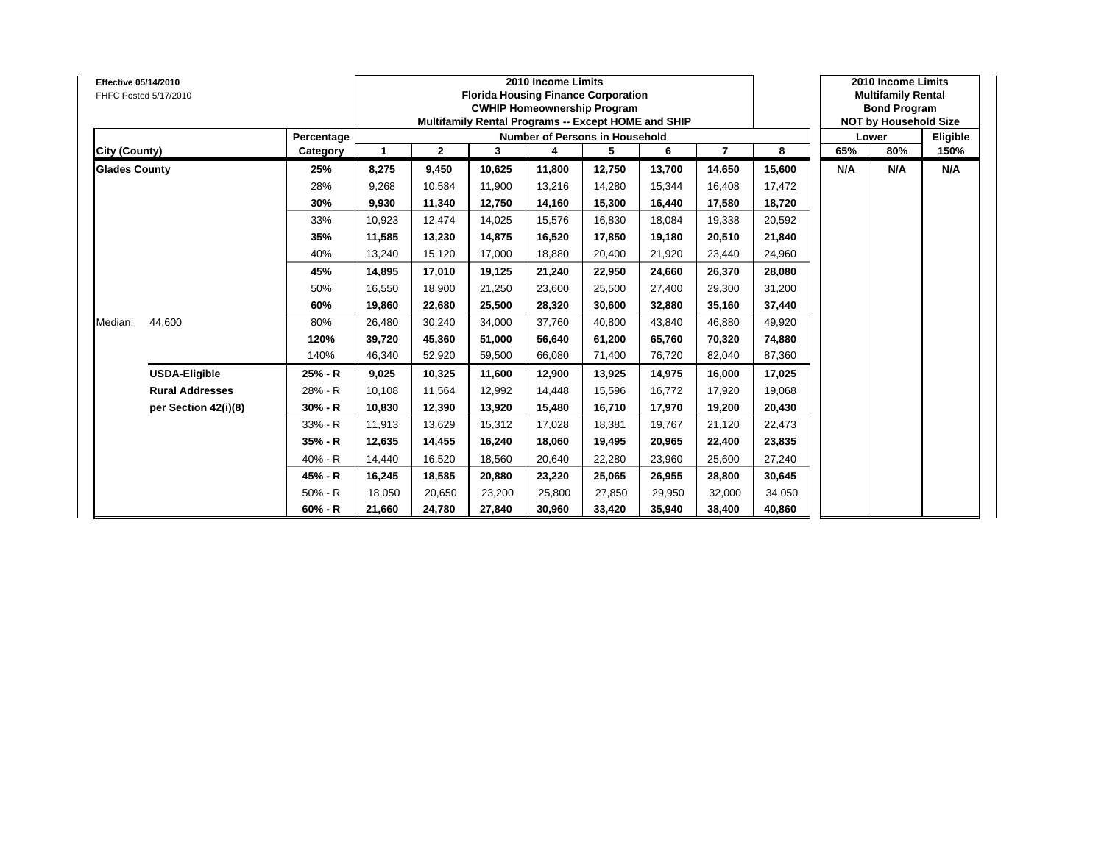| <b>Effective 05/14/2010</b> | FHFC Posted 5/17/2010  |            |        |              |        | 2010 Income Limits<br><b>Florida Housing Finance Corporation</b><br><b>CWHIP Homeownership Program</b><br>Multifamily Rental Programs -- Except HOME and SHIP |        |        |                |        |     | 2010 Income Limits<br><b>Multifamily Rental</b><br><b>Bond Program</b><br><b>NOT by Household Size</b> |          |
|-----------------------------|------------------------|------------|--------|--------------|--------|---------------------------------------------------------------------------------------------------------------------------------------------------------------|--------|--------|----------------|--------|-----|--------------------------------------------------------------------------------------------------------|----------|
|                             |                        | Percentage |        |              |        | <b>Number of Persons in Household</b>                                                                                                                         |        |        |                |        |     | Lower                                                                                                  | Eligible |
| City (County)               |                        | Category   | 1      | $\mathbf{2}$ | 3      | 4                                                                                                                                                             | 5      | 6      | $\overline{7}$ | 8      | 65% | 80%                                                                                                    | 150%     |
| <b>Glades County</b>        |                        | 25%        | 8,275  | 9,450        | 10,625 | 11,800                                                                                                                                                        | 12,750 | 13,700 | 14,650         | 15,600 | N/A | N/A                                                                                                    | N/A      |
|                             |                        | 28%        | 9,268  | 10,584       | 11,900 | 13,216                                                                                                                                                        | 14,280 | 15,344 | 16,408         | 17,472 |     |                                                                                                        |          |
|                             |                        | 30%        | 9,930  | 11,340       | 12,750 | 14,160                                                                                                                                                        | 15,300 | 16,440 | 17,580         | 18,720 |     |                                                                                                        |          |
|                             |                        | 33%        | 10,923 | 12,474       | 14,025 | 15,576                                                                                                                                                        | 16,830 | 18,084 | 19,338         | 20,592 |     |                                                                                                        |          |
|                             |                        | 35%        | 11,585 | 13,230       | 14.875 | 16,520                                                                                                                                                        | 17,850 | 19.180 | 20,510         | 21,840 |     |                                                                                                        |          |
|                             |                        | 40%        | 13,240 | 15,120       | 17,000 | 18,880                                                                                                                                                        | 20,400 | 21,920 | 23,440         | 24,960 |     |                                                                                                        |          |
|                             |                        | 45%        | 14,895 | 17,010       | 19,125 | 21,240                                                                                                                                                        | 22,950 | 24,660 | 26,370         | 28,080 |     |                                                                                                        |          |
|                             |                        | 50%        | 16,550 | 18,900       | 21,250 | 23,600                                                                                                                                                        | 25,500 | 27,400 | 29,300         | 31,200 |     |                                                                                                        |          |
|                             |                        | 60%        | 19,860 | 22,680       | 25,500 | 28,320                                                                                                                                                        | 30,600 | 32,880 | 35,160         | 37,440 |     |                                                                                                        |          |
| Median:                     | 44,600                 | 80%        | 26,480 | 30,240       | 34,000 | 37,760                                                                                                                                                        | 40,800 | 43.840 | 46,880         | 49,920 |     |                                                                                                        |          |
|                             |                        | 120%       | 39,720 | 45,360       | 51.000 | 56,640                                                                                                                                                        | 61,200 | 65.760 | 70,320         | 74,880 |     |                                                                                                        |          |
|                             |                        | 140%       | 46,340 | 52,920       | 59,500 | 66,080                                                                                                                                                        | 71,400 | 76,720 | 82,040         | 87,360 |     |                                                                                                        |          |
|                             | <b>USDA-Eligible</b>   | 25% - R    | 9,025  | 10,325       | 11,600 | 12,900                                                                                                                                                        | 13,925 | 14,975 | 16,000         | 17,025 |     |                                                                                                        |          |
|                             | <b>Rural Addresses</b> | 28% - R    | 10,108 | 11,564       | 12,992 | 14,448                                                                                                                                                        | 15,596 | 16,772 | 17,920         | 19,068 |     |                                                                                                        |          |
|                             | per Section 42(i)(8)   | $30% - R$  | 10,830 | 12,390       | 13.920 | 15,480                                                                                                                                                        | 16,710 | 17.970 | 19,200         | 20,430 |     |                                                                                                        |          |
|                             |                        | 33% - R    | 11,913 | 13,629       | 15,312 | 17,028                                                                                                                                                        | 18,381 | 19,767 | 21,120         | 22,473 |     |                                                                                                        |          |
|                             |                        | 35% - R    | 12,635 | 14,455       | 16,240 | 18,060                                                                                                                                                        | 19,495 | 20,965 | 22,400         | 23,835 |     |                                                                                                        |          |
|                             |                        | 40% - R    | 14,440 | 16,520       | 18,560 | 20,640                                                                                                                                                        | 22,280 | 23,960 | 25,600         | 27,240 |     |                                                                                                        |          |
|                             |                        | 45% - R    | 16,245 | 18,585       | 20,880 | 23,220                                                                                                                                                        | 25,065 | 26,955 | 28,800         | 30,645 |     |                                                                                                        |          |
|                             |                        | $50% - R$  | 18,050 | 20,650       | 23,200 | 25,800                                                                                                                                                        | 27,850 | 29,950 | 32,000         | 34,050 |     |                                                                                                        |          |
|                             |                        | $60% - R$  | 21,660 | 24,780       | 27,840 | 30,960                                                                                                                                                        | 33,420 | 35,940 | 38,400         | 40,860 |     |                                                                                                        |          |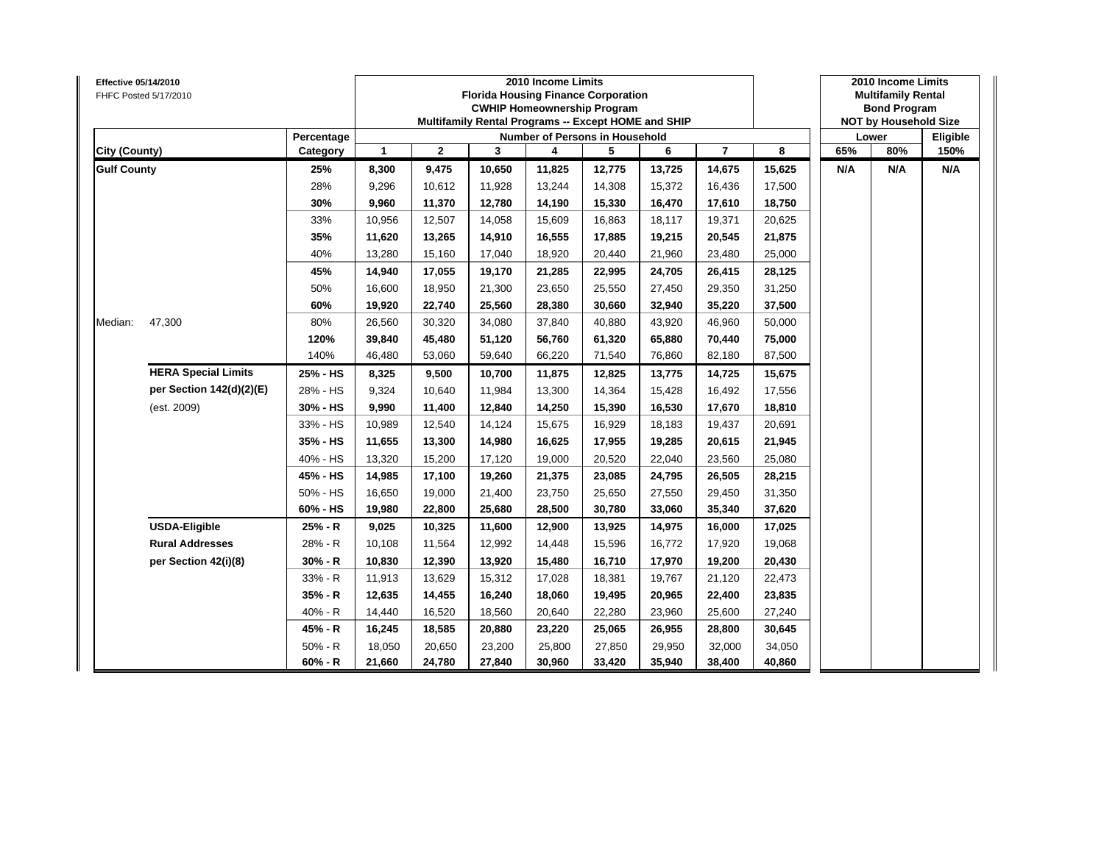| Effective 05/14/2010 | FHFC Posted 5/17/2010      |            |              |              |        | 2010 Income Limits<br><b>Florida Housing Finance Corporation</b><br><b>CWHIP Homeownership Program</b><br>Multifamily Rental Programs -- Except HOME and SHIP |        |        |                |        |     | 2010 Income Limits<br><b>Multifamily Rental</b><br><b>Bond Program</b><br><b>NOT by Household Size</b><br>80%<br>N/A |          |
|----------------------|----------------------------|------------|--------------|--------------|--------|---------------------------------------------------------------------------------------------------------------------------------------------------------------|--------|--------|----------------|--------|-----|----------------------------------------------------------------------------------------------------------------------|----------|
|                      |                            | Percentage |              |              |        | Number of Persons in Household                                                                                                                                |        |        |                |        |     | Lower                                                                                                                | Eligible |
| City (County)        |                            | Category   | $\mathbf{1}$ | $\mathbf{2}$ | 3      | 4                                                                                                                                                             | 5      | 6      | $\overline{7}$ | 8      | 65% |                                                                                                                      | 150%     |
| <b>Gulf County</b>   |                            | 25%        | 8,300        | 9,475        | 10,650 | 11,825                                                                                                                                                        | 12,775 | 13,725 | 14,675         | 15,625 | N/A |                                                                                                                      | N/A      |
|                      |                            | 28%        | 9,296        | 10,612       | 11,928 | 13,244                                                                                                                                                        | 14,308 | 15,372 | 16,436         | 17,500 |     |                                                                                                                      |          |
|                      |                            | 30%        | 9,960        | 11,370       | 12,780 | 14,190                                                                                                                                                        | 15,330 | 16,470 | 17,610         | 18,750 |     |                                                                                                                      |          |
|                      |                            | 33%        | 10,956       | 12,507       | 14,058 | 15,609                                                                                                                                                        | 16,863 | 18,117 | 19,371         | 20,625 |     |                                                                                                                      |          |
|                      |                            | 35%        | 11,620       | 13,265       | 14,910 | 16,555                                                                                                                                                        | 17,885 | 19,215 | 20,545         | 21,875 |     |                                                                                                                      |          |
|                      |                            | 40%        | 13,280       | 15,160       | 17,040 | 18,920                                                                                                                                                        | 20,440 | 21,960 | 23,480         | 25,000 |     |                                                                                                                      |          |
|                      |                            | 45%        | 14,940       | 17,055       | 19,170 | 21,285                                                                                                                                                        | 22,995 | 24,705 | 26,415         | 28,125 |     |                                                                                                                      |          |
|                      |                            | 50%        | 16,600       | 18,950       | 21,300 | 23,650                                                                                                                                                        | 25,550 | 27,450 | 29,350         | 31,250 |     |                                                                                                                      |          |
|                      |                            | 60%        | 19,920       | 22,740       | 25,560 | 28,380                                                                                                                                                        | 30,660 | 32,940 | 35,220         | 37,500 |     |                                                                                                                      |          |
| Median:              | 47,300                     | 80%        | 26,560       | 30,320       | 34,080 | 37,840                                                                                                                                                        | 40,880 | 43,920 | 46,960         | 50,000 |     |                                                                                                                      |          |
|                      |                            | 120%       | 39,840       | 45,480       | 51,120 | 56,760                                                                                                                                                        | 61,320 | 65,880 | 70,440         | 75,000 |     |                                                                                                                      |          |
|                      |                            | 140%       | 46,480       | 53,060       | 59,640 | 66,220                                                                                                                                                        | 71,540 | 76,860 | 82,180         | 87,500 |     |                                                                                                                      |          |
|                      | <b>HERA Special Limits</b> | 25% - HS   | 8,325        | 9,500        | 10,700 | 11,875                                                                                                                                                        | 12,825 | 13,775 | 14,725         | 15,675 |     |                                                                                                                      |          |
|                      | per Section 142(d)(2)(E)   | 28% - HS   | 9,324        | 10,640       | 11,984 | 13,300                                                                                                                                                        | 14,364 | 15,428 | 16,492         | 17,556 |     |                                                                                                                      |          |
|                      | (est. 2009)                | 30% - HS   | 9,990        | 11,400       | 12,840 | 14,250                                                                                                                                                        | 15,390 | 16,530 | 17,670         | 18,810 |     |                                                                                                                      |          |
|                      |                            | 33% - HS   | 10,989       | 12,540       | 14,124 | 15,675                                                                                                                                                        | 16,929 | 18,183 | 19,437         | 20,691 |     |                                                                                                                      |          |
|                      |                            | 35% - HS   | 11,655       | 13,300       | 14,980 | 16,625                                                                                                                                                        | 17,955 | 19,285 | 20,615         | 21,945 |     |                                                                                                                      |          |
|                      |                            | 40% - HS   | 13,320       | 15,200       | 17,120 | 19,000                                                                                                                                                        | 20,520 | 22,040 | 23,560         | 25,080 |     |                                                                                                                      |          |
|                      |                            | 45% - HS   | 14,985       | 17,100       | 19,260 | 21,375                                                                                                                                                        | 23,085 | 24,795 | 26,505         | 28,215 |     |                                                                                                                      |          |
|                      |                            | 50% - HS   | 16,650       | 19.000       | 21,400 | 23,750                                                                                                                                                        | 25,650 | 27,550 | 29,450         | 31,350 |     |                                                                                                                      |          |
|                      |                            | 60% - HS   | 19,980       | 22,800       | 25,680 | 28,500                                                                                                                                                        | 30,780 | 33,060 | 35,340         | 37,620 |     |                                                                                                                      |          |
|                      | <b>USDA-Eligible</b>       | 25% - R    | 9,025        | 10,325       | 11,600 | 12,900                                                                                                                                                        | 13,925 | 14,975 | 16,000         | 17,025 |     |                                                                                                                      |          |
|                      | <b>Rural Addresses</b>     | 28% - R    | 10,108       | 11,564       | 12,992 | 14,448                                                                                                                                                        | 15,596 | 16,772 | 17,920         | 19,068 |     |                                                                                                                      |          |
|                      | per Section 42(i)(8)       | $30% - R$  | 10,830       | 12,390       | 13,920 | 15,480                                                                                                                                                        | 16,710 | 17,970 | 19,200         | 20,430 |     |                                                                                                                      |          |
|                      |                            | 33% - R    | 11,913       | 13,629       | 15,312 | 17,028                                                                                                                                                        | 18,381 | 19,767 | 21,120         | 22,473 |     |                                                                                                                      |          |
|                      |                            | 35% - R    | 12,635       | 14,455       | 16,240 | 18,060                                                                                                                                                        | 19,495 | 20,965 | 22,400         | 23,835 |     |                                                                                                                      |          |
|                      |                            | 40% - R    | 14,440       | 16,520       | 18,560 | 20,640                                                                                                                                                        | 22,280 | 23,960 | 25,600         | 27,240 |     |                                                                                                                      |          |
|                      |                            | 45% - R    | 16,245       | 18,585       | 20,880 | 23,220                                                                                                                                                        | 25,065 | 26,955 | 28,800         | 30,645 |     |                                                                                                                      |          |
|                      |                            | $50% - R$  | 18,050       | 20,650       | 23,200 | 25,800                                                                                                                                                        | 27,850 | 29,950 | 32,000         | 34,050 |     |                                                                                                                      |          |
|                      |                            | $60% - R$  | 21,660       | 24,780       | 27,840 | 30,960                                                                                                                                                        | 33,420 | 35,940 | 38,400         | 40,860 |     |                                                                                                                      |          |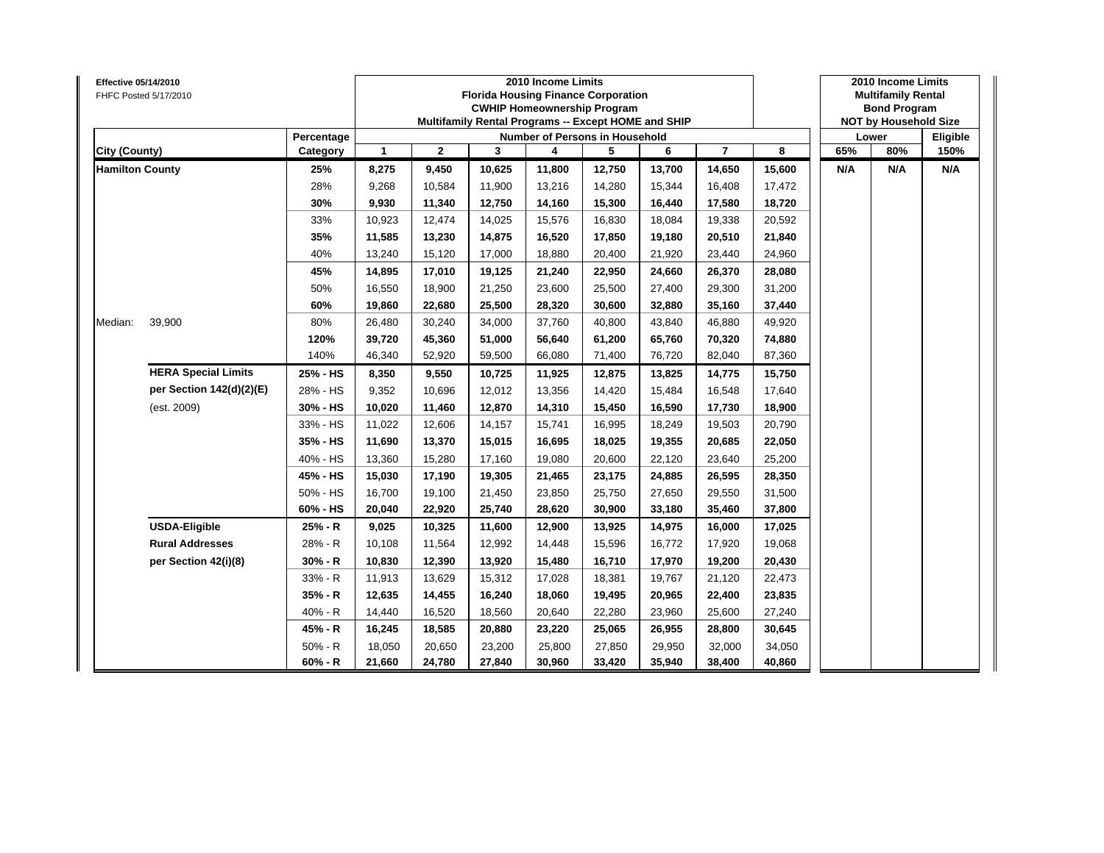| Effective 05/14/2010   | FHFC Posted 5/17/2010      |            |                      |                |        | 2010 Income Limits<br><b>Florida Housing Finance Corporation</b><br><b>CWHIP Homeownership Program</b><br>Multifamily Rental Programs -- Except HOME and SHIP |        |        |                |        |     | 2010 Income Limits<br><b>Multifamily Rental</b><br><b>Bond Program</b><br><b>NOT by Household Size</b><br>80%<br>N/A |          |
|------------------------|----------------------------|------------|----------------------|----------------|--------|---------------------------------------------------------------------------------------------------------------------------------------------------------------|--------|--------|----------------|--------|-----|----------------------------------------------------------------------------------------------------------------------|----------|
|                        |                            | Percentage |                      |                |        | Number of Persons in Household                                                                                                                                |        |        |                |        |     | Lower                                                                                                                | Eligible |
| <b>City (County)</b>   |                            | Category   | $\blacktriangleleft$ | $\overline{2}$ | 3      | 4                                                                                                                                                             | 5      | 6      | $\overline{7}$ | 8      | 65% |                                                                                                                      | 150%     |
| <b>Hamilton County</b> |                            | 25%        | 8,275                | 9,450          | 10,625 | 11,800                                                                                                                                                        | 12,750 | 13,700 | 14,650         | 15,600 | N/A |                                                                                                                      | N/A      |
|                        |                            | 28%        | 9,268                | 10,584         | 11,900 | 13,216                                                                                                                                                        | 14,280 | 15,344 | 16,408         | 17,472 |     |                                                                                                                      |          |
|                        |                            | 30%        | 9,930                | 11,340         | 12,750 | 14,160                                                                                                                                                        | 15,300 | 16,440 | 17,580         | 18,720 |     |                                                                                                                      |          |
|                        |                            | 33%        | 10,923               | 12,474         | 14,025 | 15,576                                                                                                                                                        | 16,830 | 18,084 | 19,338         | 20,592 |     |                                                                                                                      |          |
|                        |                            | 35%        | 11,585               | 13,230         | 14,875 | 16,520                                                                                                                                                        | 17,850 | 19,180 | 20,510         | 21,840 |     |                                                                                                                      |          |
|                        |                            | 40%        | 13,240               | 15,120         | 17,000 | 18,880                                                                                                                                                        | 20,400 | 21,920 | 23,440         | 24,960 |     |                                                                                                                      |          |
|                        |                            | 45%        | 14,895               | 17,010         | 19,125 | 21,240                                                                                                                                                        | 22,950 | 24,660 | 26,370         | 28,080 |     |                                                                                                                      |          |
|                        |                            | 50%        | 16,550               | 18,900         | 21,250 | 23,600                                                                                                                                                        | 25,500 | 27,400 | 29,300         | 31,200 |     |                                                                                                                      |          |
|                        |                            | 60%        | 19,860               | 22,680         | 25,500 | 28,320                                                                                                                                                        | 30,600 | 32,880 | 35,160         | 37,440 |     |                                                                                                                      |          |
| Median:                | 39,900                     | 80%        | 26,480               | 30,240         | 34,000 | 37,760                                                                                                                                                        | 40,800 | 43,840 | 46,880         | 49,920 |     |                                                                                                                      |          |
|                        |                            | 120%       | 39,720               | 45,360         | 51,000 | 56,640                                                                                                                                                        | 61,200 | 65,760 | 70,320         | 74,880 |     |                                                                                                                      |          |
|                        |                            | 140%       | 46,340               | 52,920         | 59,500 | 66,080                                                                                                                                                        | 71,400 | 76,720 | 82,040         | 87,360 |     |                                                                                                                      |          |
|                        | <b>HERA Special Limits</b> | 25% - HS   | 8,350                | 9,550          | 10,725 | 11,925                                                                                                                                                        | 12,875 | 13,825 | 14,775         | 15,750 |     |                                                                                                                      |          |
|                        | per Section 142(d)(2)(E)   | 28% - HS   | 9,352                | 10,696         | 12,012 | 13,356                                                                                                                                                        | 14,420 | 15,484 | 16,548         | 17,640 |     |                                                                                                                      |          |
|                        | (est. 2009)                | 30% - HS   | 10,020               | 11,460         | 12,870 | 14,310                                                                                                                                                        | 15,450 | 16,590 | 17,730         | 18,900 |     |                                                                                                                      |          |
|                        |                            | 33% - HS   | 11,022               | 12,606         | 14,157 | 15,741                                                                                                                                                        | 16,995 | 18,249 | 19,503         | 20,790 |     |                                                                                                                      |          |
|                        |                            | 35% - HS   | 11,690               | 13,370         | 15,015 | 16,695                                                                                                                                                        | 18,025 | 19,355 | 20,685         | 22,050 |     |                                                                                                                      |          |
|                        |                            | 40% - HS   | 13,360               | 15,280         | 17,160 | 19,080                                                                                                                                                        | 20,600 | 22,120 | 23,640         | 25,200 |     |                                                                                                                      |          |
|                        |                            | 45% - HS   | 15,030               | 17,190         | 19,305 | 21,465                                                                                                                                                        | 23,175 | 24,885 | 26,595         | 28,350 |     |                                                                                                                      |          |
|                        |                            | 50% - HS   | 16,700               | 19,100         | 21,450 | 23,850                                                                                                                                                        | 25,750 | 27,650 | 29,550         | 31,500 |     |                                                                                                                      |          |
|                        |                            | 60% - HS   | 20,040               | 22,920         | 25,740 | 28,620                                                                                                                                                        | 30,900 | 33,180 | 35,460         | 37,800 |     |                                                                                                                      |          |
|                        | <b>USDA-Eligible</b>       | 25% - R    | 9,025                | 10,325         | 11,600 | 12,900                                                                                                                                                        | 13,925 | 14,975 | 16,000         | 17,025 |     |                                                                                                                      |          |
|                        | <b>Rural Addresses</b>     | 28% - R    | 10,108               | 11,564         | 12,992 | 14,448                                                                                                                                                        | 15,596 | 16,772 | 17,920         | 19,068 |     |                                                                                                                      |          |
|                        | per Section 42(i)(8)       | 30% - R    | 10,830               | 12,390         | 13,920 | 15,480                                                                                                                                                        | 16,710 | 17,970 | 19,200         | 20,430 |     |                                                                                                                      |          |
|                        |                            | 33% - R    | 11,913               | 13,629         | 15,312 | 17,028                                                                                                                                                        | 18,381 | 19,767 | 21,120         | 22,473 |     |                                                                                                                      |          |
|                        |                            | $35% - R$  | 12,635               | 14,455         | 16,240 | 18,060                                                                                                                                                        | 19,495 | 20,965 | 22,400         | 23,835 |     |                                                                                                                      |          |
|                        |                            | 40% - R    | 14,440               | 16,520         | 18,560 | 20,640                                                                                                                                                        | 22,280 | 23,960 | 25,600         | 27,240 |     |                                                                                                                      |          |
|                        |                            | 45% - R    | 16,245               | 18,585         | 20,880 | 23,220                                                                                                                                                        | 25,065 | 26,955 | 28,800         | 30,645 |     |                                                                                                                      |          |
|                        |                            | $50% - R$  | 18,050               | 20,650         | 23,200 | 25,800                                                                                                                                                        | 27,850 | 29,950 | 32,000         | 34,050 |     |                                                                                                                      |          |
|                        |                            | $60% - R$  | 21,660               | 24,780         | 27,840 | 30,960                                                                                                                                                        | 33,420 | 35,940 | 38,400         | 40,860 |     |                                                                                                                      |          |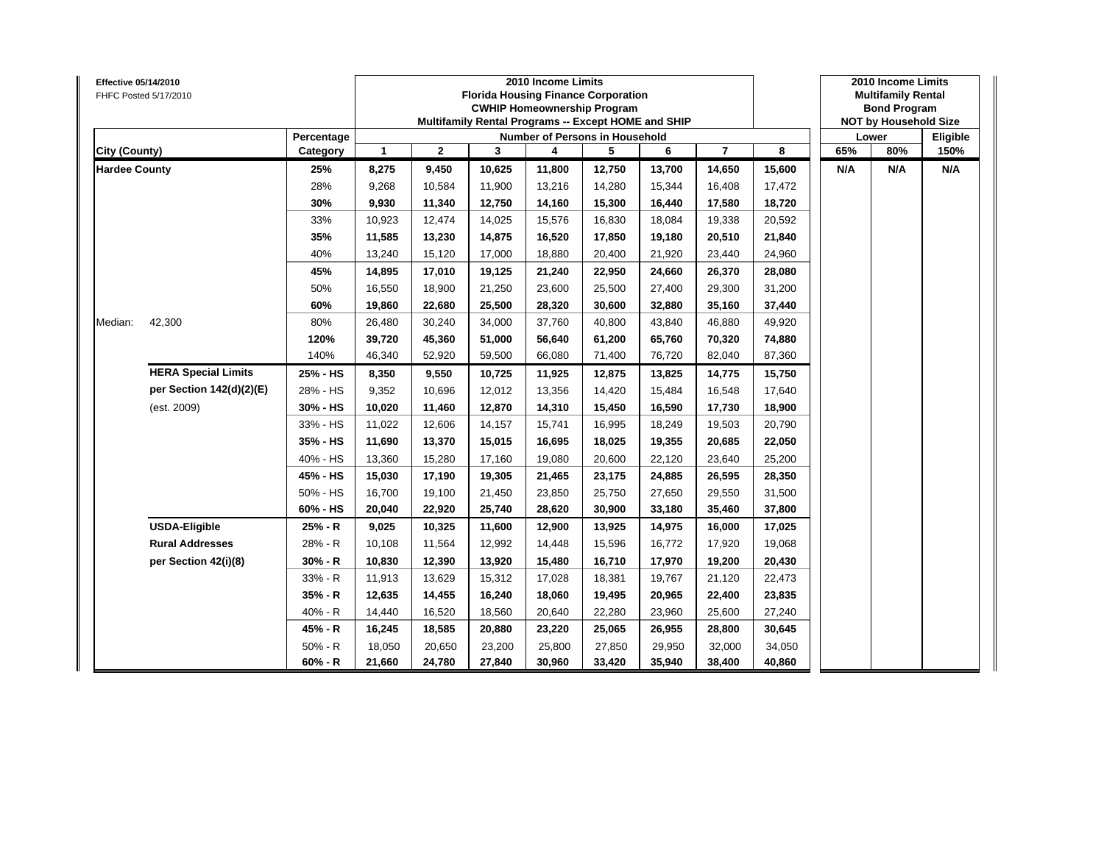| Effective 05/14/2010 | FHFC Posted 5/17/2010      |            |              |              |        | 2010 Income Limits<br><b>Florida Housing Finance Corporation</b><br><b>CWHIP Homeownership Program</b><br>Multifamily Rental Programs -- Except HOME and SHIP |        |        |                |        |     | 2010 Income Limits<br><b>Multifamily Rental</b><br><b>Bond Program</b><br><b>NOT by Household Size</b><br>80%<br>N/A |          |
|----------------------|----------------------------|------------|--------------|--------------|--------|---------------------------------------------------------------------------------------------------------------------------------------------------------------|--------|--------|----------------|--------|-----|----------------------------------------------------------------------------------------------------------------------|----------|
|                      |                            | Percentage |              |              |        | Number of Persons in Household                                                                                                                                |        |        |                |        |     | Lower                                                                                                                | Eligible |
| City (County)        |                            | Category   | $\mathbf{1}$ | $\mathbf{2}$ | 3      | 4                                                                                                                                                             | 5      | 6      | $\overline{7}$ | 8      | 65% |                                                                                                                      | 150%     |
| <b>Hardee County</b> |                            | 25%        | 8,275        | 9,450        | 10,625 | 11,800                                                                                                                                                        | 12,750 | 13,700 | 14,650         | 15,600 | N/A |                                                                                                                      | N/A      |
|                      |                            | 28%        | 9,268        | 10,584       | 11,900 | 13,216                                                                                                                                                        | 14,280 | 15,344 | 16,408         | 17,472 |     |                                                                                                                      |          |
|                      |                            | 30%        | 9,930        | 11,340       | 12,750 | 14,160                                                                                                                                                        | 15,300 | 16,440 | 17,580         | 18,720 |     |                                                                                                                      |          |
|                      |                            | 33%        | 10,923       | 12,474       | 14,025 | 15,576                                                                                                                                                        | 16,830 | 18,084 | 19,338         | 20,592 |     |                                                                                                                      |          |
|                      |                            | 35%        | 11,585       | 13,230       | 14,875 | 16,520                                                                                                                                                        | 17,850 | 19,180 | 20,510         | 21,840 |     |                                                                                                                      |          |
|                      |                            | 40%        | 13,240       | 15,120       | 17,000 | 18,880                                                                                                                                                        | 20,400 | 21,920 | 23,440         | 24,960 |     |                                                                                                                      |          |
|                      |                            | 45%        | 14,895       | 17,010       | 19,125 | 21,240                                                                                                                                                        | 22,950 | 24,660 | 26,370         | 28,080 |     |                                                                                                                      |          |
|                      |                            | 50%        | 16,550       | 18,900       | 21,250 | 23,600                                                                                                                                                        | 25,500 | 27,400 | 29,300         | 31,200 |     |                                                                                                                      |          |
|                      |                            | 60%        | 19,860       | 22,680       | 25,500 | 28,320                                                                                                                                                        | 30,600 | 32,880 | 35,160         | 37,440 |     |                                                                                                                      |          |
| Median:              | 42,300                     | 80%        | 26,480       | 30,240       | 34,000 | 37,760                                                                                                                                                        | 40,800 | 43,840 | 46,880         | 49,920 |     |                                                                                                                      |          |
|                      |                            | 120%       | 39,720       | 45,360       | 51,000 | 56,640                                                                                                                                                        | 61,200 | 65,760 | 70,320         | 74,880 |     |                                                                                                                      |          |
|                      |                            | 140%       | 46,340       | 52,920       | 59,500 | 66,080                                                                                                                                                        | 71,400 | 76,720 | 82,040         | 87,360 |     |                                                                                                                      |          |
|                      | <b>HERA Special Limits</b> | 25% - HS   | 8,350        | 9,550        | 10,725 | 11,925                                                                                                                                                        | 12,875 | 13,825 | 14,775         | 15,750 |     |                                                                                                                      |          |
|                      | per Section 142(d)(2)(E)   | 28% - HS   | 9,352        | 10,696       | 12,012 | 13,356                                                                                                                                                        | 14,420 | 15,484 | 16,548         | 17,640 |     |                                                                                                                      |          |
|                      | (est. 2009)                | 30% - HS   | 10,020       | 11,460       | 12,870 | 14,310                                                                                                                                                        | 15,450 | 16,590 | 17,730         | 18,900 |     |                                                                                                                      |          |
|                      |                            | 33% - HS   | 11,022       | 12,606       | 14,157 | 15,741                                                                                                                                                        | 16,995 | 18,249 | 19,503         | 20,790 |     |                                                                                                                      |          |
|                      |                            | 35% - HS   | 11,690       | 13,370       | 15,015 | 16,695                                                                                                                                                        | 18,025 | 19,355 | 20,685         | 22,050 |     |                                                                                                                      |          |
|                      |                            | 40% - HS   | 13,360       | 15,280       | 17,160 | 19,080                                                                                                                                                        | 20,600 | 22,120 | 23,640         | 25,200 |     |                                                                                                                      |          |
|                      |                            | 45% - HS   | 15,030       | 17,190       | 19,305 | 21,465                                                                                                                                                        | 23,175 | 24,885 | 26,595         | 28,350 |     |                                                                                                                      |          |
|                      |                            | 50% - HS   | 16,700       | 19,100       | 21,450 | 23,850                                                                                                                                                        | 25,750 | 27,650 | 29,550         | 31,500 |     |                                                                                                                      |          |
|                      |                            | 60% - HS   | 20,040       | 22,920       | 25,740 | 28,620                                                                                                                                                        | 30,900 | 33,180 | 35,460         | 37,800 |     |                                                                                                                      |          |
|                      | <b>USDA-Eligible</b>       | 25% - R    | 9,025        | 10,325       | 11,600 | 12,900                                                                                                                                                        | 13,925 | 14,975 | 16,000         | 17,025 |     |                                                                                                                      |          |
|                      | <b>Rural Addresses</b>     | 28% - R    | 10,108       | 11,564       | 12,992 | 14,448                                                                                                                                                        | 15,596 | 16,772 | 17,920         | 19,068 |     |                                                                                                                      |          |
|                      | per Section 42(i)(8)       | 30% - R    | 10,830       | 12,390       | 13,920 | 15,480                                                                                                                                                        | 16,710 | 17,970 | 19,200         | 20,430 |     |                                                                                                                      |          |
|                      |                            | 33% - R    | 11,913       | 13,629       | 15,312 | 17,028                                                                                                                                                        | 18,381 | 19,767 | 21,120         | 22,473 |     |                                                                                                                      |          |
|                      |                            | $35% - R$  | 12,635       | 14,455       | 16,240 | 18,060                                                                                                                                                        | 19,495 | 20,965 | 22,400         | 23,835 |     |                                                                                                                      |          |
|                      |                            | 40% - R    | 14,440       | 16,520       | 18,560 | 20,640                                                                                                                                                        | 22,280 | 23,960 | 25,600         | 27,240 |     |                                                                                                                      |          |
|                      |                            | 45% - R    | 16,245       | 18,585       | 20,880 | 23,220                                                                                                                                                        | 25,065 | 26,955 | 28,800         | 30,645 |     |                                                                                                                      |          |
|                      |                            | $50% - R$  | 18,050       | 20,650       | 23,200 | 25,800                                                                                                                                                        | 27,850 | 29,950 | 32,000         | 34,050 |     |                                                                                                                      |          |
|                      |                            | $60% - R$  | 21,660       | 24,780       | 27,840 | 30,960                                                                                                                                                        | 33,420 | 35,940 | 38,400         | 40,860 |     |                                                                                                                      |          |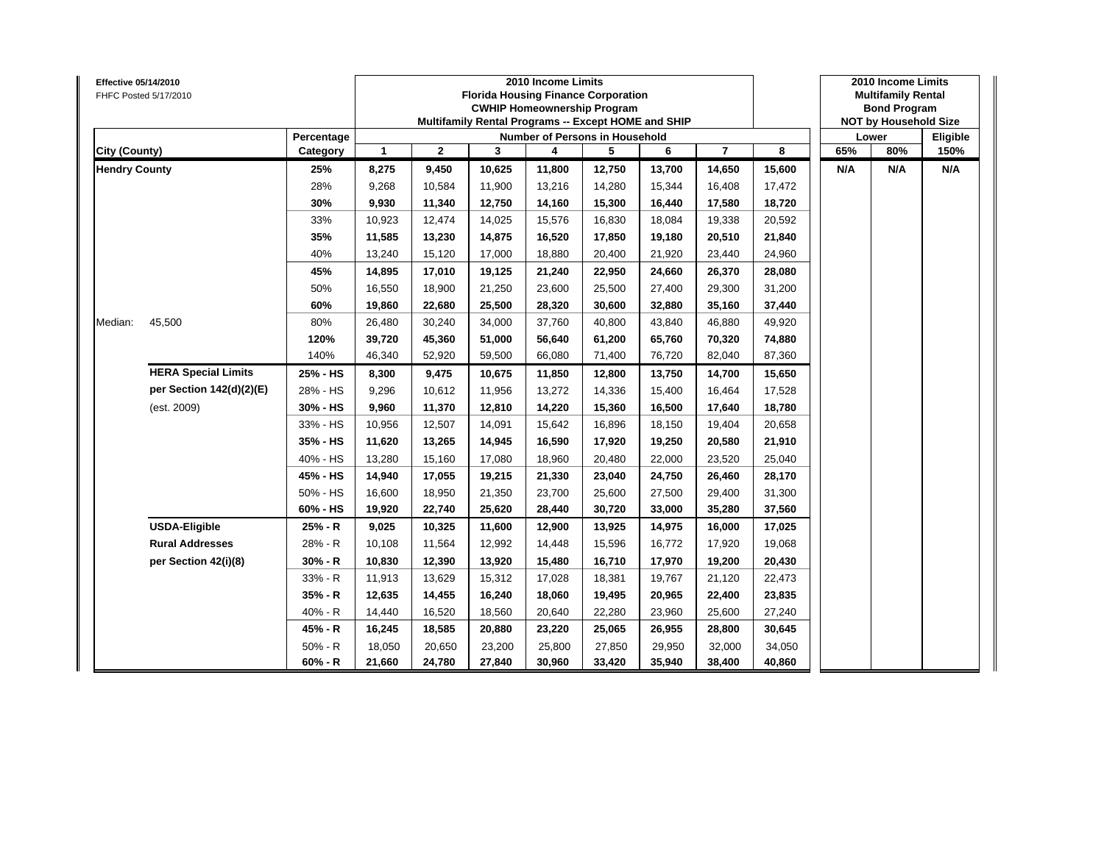| Effective 05/14/2010 | FHFC Posted 5/17/2010      |            |              |              |        | 2010 Income Limits<br><b>Florida Housing Finance Corporation</b><br><b>CWHIP Homeownership Program</b><br>Multifamily Rental Programs -- Except HOME and SHIP |        |        |                |        |     | 2010 Income Limits<br><b>Multifamily Rental</b><br><b>Bond Program</b><br><b>NOT by Household Size</b><br>80%<br>N/A |          |
|----------------------|----------------------------|------------|--------------|--------------|--------|---------------------------------------------------------------------------------------------------------------------------------------------------------------|--------|--------|----------------|--------|-----|----------------------------------------------------------------------------------------------------------------------|----------|
|                      |                            | Percentage |              |              |        | Number of Persons in Household                                                                                                                                |        |        |                |        |     | Lower                                                                                                                | Eligible |
| City (County)        |                            | Category   | $\mathbf{1}$ | $\mathbf{2}$ | 3      | 4                                                                                                                                                             | 5      | 6      | $\overline{7}$ | 8      | 65% |                                                                                                                      | 150%     |
| <b>Hendry County</b> |                            | 25%        | 8,275        | 9,450        | 10,625 | 11,800                                                                                                                                                        | 12,750 | 13,700 | 14,650         | 15,600 | N/A |                                                                                                                      | N/A      |
|                      |                            | 28%        | 9,268        | 10,584       | 11,900 | 13,216                                                                                                                                                        | 14,280 | 15,344 | 16,408         | 17,472 |     |                                                                                                                      |          |
|                      |                            | 30%        | 9,930        | 11,340       | 12,750 | 14,160                                                                                                                                                        | 15,300 | 16,440 | 17,580         | 18,720 |     |                                                                                                                      |          |
|                      |                            | 33%        | 10,923       | 12,474       | 14,025 | 15,576                                                                                                                                                        | 16,830 | 18,084 | 19,338         | 20,592 |     |                                                                                                                      |          |
|                      |                            | 35%        | 11,585       | 13,230       | 14,875 | 16,520                                                                                                                                                        | 17,850 | 19,180 | 20,510         | 21,840 |     |                                                                                                                      |          |
|                      |                            | 40%        | 13,240       | 15,120       | 17,000 | 18,880                                                                                                                                                        | 20,400 | 21,920 | 23,440         | 24,960 |     |                                                                                                                      |          |
|                      |                            | 45%        | 14,895       | 17,010       | 19,125 | 21,240                                                                                                                                                        | 22,950 | 24,660 | 26,370         | 28,080 |     |                                                                                                                      |          |
|                      |                            | 50%        | 16,550       | 18,900       | 21,250 | 23,600                                                                                                                                                        | 25,500 | 27,400 | 29,300         | 31,200 |     |                                                                                                                      |          |
|                      |                            | 60%        | 19,860       | 22,680       | 25,500 | 28,320                                                                                                                                                        | 30,600 | 32,880 | 35,160         | 37,440 |     |                                                                                                                      |          |
| Median:              | 45,500                     | 80%        | 26,480       | 30,240       | 34,000 | 37,760                                                                                                                                                        | 40,800 | 43,840 | 46,880         | 49,920 |     |                                                                                                                      |          |
|                      |                            | 120%       | 39,720       | 45,360       | 51,000 | 56,640                                                                                                                                                        | 61,200 | 65,760 | 70,320         | 74,880 |     |                                                                                                                      |          |
|                      |                            | 140%       | 46,340       | 52,920       | 59,500 | 66,080                                                                                                                                                        | 71,400 | 76,720 | 82,040         | 87,360 |     |                                                                                                                      |          |
|                      | <b>HERA Special Limits</b> | 25% - HS   | 8,300        | 9,475        | 10,675 | 11,850                                                                                                                                                        | 12,800 | 13,750 | 14,700         | 15,650 |     |                                                                                                                      |          |
|                      | per Section 142(d)(2)(E)   | 28% - HS   | 9,296        | 10,612       | 11,956 | 13,272                                                                                                                                                        | 14,336 | 15,400 | 16,464         | 17,528 |     |                                                                                                                      |          |
|                      | (est. 2009)                | 30% - HS   | 9,960        | 11,370       | 12,810 | 14,220                                                                                                                                                        | 15,360 | 16,500 | 17,640         | 18,780 |     |                                                                                                                      |          |
|                      |                            | 33% - HS   | 10,956       | 12,507       | 14,091 | 15,642                                                                                                                                                        | 16,896 | 18,150 | 19,404         | 20,658 |     |                                                                                                                      |          |
|                      |                            | 35% - HS   | 11,620       | 13,265       | 14,945 | 16,590                                                                                                                                                        | 17,920 | 19,250 | 20,580         | 21,910 |     |                                                                                                                      |          |
|                      |                            | 40% - HS   | 13,280       | 15,160       | 17,080 | 18,960                                                                                                                                                        | 20,480 | 22,000 | 23,520         | 25,040 |     |                                                                                                                      |          |
|                      |                            | 45% - HS   | 14,940       | 17,055       | 19,215 | 21,330                                                                                                                                                        | 23,040 | 24,750 | 26,460         | 28,170 |     |                                                                                                                      |          |
|                      |                            | 50% - HS   | 16,600       | 18,950       | 21,350 | 23,700                                                                                                                                                        | 25,600 | 27,500 | 29,400         | 31,300 |     |                                                                                                                      |          |
|                      |                            | 60% - HS   | 19,920       | 22,740       | 25,620 | 28,440                                                                                                                                                        | 30,720 | 33,000 | 35,280         | 37,560 |     |                                                                                                                      |          |
|                      | <b>USDA-Eligible</b>       | 25% - R    | 9,025        | 10,325       | 11,600 | 12,900                                                                                                                                                        | 13,925 | 14,975 | 16,000         | 17,025 |     |                                                                                                                      |          |
|                      | <b>Rural Addresses</b>     | 28% - R    | 10,108       | 11,564       | 12,992 | 14,448                                                                                                                                                        | 15,596 | 16,772 | 17,920         | 19,068 |     |                                                                                                                      |          |
|                      | per Section 42(i)(8)       | 30% - R    | 10,830       | 12,390       | 13,920 | 15,480                                                                                                                                                        | 16,710 | 17,970 | 19,200         | 20,430 |     |                                                                                                                      |          |
|                      |                            | 33% - R    | 11,913       | 13,629       | 15,312 | 17,028                                                                                                                                                        | 18,381 | 19,767 | 21,120         | 22,473 |     |                                                                                                                      |          |
|                      |                            | $35% - R$  | 12,635       | 14,455       | 16,240 | 18,060                                                                                                                                                        | 19,495 | 20,965 | 22,400         | 23,835 |     |                                                                                                                      |          |
|                      |                            | 40% - R    | 14,440       | 16,520       | 18,560 | 20,640                                                                                                                                                        | 22,280 | 23,960 | 25,600         | 27,240 |     |                                                                                                                      |          |
|                      |                            | 45% - R    | 16,245       | 18,585       | 20,880 | 23,220                                                                                                                                                        | 25,065 | 26,955 | 28,800         | 30,645 |     |                                                                                                                      |          |
|                      |                            | $50% - R$  | 18,050       | 20,650       | 23,200 | 25,800                                                                                                                                                        | 27,850 | 29,950 | 32,000         | 34,050 |     |                                                                                                                      |          |
|                      |                            | $60% - R$  | 21,660       | 24,780       | 27,840 | 30,960                                                                                                                                                        | 33,420 | 35,940 | 38,400         | 40,860 |     |                                                                                                                      |          |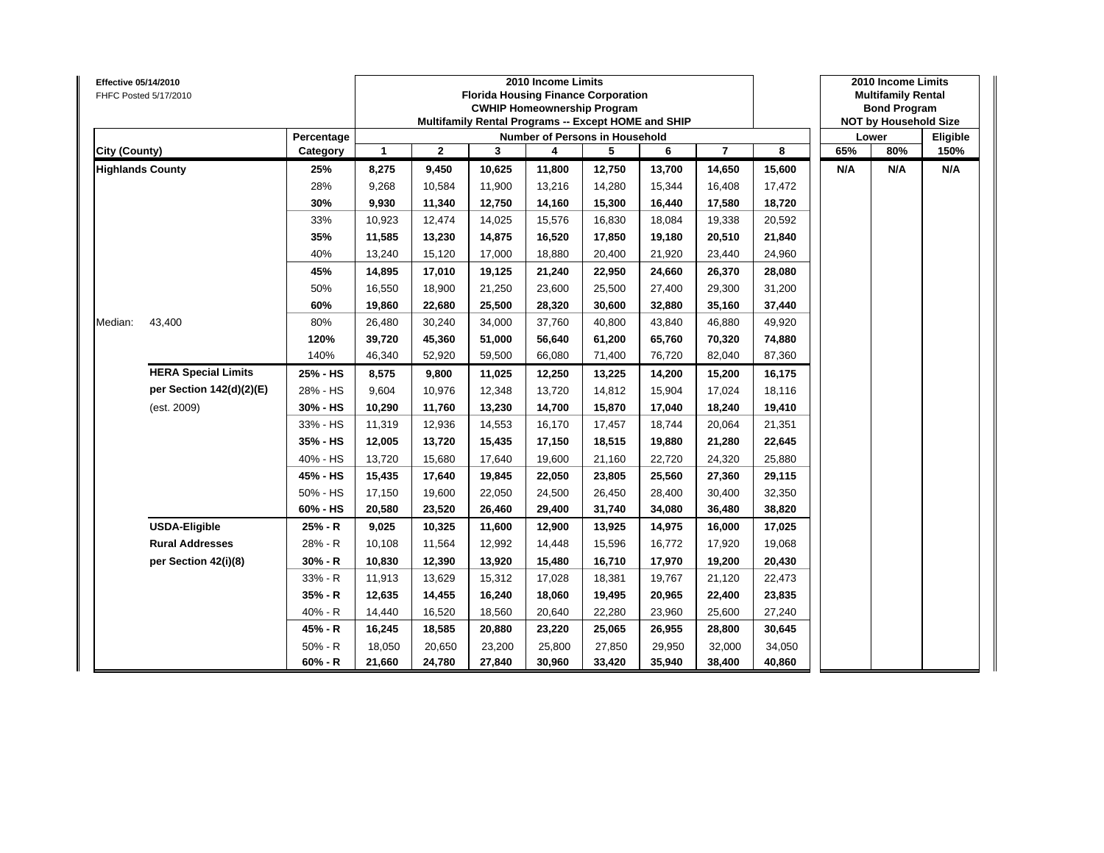| Effective 05/14/2010    | FHFC Posted 5/17/2010      |            |                      |                |        | 2010 Income Limits<br><b>Florida Housing Finance Corporation</b><br><b>CWHIP Homeownership Program</b><br>Multifamily Rental Programs -- Except HOME and SHIP |        |        |                |        |     | 2010 Income Limits<br><b>Multifamily Rental</b><br><b>Bond Program</b><br><b>NOT by Household Size</b> |          |
|-------------------------|----------------------------|------------|----------------------|----------------|--------|---------------------------------------------------------------------------------------------------------------------------------------------------------------|--------|--------|----------------|--------|-----|--------------------------------------------------------------------------------------------------------|----------|
|                         |                            | Percentage |                      |                |        | Number of Persons in Household                                                                                                                                |        |        |                |        |     | Lower                                                                                                  | Eligible |
| <b>City (County)</b>    |                            | Category   | $\blacktriangleleft$ | $\overline{2}$ | 3      | 4                                                                                                                                                             | 5      | 6      | $\overline{7}$ | 8      | 65% | 80%                                                                                                    | 150%     |
| <b>Highlands County</b> |                            | 25%        | 8,275                | 9,450          | 10,625 | 11,800                                                                                                                                                        | 12,750 | 13,700 | 14,650         | 15,600 | N/A | N/A                                                                                                    | N/A      |
|                         |                            | 28%        | 9,268                | 10,584         | 11,900 | 13,216                                                                                                                                                        | 14,280 | 15,344 | 16,408         | 17,472 |     |                                                                                                        |          |
|                         |                            | 30%        | 9,930                | 11,340         | 12,750 | 14,160                                                                                                                                                        | 15,300 | 16,440 | 17,580         | 18,720 |     |                                                                                                        |          |
|                         |                            | 33%        | 10,923               | 12,474         | 14,025 | 15,576                                                                                                                                                        | 16,830 | 18,084 | 19,338         | 20,592 |     |                                                                                                        |          |
|                         |                            | 35%        | 11,585               | 13,230         | 14,875 | 16,520                                                                                                                                                        | 17,850 | 19,180 | 20,510         | 21,840 |     |                                                                                                        |          |
|                         |                            | 40%        | 13,240               | 15,120         | 17,000 | 18,880                                                                                                                                                        | 20,400 | 21,920 | 23,440         | 24,960 |     |                                                                                                        |          |
|                         |                            | 45%        | 14,895               | 17,010         | 19,125 | 21,240                                                                                                                                                        | 22,950 | 24,660 | 26,370         | 28,080 |     |                                                                                                        |          |
|                         |                            | 50%        | 16,550               | 18,900         | 21,250 | 23,600                                                                                                                                                        | 25,500 | 27,400 | 29,300         | 31,200 |     |                                                                                                        |          |
|                         |                            | 60%        | 19,860               | 22,680         | 25,500 | 28,320                                                                                                                                                        | 30,600 | 32,880 | 35,160         | 37,440 |     |                                                                                                        |          |
| Median:                 | 43,400                     | 80%        | 26,480               | 30,240         | 34,000 | 37,760                                                                                                                                                        | 40,800 | 43,840 | 46,880         | 49,920 |     |                                                                                                        |          |
|                         |                            | 120%       | 39,720               | 45,360         | 51,000 | 56,640                                                                                                                                                        | 61,200 | 65,760 | 70,320         | 74,880 |     |                                                                                                        |          |
|                         |                            | 140%       | 46,340               | 52,920         | 59,500 | 66,080                                                                                                                                                        | 71,400 | 76,720 | 82,040         | 87,360 |     |                                                                                                        |          |
|                         | <b>HERA Special Limits</b> | 25% - HS   | 8,575                | 9,800          | 11,025 | 12,250                                                                                                                                                        | 13,225 | 14,200 | 15,200         | 16,175 |     |                                                                                                        |          |
|                         | per Section 142(d)(2)(E)   | 28% - HS   | 9,604                | 10,976         | 12,348 | 13,720                                                                                                                                                        | 14,812 | 15,904 | 17,024         | 18,116 |     |                                                                                                        |          |
|                         | (est. 2009)                | 30% - HS   | 10,290               | 11,760         | 13,230 | 14,700                                                                                                                                                        | 15,870 | 17,040 | 18,240         | 19,410 |     |                                                                                                        |          |
|                         |                            | 33% - HS   | 11,319               | 12,936         | 14,553 | 16,170                                                                                                                                                        | 17,457 | 18,744 | 20,064         | 21,351 |     |                                                                                                        |          |
|                         |                            | 35% - HS   | 12,005               | 13,720         | 15,435 | 17,150                                                                                                                                                        | 18,515 | 19,880 | 21,280         | 22,645 |     |                                                                                                        |          |
|                         |                            | 40% - HS   | 13,720               | 15,680         | 17,640 | 19,600                                                                                                                                                        | 21,160 | 22,720 | 24,320         | 25,880 |     |                                                                                                        |          |
|                         |                            | 45% - HS   | 15,435               | 17,640         | 19,845 | 22,050                                                                                                                                                        | 23,805 | 25,560 | 27,360         | 29,115 |     |                                                                                                        |          |
|                         |                            | 50% - HS   | 17,150               | 19,600         | 22,050 | 24,500                                                                                                                                                        | 26,450 | 28,400 | 30,400         | 32,350 |     |                                                                                                        |          |
|                         |                            | 60% - HS   | 20,580               | 23,520         | 26,460 | 29,400                                                                                                                                                        | 31,740 | 34,080 | 36,480         | 38,820 |     |                                                                                                        |          |
|                         | <b>USDA-Eligible</b>       | 25% - R    | 9,025                | 10,325         | 11,600 | 12,900                                                                                                                                                        | 13,925 | 14,975 | 16,000         | 17,025 |     |                                                                                                        |          |
|                         | <b>Rural Addresses</b>     | 28% - R    | 10,108               | 11,564         | 12,992 | 14,448                                                                                                                                                        | 15,596 | 16,772 | 17,920         | 19,068 |     |                                                                                                        |          |
|                         | per Section 42(i)(8)       | 30% - R    | 10,830               | 12,390         | 13,920 | 15,480                                                                                                                                                        | 16,710 | 17,970 | 19,200         | 20,430 |     |                                                                                                        |          |
|                         |                            | 33% - R    | 11,913               | 13,629         | 15,312 | 17,028                                                                                                                                                        | 18,381 | 19,767 | 21,120         | 22,473 |     |                                                                                                        |          |
|                         |                            | $35% - R$  | 12,635               | 14,455         | 16,240 | 18,060                                                                                                                                                        | 19,495 | 20,965 | 22,400         | 23,835 |     |                                                                                                        |          |
|                         |                            | 40% - R    | 14,440               | 16,520         | 18,560 | 20,640                                                                                                                                                        | 22,280 | 23,960 | 25,600         | 27,240 |     |                                                                                                        |          |
|                         |                            | 45% - R    | 16,245               | 18,585         | 20,880 | 23,220                                                                                                                                                        | 25,065 | 26,955 | 28,800         | 30,645 |     |                                                                                                        |          |
|                         |                            | $50% - R$  | 18,050               | 20,650         | 23,200 | 25,800                                                                                                                                                        | 27,850 | 29,950 | 32,000         | 34,050 |     |                                                                                                        |          |
|                         |                            | $60% - R$  | 21,660               | 24,780         | 27,840 | 30,960                                                                                                                                                        | 33,420 | 35,940 | 38,400         | 40,860 |     |                                                                                                        |          |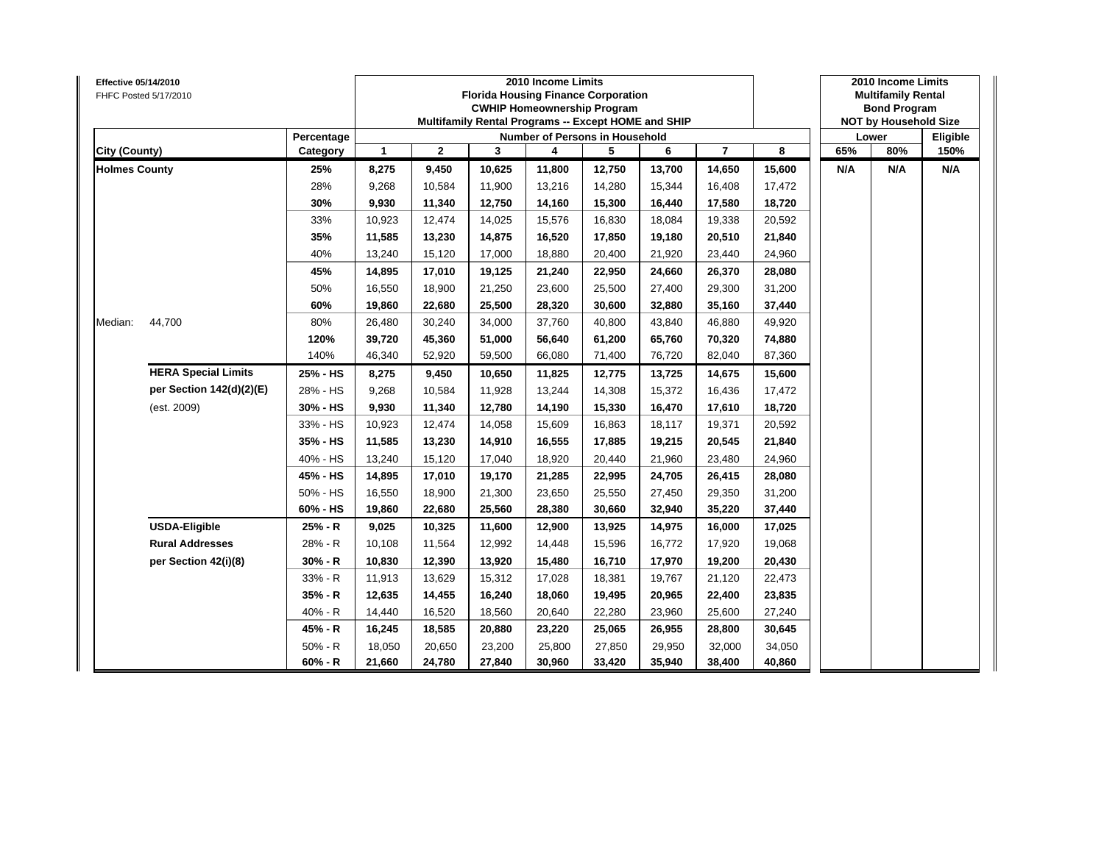| Effective 05/14/2010 | FHFC Posted 5/17/2010      |            |              |              |        | 2010 Income Limits<br><b>Florida Housing Finance Corporation</b><br><b>CWHIP Homeownership Program</b><br>Multifamily Rental Programs -- Except HOME and SHIP |        |        |                |        |     | 2010 Income Limits<br><b>Multifamily Rental</b><br><b>Bond Program</b><br><b>NOT by Household Size</b><br>80%<br>N/A |          |
|----------------------|----------------------------|------------|--------------|--------------|--------|---------------------------------------------------------------------------------------------------------------------------------------------------------------|--------|--------|----------------|--------|-----|----------------------------------------------------------------------------------------------------------------------|----------|
|                      |                            | Percentage |              |              |        | Number of Persons in Household                                                                                                                                |        |        |                |        |     | Lower                                                                                                                | Eligible |
| City (County)        |                            | Category   | $\mathbf{1}$ | $\mathbf{2}$ | 3      | 4                                                                                                                                                             | 5      | 6      | $\overline{7}$ | 8      | 65% |                                                                                                                      | 150%     |
| <b>Holmes County</b> |                            | 25%        | 8,275        | 9,450        | 10,625 | 11,800                                                                                                                                                        | 12,750 | 13,700 | 14,650         | 15,600 | N/A |                                                                                                                      | N/A      |
|                      |                            | 28%        | 9,268        | 10,584       | 11,900 | 13,216                                                                                                                                                        | 14,280 | 15,344 | 16,408         | 17,472 |     |                                                                                                                      |          |
|                      |                            | 30%        | 9,930        | 11,340       | 12,750 | 14,160                                                                                                                                                        | 15,300 | 16,440 | 17,580         | 18,720 |     |                                                                                                                      |          |
|                      |                            | 33%        | 10,923       | 12,474       | 14,025 | 15,576                                                                                                                                                        | 16,830 | 18,084 | 19,338         | 20,592 |     |                                                                                                                      |          |
|                      |                            | 35%        | 11,585       | 13,230       | 14,875 | 16,520                                                                                                                                                        | 17,850 | 19,180 | 20,510         | 21,840 |     |                                                                                                                      |          |
|                      |                            | 40%        | 13,240       | 15,120       | 17,000 | 18,880                                                                                                                                                        | 20,400 | 21,920 | 23,440         | 24,960 |     |                                                                                                                      |          |
|                      |                            | 45%        | 14,895       | 17,010       | 19,125 | 21,240                                                                                                                                                        | 22,950 | 24,660 | 26,370         | 28,080 |     |                                                                                                                      |          |
|                      |                            | 50%        | 16,550       | 18,900       | 21,250 | 23,600                                                                                                                                                        | 25,500 | 27,400 | 29,300         | 31,200 |     |                                                                                                                      |          |
|                      |                            | 60%        | 19,860       | 22,680       | 25,500 | 28,320                                                                                                                                                        | 30,600 | 32,880 | 35,160         | 37,440 |     |                                                                                                                      |          |
| Median:              | 44,700                     | 80%        | 26,480       | 30,240       | 34,000 | 37,760                                                                                                                                                        | 40,800 | 43,840 | 46,880         | 49,920 |     |                                                                                                                      |          |
|                      |                            | 120%       | 39,720       | 45,360       | 51,000 | 56,640                                                                                                                                                        | 61,200 | 65,760 | 70,320         | 74,880 |     |                                                                                                                      |          |
|                      |                            | 140%       | 46,340       | 52,920       | 59,500 | 66,080                                                                                                                                                        | 71,400 | 76,720 | 82,040         | 87,360 |     |                                                                                                                      |          |
|                      | <b>HERA Special Limits</b> | 25% - HS   | 8,275        | 9,450        | 10,650 | 11,825                                                                                                                                                        | 12,775 | 13,725 | 14,675         | 15,600 |     |                                                                                                                      |          |
|                      | per Section 142(d)(2)(E)   | 28% - HS   | 9,268        | 10.584       | 11,928 | 13,244                                                                                                                                                        | 14,308 | 15,372 | 16,436         | 17,472 |     |                                                                                                                      |          |
|                      | (est. 2009)                | 30% - HS   | 9,930        | 11,340       | 12,780 | 14,190                                                                                                                                                        | 15,330 | 16,470 | 17,610         | 18,720 |     |                                                                                                                      |          |
|                      |                            | 33% - HS   | 10,923       | 12,474       | 14,058 | 15,609                                                                                                                                                        | 16,863 | 18,117 | 19,371         | 20,592 |     |                                                                                                                      |          |
|                      |                            | 35% - HS   | 11,585       | 13,230       | 14,910 | 16,555                                                                                                                                                        | 17,885 | 19,215 | 20,545         | 21,840 |     |                                                                                                                      |          |
|                      |                            | 40% - HS   | 13,240       | 15,120       | 17,040 | 18,920                                                                                                                                                        | 20,440 | 21,960 | 23,480         | 24,960 |     |                                                                                                                      |          |
|                      |                            | 45% - HS   | 14,895       | 17,010       | 19,170 | 21,285                                                                                                                                                        | 22,995 | 24,705 | 26,415         | 28,080 |     |                                                                                                                      |          |
|                      |                            | 50% - HS   | 16,550       | 18,900       | 21,300 | 23,650                                                                                                                                                        | 25,550 | 27,450 | 29,350         | 31,200 |     |                                                                                                                      |          |
|                      |                            | 60% - HS   | 19,860       | 22,680       | 25,560 | 28,380                                                                                                                                                        | 30,660 | 32,940 | 35,220         | 37,440 |     |                                                                                                                      |          |
|                      | <b>USDA-Eligible</b>       | 25% - R    | 9,025        | 10,325       | 11,600 | 12,900                                                                                                                                                        | 13,925 | 14,975 | 16,000         | 17,025 |     |                                                                                                                      |          |
|                      | <b>Rural Addresses</b>     | 28% - R    | 10,108       | 11,564       | 12,992 | 14,448                                                                                                                                                        | 15,596 | 16,772 | 17,920         | 19,068 |     |                                                                                                                      |          |
|                      | per Section 42(i)(8)       | 30% - R    | 10,830       | 12,390       | 13,920 | 15,480                                                                                                                                                        | 16,710 | 17,970 | 19,200         | 20,430 |     |                                                                                                                      |          |
|                      |                            | 33% - R    | 11,913       | 13,629       | 15,312 | 17,028                                                                                                                                                        | 18,381 | 19,767 | 21,120         | 22,473 |     |                                                                                                                      |          |
|                      |                            | $35% - R$  | 12,635       | 14,455       | 16,240 | 18,060                                                                                                                                                        | 19,495 | 20,965 | 22,400         | 23,835 |     |                                                                                                                      |          |
|                      |                            | 40% - R    | 14,440       | 16,520       | 18,560 | 20,640                                                                                                                                                        | 22,280 | 23,960 | 25,600         | 27,240 |     |                                                                                                                      |          |
|                      |                            | 45% - R    | 16,245       | 18,585       | 20,880 | 23,220                                                                                                                                                        | 25,065 | 26,955 | 28,800         | 30,645 |     |                                                                                                                      |          |
|                      |                            | $50% - R$  | 18,050       | 20,650       | 23,200 | 25,800                                                                                                                                                        | 27,850 | 29,950 | 32,000         | 34,050 |     |                                                                                                                      |          |
|                      |                            | $60% - R$  | 21,660       | 24,780       | 27,840 | 30,960                                                                                                                                                        | 33,420 | 35,940 | 38,400         | 40,860 |     |                                                                                                                      |          |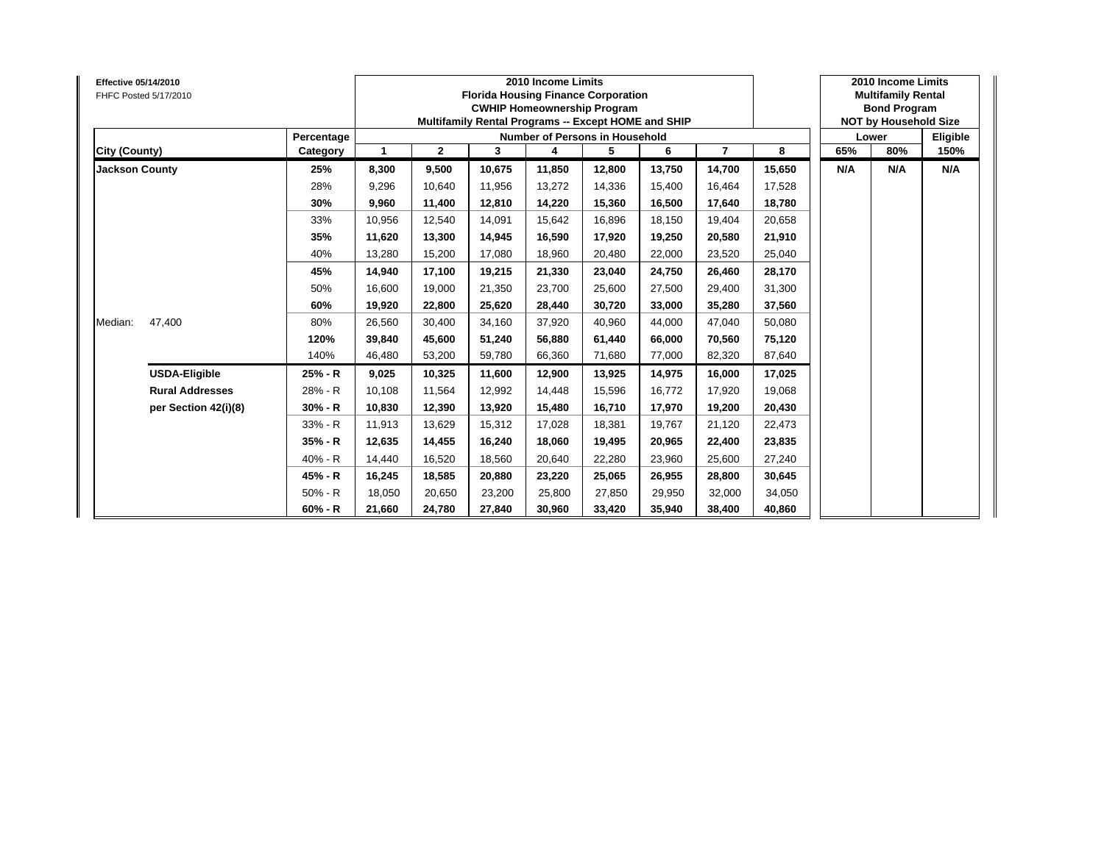| <b>Effective 05/14/2010</b> | FHFC Posted 5/17/2010  |            |        |              |        | 2010 Income Limits<br><b>Florida Housing Finance Corporation</b><br><b>CWHIP Homeownership Program</b><br>Multifamily Rental Programs -- Except HOME and SHIP |        |        |        |        |     | 2010 Income Limits<br><b>Multifamily Rental</b><br><b>Bond Program</b><br><b>NOT by Household Size</b> |          |
|-----------------------------|------------------------|------------|--------|--------------|--------|---------------------------------------------------------------------------------------------------------------------------------------------------------------|--------|--------|--------|--------|-----|--------------------------------------------------------------------------------------------------------|----------|
|                             |                        | Percentage |        |              |        | Number of Persons in Household                                                                                                                                |        |        |        |        |     | Lower                                                                                                  | Eligible |
| City (County)               |                        | Category   | 1      | $\mathbf{2}$ | 3      | 4                                                                                                                                                             | 5      | 6      | 7      | 8      | 65% | 80%                                                                                                    | 150%     |
| <b>Jackson County</b>       |                        | 25%        | 8,300  | 9,500        | 10,675 | 11,850                                                                                                                                                        | 12,800 | 13,750 | 14,700 | 15,650 | N/A | N/A                                                                                                    | N/A      |
|                             |                        | 28%        | 9,296  | 10,640       | 11,956 | 13,272                                                                                                                                                        | 14,336 | 15,400 | 16,464 | 17,528 |     |                                                                                                        |          |
|                             |                        | 30%        | 9,960  | 11,400       | 12,810 | 14,220                                                                                                                                                        | 15,360 | 16,500 | 17,640 | 18,780 |     |                                                                                                        |          |
|                             |                        | 33%        | 10,956 | 12,540       | 14,091 | 15,642                                                                                                                                                        | 16,896 | 18,150 | 19,404 | 20,658 |     |                                                                                                        |          |
|                             |                        | 35%        | 11,620 | 13,300       | 14.945 | 16,590                                                                                                                                                        | 17,920 | 19,250 | 20,580 | 21,910 |     |                                                                                                        |          |
|                             |                        | 40%        | 13,280 | 15,200       | 17,080 | 18,960                                                                                                                                                        | 20,480 | 22,000 | 23,520 | 25,040 |     |                                                                                                        |          |
|                             |                        | 45%        | 14,940 | 17,100       | 19,215 | 21,330                                                                                                                                                        | 23,040 | 24.750 | 26,460 | 28,170 |     |                                                                                                        |          |
|                             |                        | 50%        | 16,600 | 19,000       | 21,350 | 23,700                                                                                                                                                        | 25,600 | 27,500 | 29,400 | 31,300 |     |                                                                                                        |          |
|                             |                        | 60%        | 19,920 | 22,800       | 25,620 | 28,440                                                                                                                                                        | 30,720 | 33.000 | 35,280 | 37,560 |     |                                                                                                        |          |
| Median:                     | 47,400                 | 80%        | 26,560 | 30,400       | 34,160 | 37,920                                                                                                                                                        | 40,960 | 44,000 | 47,040 | 50,080 |     |                                                                                                        |          |
|                             |                        | 120%       | 39,840 | 45,600       | 51.240 | 56,880                                                                                                                                                        | 61,440 | 66.000 | 70,560 | 75,120 |     |                                                                                                        |          |
|                             |                        | 140%       | 46,480 | 53,200       | 59,780 | 66,360                                                                                                                                                        | 71,680 | 77,000 | 82,320 | 87,640 |     |                                                                                                        |          |
|                             | <b>USDA-Eligible</b>   | 25% - R    | 9,025  | 10,325       | 11,600 | 12,900                                                                                                                                                        | 13,925 | 14,975 | 16,000 | 17,025 |     |                                                                                                        |          |
|                             | <b>Rural Addresses</b> | 28% - R    | 10,108 | 11,564       | 12,992 | 14,448                                                                                                                                                        | 15,596 | 16,772 | 17,920 | 19,068 |     |                                                                                                        |          |
|                             | per Section 42(i)(8)   | $30% - R$  | 10,830 | 12,390       | 13,920 | 15,480                                                                                                                                                        | 16,710 | 17,970 | 19,200 | 20,430 |     |                                                                                                        |          |
|                             |                        | 33% - R    | 11,913 | 13,629       | 15,312 | 17,028                                                                                                                                                        | 18,381 | 19,767 | 21,120 | 22,473 |     |                                                                                                        |          |
|                             |                        | 35% - R    | 12,635 | 14,455       | 16,240 | 18,060                                                                                                                                                        | 19,495 | 20,965 | 22,400 | 23,835 |     |                                                                                                        |          |
|                             |                        | 40% - R    | 14,440 | 16,520       | 18.560 | 20,640                                                                                                                                                        | 22,280 | 23,960 | 25,600 | 27,240 |     |                                                                                                        |          |
|                             |                        | 45% - R    | 16,245 | 18,585       | 20.880 | 23,220                                                                                                                                                        | 25,065 | 26.955 | 28,800 | 30,645 |     |                                                                                                        |          |
|                             |                        | $50% - R$  | 18,050 | 20,650       | 23,200 | 25,800                                                                                                                                                        | 27,850 | 29,950 | 32,000 | 34,050 |     |                                                                                                        |          |
|                             |                        | $60% - R$  | 21,660 | 24,780       | 27,840 | 30,960                                                                                                                                                        | 33,420 | 35,940 | 38,400 | 40,860 |     |                                                                                                        |          |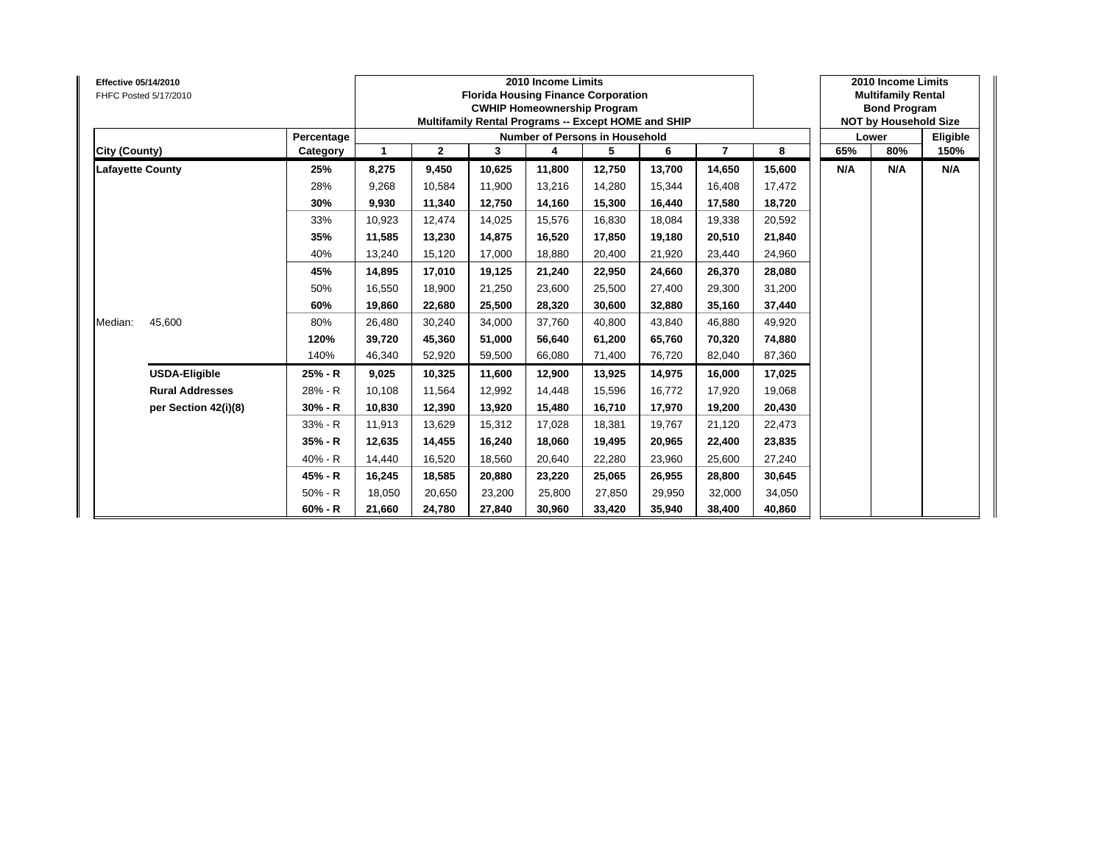| <b>Effective 05/14/2010</b> | FHFC Posted 5/17/2010  |            |        |              |        | 2010 Income Limits<br><b>Florida Housing Finance Corporation</b><br><b>CWHIP Homeownership Program</b><br>Multifamily Rental Programs -- Except HOME and SHIP |        |        |        |        |     | 2010 Income Limits<br><b>Multifamily Rental</b><br><b>Bond Program</b><br><b>NOT by Household Size</b> |          |
|-----------------------------|------------------------|------------|--------|--------------|--------|---------------------------------------------------------------------------------------------------------------------------------------------------------------|--------|--------|--------|--------|-----|--------------------------------------------------------------------------------------------------------|----------|
|                             |                        | Percentage |        |              |        | Number of Persons in Household                                                                                                                                |        |        |        |        |     | Lower                                                                                                  | Eligible |
| City (County)               |                        | Category   | 1      | $\mathbf{2}$ | 3      | 4                                                                                                                                                             | 5      | 6      | 7      | 8      | 65% | 80%                                                                                                    | 150%     |
| <b>Lafayette County</b>     |                        | 25%        | 8,275  | 9,450        | 10,625 | 11,800                                                                                                                                                        | 12,750 | 13,700 | 14,650 | 15,600 | N/A | N/A                                                                                                    | N/A      |
|                             |                        | 28%        | 9,268  | 10,584       | 11,900 | 13,216                                                                                                                                                        | 14,280 | 15,344 | 16,408 | 17,472 |     |                                                                                                        |          |
|                             |                        | 30%        | 9,930  | 11,340       | 12,750 | 14,160                                                                                                                                                        | 15,300 | 16,440 | 17,580 | 18,720 |     |                                                                                                        |          |
|                             |                        | 33%        | 10,923 | 12,474       | 14,025 | 15,576                                                                                                                                                        | 16,830 | 18,084 | 19,338 | 20,592 |     |                                                                                                        |          |
|                             |                        | 35%        | 11,585 | 13,230       | 14,875 | 16,520                                                                                                                                                        | 17,850 | 19.180 | 20,510 | 21,840 |     |                                                                                                        |          |
|                             |                        | 40%        | 13,240 | 15,120       | 17,000 | 18,880                                                                                                                                                        | 20,400 | 21,920 | 23,440 | 24,960 |     |                                                                                                        |          |
|                             |                        | 45%        | 14,895 | 17,010       | 19.125 | 21,240                                                                                                                                                        | 22,950 | 24.660 | 26,370 | 28,080 |     |                                                                                                        |          |
|                             |                        | 50%        | 16,550 | 18,900       | 21,250 | 23,600                                                                                                                                                        | 25,500 | 27,400 | 29,300 | 31,200 |     |                                                                                                        |          |
|                             |                        | 60%        | 19,860 | 22,680       | 25,500 | 28,320                                                                                                                                                        | 30,600 | 32,880 | 35,160 | 37,440 |     |                                                                                                        |          |
| Median:                     | 45,600                 | 80%        | 26,480 | 30,240       | 34,000 | 37,760                                                                                                                                                        | 40,800 | 43,840 | 46,880 | 49,920 |     |                                                                                                        |          |
|                             |                        | 120%       | 39,720 | 45,360       | 51,000 | 56,640                                                                                                                                                        | 61,200 | 65.760 | 70,320 | 74,880 |     |                                                                                                        |          |
|                             |                        | 140%       | 46,340 | 52,920       | 59,500 | 66,080                                                                                                                                                        | 71,400 | 76,720 | 82,040 | 87,360 |     |                                                                                                        |          |
|                             | <b>USDA-Eligible</b>   | 25% - R    | 9,025  | 10,325       | 11,600 | 12,900                                                                                                                                                        | 13,925 | 14,975 | 16,000 | 17,025 |     |                                                                                                        |          |
|                             | <b>Rural Addresses</b> | 28% - R    | 10,108 | 11,564       | 12,992 | 14,448                                                                                                                                                        | 15,596 | 16,772 | 17,920 | 19,068 |     |                                                                                                        |          |
|                             | per Section 42(i)(8)   | $30% - R$  | 10,830 | 12,390       | 13,920 | 15,480                                                                                                                                                        | 16,710 | 17,970 | 19,200 | 20,430 |     |                                                                                                        |          |
|                             |                        | 33% - R    | 11,913 | 13,629       | 15,312 | 17,028                                                                                                                                                        | 18,381 | 19,767 | 21,120 | 22,473 |     |                                                                                                        |          |
|                             |                        | 35% - R    | 12,635 | 14,455       | 16,240 | 18,060                                                                                                                                                        | 19,495 | 20,965 | 22,400 | 23,835 |     |                                                                                                        |          |
|                             |                        | 40% - R    | 14,440 | 16,520       | 18.560 | 20,640                                                                                                                                                        | 22,280 | 23,960 | 25,600 | 27,240 |     |                                                                                                        |          |
|                             |                        | 45% - R    | 16,245 | 18,585       | 20.880 | 23,220                                                                                                                                                        | 25,065 | 26.955 | 28,800 | 30,645 |     |                                                                                                        |          |
|                             |                        | $50% - R$  | 18,050 | 20,650       | 23,200 | 25,800                                                                                                                                                        | 27,850 | 29,950 | 32,000 | 34,050 |     |                                                                                                        |          |
|                             |                        | $60% - R$  | 21,660 | 24,780       | 27,840 | 30,960                                                                                                                                                        | 33,420 | 35,940 | 38,400 | 40,860 |     |                                                                                                        |          |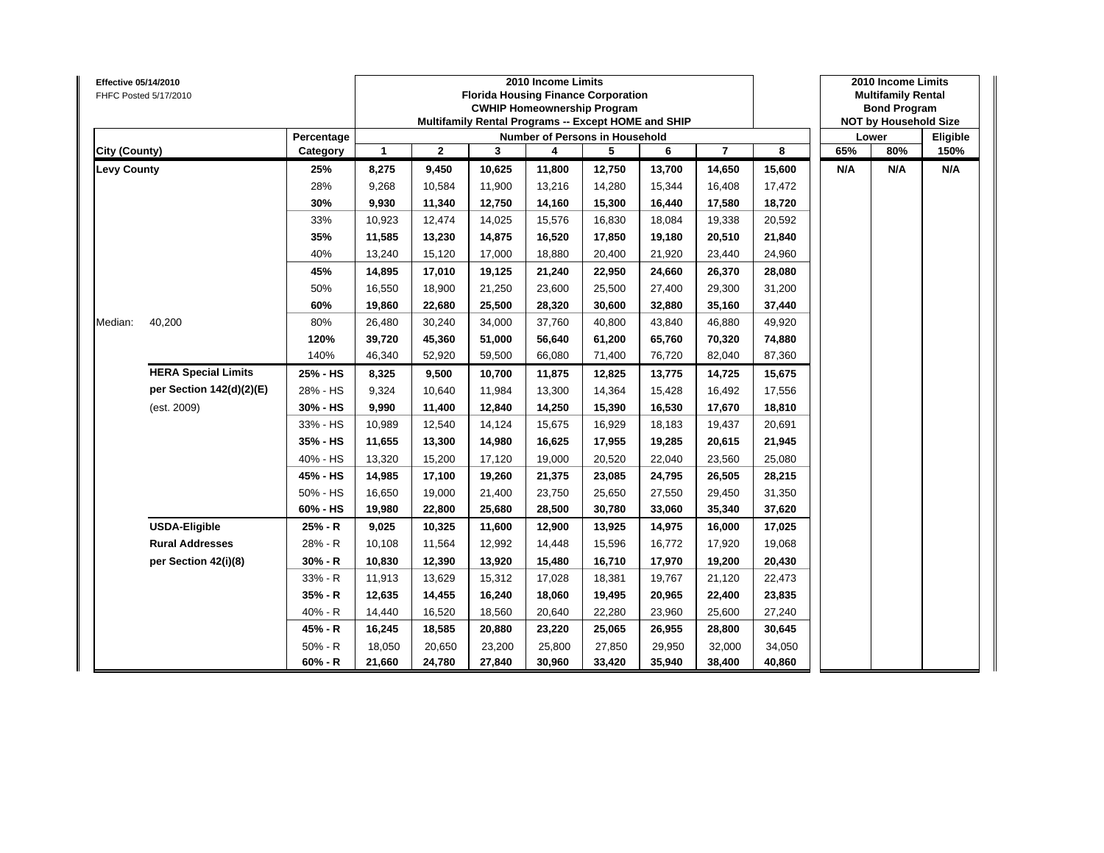| Effective 05/14/2010 | FHFC Posted 5/17/2010      |            |              |              |        | 2010 Income Limits<br><b>Florida Housing Finance Corporation</b><br><b>CWHIP Homeownership Program</b><br>Multifamily Rental Programs -- Except HOME and SHIP |        |        |                |        |     | 2010 Income Limits<br><b>Multifamily Rental</b><br><b>Bond Program</b><br><b>NOT by Household Size</b> |          |
|----------------------|----------------------------|------------|--------------|--------------|--------|---------------------------------------------------------------------------------------------------------------------------------------------------------------|--------|--------|----------------|--------|-----|--------------------------------------------------------------------------------------------------------|----------|
|                      |                            | Percentage |              |              |        | Number of Persons in Household                                                                                                                                |        |        |                |        |     | Lower                                                                                                  | Eligible |
| City (County)        |                            | Category   | $\mathbf{1}$ | $\mathbf{2}$ | 3      | 4                                                                                                                                                             | 5      | 6      | $\overline{7}$ | 8      | 65% | 80%                                                                                                    | 150%     |
| <b>Levy County</b>   |                            | 25%        | 8,275        | 9,450        | 10,625 | 11,800                                                                                                                                                        | 12,750 | 13,700 | 14,650         | 15,600 | N/A | N/A                                                                                                    | N/A      |
|                      |                            | 28%        | 9,268        | 10,584       | 11,900 | 13,216                                                                                                                                                        | 14,280 | 15,344 | 16,408         | 17,472 |     |                                                                                                        |          |
|                      |                            | 30%        | 9,930        | 11,340       | 12,750 | 14,160                                                                                                                                                        | 15,300 | 16,440 | 17,580         | 18,720 |     |                                                                                                        |          |
|                      |                            | 33%        | 10,923       | 12,474       | 14,025 | 15,576                                                                                                                                                        | 16,830 | 18,084 | 19,338         | 20,592 |     |                                                                                                        |          |
|                      |                            | 35%        | 11,585       | 13,230       | 14,875 | 16,520                                                                                                                                                        | 17,850 | 19,180 | 20,510         | 21,840 |     |                                                                                                        |          |
|                      |                            | 40%        | 13,240       | 15,120       | 17,000 | 18,880                                                                                                                                                        | 20,400 | 21,920 | 23,440         | 24,960 |     |                                                                                                        |          |
|                      |                            | 45%        | 14,895       | 17,010       | 19,125 | 21,240                                                                                                                                                        | 22,950 | 24,660 | 26,370         | 28,080 |     |                                                                                                        |          |
|                      |                            | 50%        | 16,550       | 18,900       | 21,250 | 23,600                                                                                                                                                        | 25,500 | 27,400 | 29,300         | 31,200 |     |                                                                                                        |          |
|                      |                            | 60%        | 19,860       | 22,680       | 25,500 | 28,320                                                                                                                                                        | 30,600 | 32,880 | 35,160         | 37,440 |     |                                                                                                        |          |
| Median:              | 40,200                     | 80%        | 26,480       | 30,240       | 34,000 | 37,760                                                                                                                                                        | 40,800 | 43,840 | 46,880         | 49,920 |     |                                                                                                        |          |
|                      |                            | 120%       | 39,720       | 45,360       | 51,000 | 56,640                                                                                                                                                        | 61,200 | 65,760 | 70,320         | 74,880 |     |                                                                                                        |          |
|                      |                            | 140%       | 46,340       | 52,920       | 59,500 | 66,080                                                                                                                                                        | 71,400 | 76,720 | 82,040         | 87,360 |     |                                                                                                        |          |
|                      | <b>HERA Special Limits</b> | 25% - HS   | 8,325        | 9,500        | 10,700 | 11,875                                                                                                                                                        | 12,825 | 13,775 | 14,725         | 15,675 |     |                                                                                                        |          |
|                      | per Section 142(d)(2)(E)   | 28% - HS   | 9,324        | 10.640       | 11,984 | 13,300                                                                                                                                                        | 14,364 | 15,428 | 16,492         | 17,556 |     |                                                                                                        |          |
|                      | (est. 2009)                | 30% - HS   | 9,990        | 11,400       | 12,840 | 14,250                                                                                                                                                        | 15,390 | 16,530 | 17,670         | 18,810 |     |                                                                                                        |          |
|                      |                            | 33% - HS   | 10,989       | 12,540       | 14,124 | 15,675                                                                                                                                                        | 16,929 | 18,183 | 19,437         | 20,691 |     |                                                                                                        |          |
|                      |                            | 35% - HS   | 11,655       | 13,300       | 14,980 | 16,625                                                                                                                                                        | 17,955 | 19,285 | 20,615         | 21,945 |     |                                                                                                        |          |
|                      |                            | 40% - HS   | 13,320       | 15,200       | 17,120 | 19,000                                                                                                                                                        | 20,520 | 22,040 | 23,560         | 25,080 |     |                                                                                                        |          |
|                      |                            | 45% - HS   | 14,985       | 17,100       | 19,260 | 21,375                                                                                                                                                        | 23,085 | 24,795 | 26,505         | 28,215 |     |                                                                                                        |          |
|                      |                            | 50% - HS   | 16,650       | 19,000       | 21,400 | 23,750                                                                                                                                                        | 25,650 | 27,550 | 29,450         | 31,350 |     |                                                                                                        |          |
|                      |                            | 60% - HS   | 19,980       | 22,800       | 25,680 | 28,500                                                                                                                                                        | 30,780 | 33,060 | 35,340         | 37,620 |     |                                                                                                        |          |
|                      | <b>USDA-Eligible</b>       | 25% - R    | 9,025        | 10,325       | 11,600 | 12,900                                                                                                                                                        | 13,925 | 14,975 | 16,000         | 17,025 |     |                                                                                                        |          |
|                      | <b>Rural Addresses</b>     | 28% - R    | 10,108       | 11,564       | 12,992 | 14,448                                                                                                                                                        | 15,596 | 16,772 | 17,920         | 19,068 |     |                                                                                                        |          |
|                      | per Section 42(i)(8)       | 30% - R    | 10,830       | 12,390       | 13,920 | 15,480                                                                                                                                                        | 16,710 | 17,970 | 19,200         | 20,430 |     |                                                                                                        |          |
|                      |                            | 33% - R    | 11,913       | 13,629       | 15,312 | 17,028                                                                                                                                                        | 18,381 | 19,767 | 21,120         | 22,473 |     |                                                                                                        |          |
|                      |                            | $35% - R$  | 12,635       | 14,455       | 16,240 | 18,060                                                                                                                                                        | 19,495 | 20,965 | 22,400         | 23,835 |     |                                                                                                        |          |
|                      |                            | 40% - R    | 14,440       | 16,520       | 18,560 | 20,640                                                                                                                                                        | 22,280 | 23,960 | 25,600         | 27,240 |     |                                                                                                        |          |
|                      |                            | 45% - R    | 16,245       | 18,585       | 20,880 | 23,220                                                                                                                                                        | 25,065 | 26,955 | 28,800         | 30,645 |     |                                                                                                        |          |
|                      |                            | $50% - R$  | 18,050       | 20,650       | 23,200 | 25,800                                                                                                                                                        | 27,850 | 29,950 | 32,000         | 34,050 |     |                                                                                                        |          |
|                      |                            | $60% - R$  | 21,660       | 24,780       | 27,840 | 30,960                                                                                                                                                        | 33,420 | 35,940 | 38,400         | 40,860 |     |                                                                                                        |          |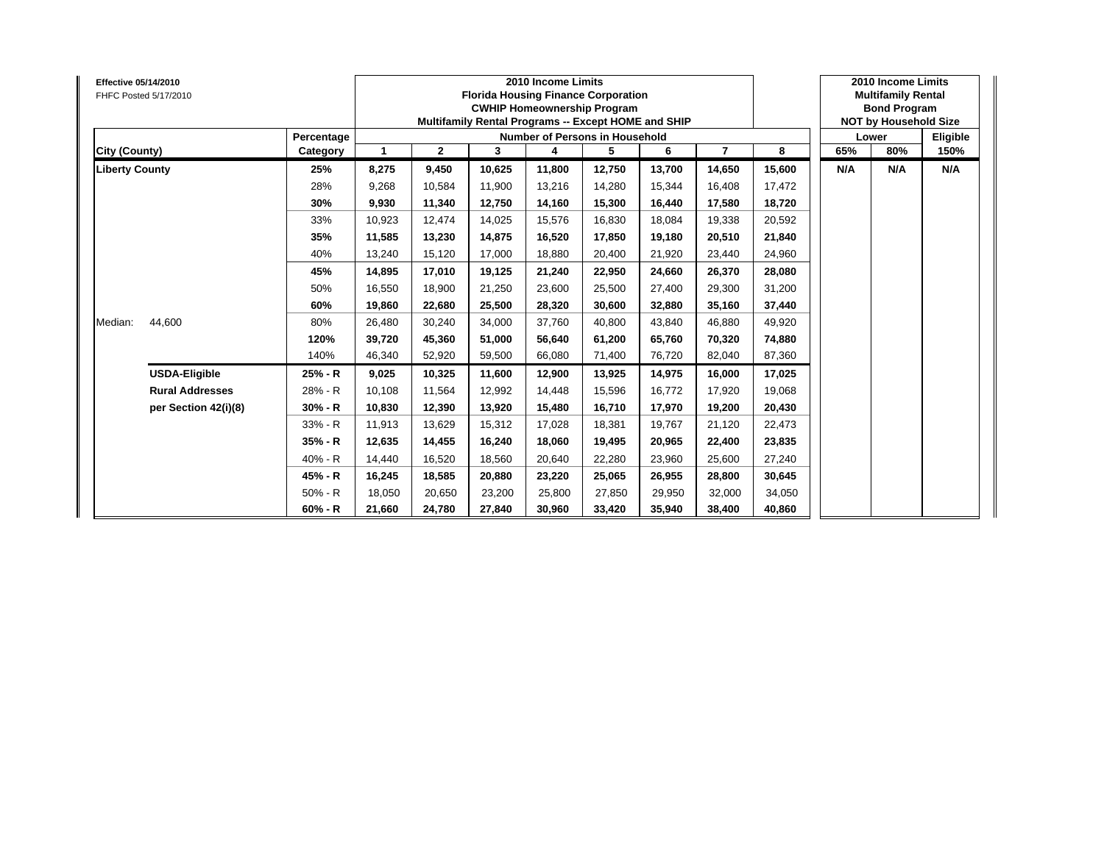| <b>Effective 05/14/2010</b> | FHFC Posted 5/17/2010  |            |        |              |        | 2010 Income Limits<br><b>Florida Housing Finance Corporation</b><br><b>CWHIP Homeownership Program</b><br>Multifamily Rental Programs -- Except HOME and SHIP |        |        |                |        |     | 2010 Income Limits<br><b>Multifamily Rental</b><br><b>Bond Program</b><br><b>NOT by Household Size</b> |          |
|-----------------------------|------------------------|------------|--------|--------------|--------|---------------------------------------------------------------------------------------------------------------------------------------------------------------|--------|--------|----------------|--------|-----|--------------------------------------------------------------------------------------------------------|----------|
|                             |                        | Percentage |        |              |        | <b>Number of Persons in Household</b>                                                                                                                         |        |        |                |        |     | Lower                                                                                                  | Eligible |
| City (County)               |                        | Category   | 1      | $\mathbf{2}$ | 3      | 4                                                                                                                                                             | 5      | 6      | $\overline{7}$ | 8      | 65% | 80%                                                                                                    | 150%     |
| <b>Liberty County</b>       |                        | 25%        | 8,275  | 9,450        | 10,625 | 11,800                                                                                                                                                        | 12,750 | 13,700 | 14,650         | 15,600 | N/A | N/A                                                                                                    | N/A      |
|                             |                        | 28%        | 9,268  | 10,584       | 11,900 | 13,216                                                                                                                                                        | 14,280 | 15,344 | 16,408         | 17,472 |     |                                                                                                        |          |
|                             |                        | 30%        | 9,930  | 11,340       | 12,750 | 14,160                                                                                                                                                        | 15,300 | 16,440 | 17,580         | 18,720 |     |                                                                                                        |          |
|                             |                        | 33%        | 10,923 | 12,474       | 14,025 | 15,576                                                                                                                                                        | 16,830 | 18,084 | 19,338         | 20,592 |     |                                                                                                        |          |
|                             |                        | 35%        | 11,585 | 13,230       | 14.875 | 16,520                                                                                                                                                        | 17,850 | 19.180 | 20,510         | 21,840 |     |                                                                                                        |          |
|                             |                        | 40%        | 13,240 | 15,120       | 17,000 | 18,880                                                                                                                                                        | 20,400 | 21,920 | 23,440         | 24,960 |     |                                                                                                        |          |
|                             |                        | 45%        | 14,895 | 17,010       | 19,125 | 21,240                                                                                                                                                        | 22,950 | 24,660 | 26,370         | 28,080 |     |                                                                                                        |          |
|                             |                        | 50%        | 16,550 | 18,900       | 21,250 | 23,600                                                                                                                                                        | 25,500 | 27,400 | 29,300         | 31,200 |     |                                                                                                        |          |
|                             |                        | 60%        | 19,860 | 22,680       | 25,500 | 28,320                                                                                                                                                        | 30,600 | 32,880 | 35,160         | 37,440 |     |                                                                                                        |          |
| Median:                     | 44,600                 | 80%        | 26,480 | 30,240       | 34,000 | 37,760                                                                                                                                                        | 40,800 | 43.840 | 46,880         | 49,920 |     |                                                                                                        |          |
|                             |                        | 120%       | 39,720 | 45,360       | 51.000 | 56,640                                                                                                                                                        | 61,200 | 65.760 | 70,320         | 74,880 |     |                                                                                                        |          |
|                             |                        | 140%       | 46,340 | 52,920       | 59,500 | 66,080                                                                                                                                                        | 71,400 | 76,720 | 82,040         | 87,360 |     |                                                                                                        |          |
|                             | <b>USDA-Eligible</b>   | 25% - R    | 9,025  | 10,325       | 11,600 | 12,900                                                                                                                                                        | 13,925 | 14,975 | 16,000         | 17,025 |     |                                                                                                        |          |
|                             | <b>Rural Addresses</b> | 28% - R    | 10,108 | 11,564       | 12,992 | 14,448                                                                                                                                                        | 15,596 | 16,772 | 17,920         | 19,068 |     |                                                                                                        |          |
|                             | per Section 42(i)(8)   | $30% - R$  | 10,830 | 12,390       | 13.920 | 15,480                                                                                                                                                        | 16,710 | 17.970 | 19,200         | 20,430 |     |                                                                                                        |          |
|                             |                        | 33% - R    | 11,913 | 13,629       | 15,312 | 17,028                                                                                                                                                        | 18,381 | 19,767 | 21,120         | 22,473 |     |                                                                                                        |          |
|                             |                        | 35% - R    | 12,635 | 14,455       | 16,240 | 18,060                                                                                                                                                        | 19,495 | 20,965 | 22,400         | 23,835 |     |                                                                                                        |          |
|                             |                        | 40% - R    | 14,440 | 16,520       | 18,560 | 20,640                                                                                                                                                        | 22,280 | 23,960 | 25,600         | 27,240 |     |                                                                                                        |          |
|                             |                        | 45% - R    | 16,245 | 18,585       | 20,880 | 23,220                                                                                                                                                        | 25,065 | 26,955 | 28,800         | 30,645 |     |                                                                                                        |          |
|                             |                        | $50% - R$  | 18,050 | 20,650       | 23,200 | 25,800                                                                                                                                                        | 27,850 | 29,950 | 32,000         | 34,050 |     |                                                                                                        |          |
|                             |                        | $60% - R$  | 21,660 | 24,780       | 27,840 | 30,960                                                                                                                                                        | 33,420 | 35,940 | 38,400         | 40,860 |     |                                                                                                        |          |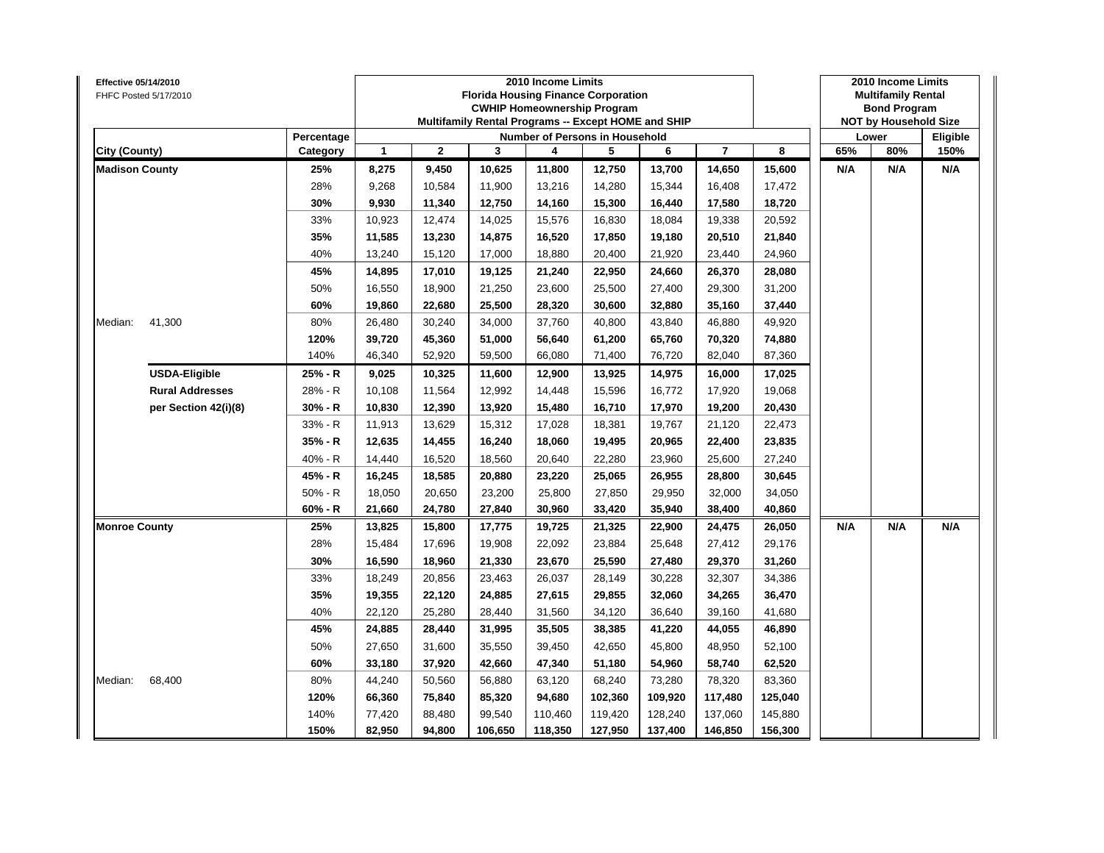| Effective 05/14/2010<br>FHFC Posted 5/17/2010 |                        |            |        |              | <b>Florida Housing Finance Corporation</b><br>Multifamily Rental Programs -- Except HOME and SHIP | 2010 Income Limits | <b>CWHIP Homeownership Program</b> |         |                |         |     | 2010 Income Limits<br><b>Multifamily Rental</b><br><b>Bond Program</b><br><b>NOT by Household Size</b> |          |
|-----------------------------------------------|------------------------|------------|--------|--------------|---------------------------------------------------------------------------------------------------|--------------------|------------------------------------|---------|----------------|---------|-----|--------------------------------------------------------------------------------------------------------|----------|
|                                               |                        | Percentage |        |              |                                                                                                   |                    | Number of Persons in Household     |         |                |         |     | 80%<br>N/A<br>N/A                                                                                      | Eligible |
| City (County)                                 |                        | Category   | 1      | $\mathbf{2}$ | 3                                                                                                 | 4                  | 5                                  | 6       | $\overline{7}$ | 8       | 65% |                                                                                                        | 150%     |
| <b>Madison County</b>                         |                        | 25%        | 8,275  | 9,450        | 10,625                                                                                            | 11,800             | 12,750                             | 13,700  | 14,650         | 15,600  | N/A |                                                                                                        | N/A      |
|                                               |                        | 28%        | 9,268  | 10,584       | 11,900                                                                                            | 13,216             | 14,280                             | 15,344  | 16,408         | 17,472  |     |                                                                                                        |          |
|                                               |                        | 30%        | 9,930  | 11,340       | 12,750                                                                                            | 14,160             | 15,300                             | 16,440  | 17,580         | 18,720  |     |                                                                                                        |          |
|                                               |                        | 33%        | 10,923 | 12,474       | 14,025                                                                                            | 15,576             | 16,830                             | 18,084  | 19,338         | 20,592  |     |                                                                                                        |          |
|                                               |                        | 35%        | 11,585 | 13,230       | 14,875                                                                                            | 16,520             | 17,850                             | 19,180  | 20,510         | 21,840  |     |                                                                                                        |          |
|                                               |                        | 40%        | 13,240 | 15,120       | 17,000                                                                                            | 18,880             | 20,400                             | 21,920  | 23,440         | 24,960  |     |                                                                                                        |          |
|                                               |                        | 45%        | 14,895 | 17,010       | 19,125                                                                                            | 21,240             | 22,950                             | 24,660  | 26,370         | 28,080  |     |                                                                                                        |          |
|                                               |                        | 50%        | 16,550 | 18,900       | 21,250                                                                                            | 23,600             | 25,500                             | 27,400  | 29,300         | 31,200  |     |                                                                                                        |          |
|                                               |                        | 60%        | 19,860 | 22,680       | 25,500                                                                                            | 28,320             | 30,600                             | 32,880  | 35,160         | 37,440  |     |                                                                                                        |          |
| Median:                                       | 41,300                 | 80%        | 26,480 | 30,240       | 34,000                                                                                            | 37,760             | 40,800                             | 43,840  | 46,880         | 49,920  |     |                                                                                                        |          |
|                                               |                        | 120%       | 39,720 | 45,360       | 51,000                                                                                            | 56,640             | 61,200                             | 65,760  | 70,320         | 74,880  |     |                                                                                                        |          |
|                                               |                        | 140%       | 46,340 | 52,920       | 59,500                                                                                            | 66,080             | 71,400                             | 76,720  | 82,040         | 87,360  |     |                                                                                                        |          |
|                                               | <b>USDA-Eligible</b>   | 25% - R    | 9,025  | 10,325       | 11,600                                                                                            | 12,900             | 13,925                             | 14,975  | 16,000         | 17,025  |     |                                                                                                        |          |
|                                               | <b>Rural Addresses</b> | 28% - R    | 10,108 | 11,564       | 12,992                                                                                            | 14,448             | 15,596                             | 16,772  | 17,920         | 19,068  |     |                                                                                                        |          |
|                                               | per Section 42(i)(8)   | 30% - R    | 10,830 | 12,390       | 13,920                                                                                            | 15,480             | 16,710                             | 17,970  | 19,200         | 20,430  |     |                                                                                                        |          |
|                                               |                        | 33% - R    | 11,913 | 13,629       | 15,312                                                                                            | 17,028             | 18,381                             | 19,767  | 21,120         | 22,473  |     |                                                                                                        |          |
|                                               |                        | 35% - R    | 12,635 | 14,455       | 16,240                                                                                            | 18,060             | 19,495                             | 20,965  | 22,400         | 23,835  |     |                                                                                                        |          |
|                                               |                        | 40% - R    | 14,440 | 16,520       | 18,560                                                                                            | 20,640             | 22,280                             | 23,960  | 25,600         | 27,240  |     |                                                                                                        |          |
|                                               |                        | 45% - R    | 16,245 | 18,585       | 20,880                                                                                            | 23,220             | 25,065                             | 26,955  | 28,800         | 30,645  |     |                                                                                                        |          |
|                                               |                        | $50% - R$  | 18,050 | 20,650       | 23,200                                                                                            | 25,800             | 27,850                             | 29,950  | 32,000         | 34,050  |     |                                                                                                        |          |
|                                               |                        | 60% - R    | 21,660 | 24,780       | 27,840                                                                                            | 30,960             | 33,420                             | 35,940  | 38,400         | 40,860  |     |                                                                                                        |          |
| <b>Monroe County</b>                          |                        | 25%        | 13,825 | 15,800       | 17,775                                                                                            | 19,725             | 21,325                             | 22,900  | 24,475         | 26,050  | N/A |                                                                                                        | N/A      |
|                                               |                        | 28%        | 15,484 | 17,696       | 19,908                                                                                            | 22,092             | 23,884                             | 25,648  | 27,412         | 29,176  |     |                                                                                                        |          |
|                                               |                        | 30%        | 16,590 | 18,960       | 21,330                                                                                            | 23,670             | 25,590                             | 27,480  | 29,370         | 31,260  |     | Lower                                                                                                  |          |
|                                               |                        | 33%        | 18,249 | 20,856       | 23,463                                                                                            | 26,037             | 28,149                             | 30,228  | 32,307         | 34,386  |     |                                                                                                        |          |
|                                               |                        | 35%        | 19,355 | 22,120       | 24,885                                                                                            | 27,615             | 29,855                             | 32,060  | 34,265         | 36,470  |     |                                                                                                        |          |
|                                               |                        | 40%        | 22,120 | 25,280       | 28,440                                                                                            | 31,560             | 34,120                             | 36,640  | 39,160         | 41,680  |     |                                                                                                        |          |
|                                               |                        | 45%        | 24,885 | 28,440       | 31,995                                                                                            | 35,505             | 38,385                             | 41,220  | 44,055         | 46,890  |     |                                                                                                        |          |
|                                               |                        | 50%        | 27,650 | 31,600       | 35,550                                                                                            | 39,450             | 42,650                             | 45,800  | 48,950         | 52,100  |     |                                                                                                        |          |
|                                               |                        | 60%        | 33,180 | 37,920       | 42,660                                                                                            | 47,340             | 51,180                             | 54,960  | 58,740         | 62,520  |     |                                                                                                        |          |
| Median:                                       | 68,400                 | 80%        | 44,240 | 50,560       | 56,880                                                                                            | 63,120             | 68,240                             | 73,280  | 78,320         | 83,360  |     |                                                                                                        |          |
|                                               |                        | 120%       | 66,360 | 75,840       | 85,320                                                                                            | 94,680             | 102,360                            | 109,920 | 117,480        | 125,040 |     |                                                                                                        |          |
|                                               |                        | 140%       | 77,420 | 88,480       | 99,540                                                                                            | 110,460            | 119,420                            | 128,240 | 137,060        | 145,880 |     |                                                                                                        |          |
|                                               |                        | 150%       | 82,950 | 94,800       | 106,650                                                                                           | 118,350            | 127,950                            | 137,400 | 146,850        | 156,300 |     |                                                                                                        |          |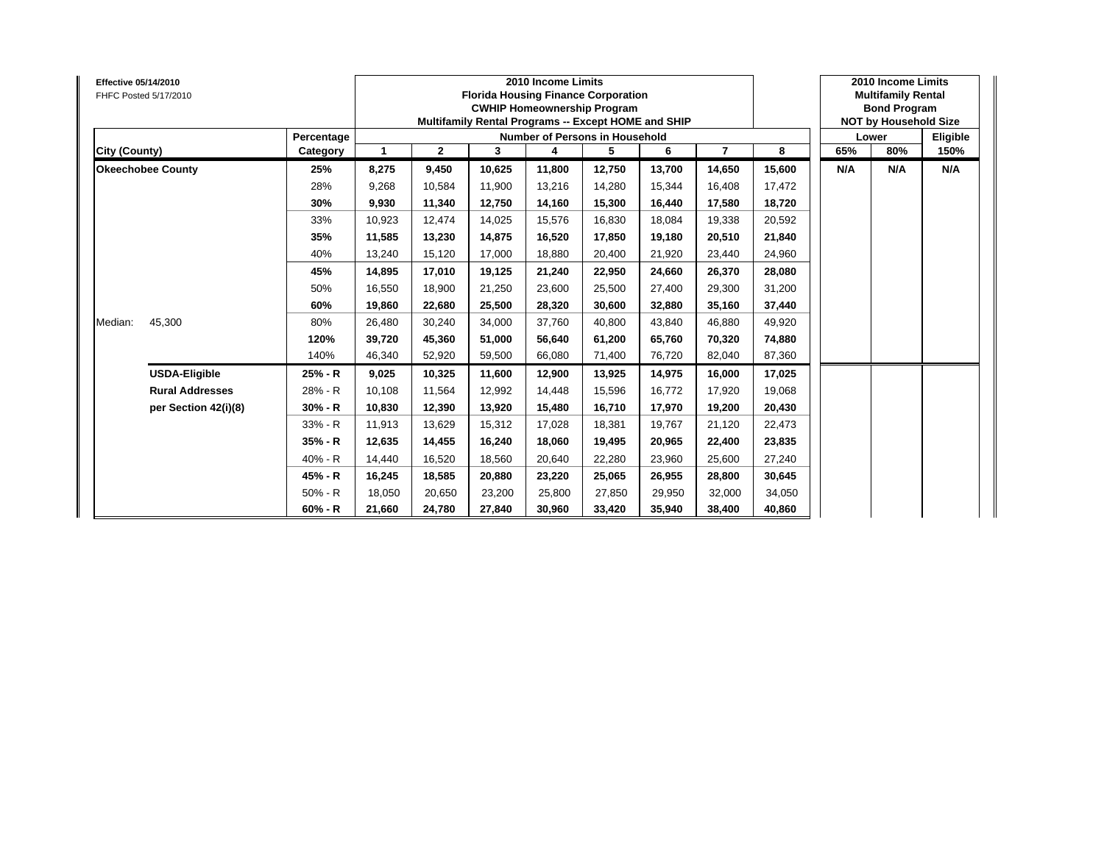| <b>Effective 05/14/2010</b> | FHFC Posted 5/17/2010    |            |        |              |        | 2010 Income Limits<br><b>Florida Housing Finance Corporation</b><br><b>CWHIP Homeownership Program</b><br>Multifamily Rental Programs -- Except HOME and SHIP |        |        |                |        |     | 2010 Income Limits<br><b>Multifamily Rental</b><br><b>Bond Program</b><br><b>NOT by Household Size</b> |          |
|-----------------------------|--------------------------|------------|--------|--------------|--------|---------------------------------------------------------------------------------------------------------------------------------------------------------------|--------|--------|----------------|--------|-----|--------------------------------------------------------------------------------------------------------|----------|
|                             |                          | Percentage |        |              |        | Number of Persons in Household                                                                                                                                |        |        |                |        |     | Lower                                                                                                  | Eligible |
| City (County)               |                          | Category   | 1      | $\mathbf{2}$ | 3      | 4                                                                                                                                                             | 5      | 6      | $\overline{7}$ | 8      | 65% | 80%                                                                                                    | 150%     |
|                             | <b>Okeechobee County</b> | 25%        | 8,275  | 9,450        | 10,625 | 11,800                                                                                                                                                        | 12,750 | 13,700 | 14,650         | 15,600 | N/A | N/A                                                                                                    | N/A      |
|                             |                          | 28%        | 9,268  | 10,584       | 11.900 | 13,216                                                                                                                                                        | 14,280 | 15,344 | 16,408         | 17,472 |     |                                                                                                        |          |
|                             |                          | 30%        | 9,930  | 11,340       | 12.750 | 14,160                                                                                                                                                        | 15,300 | 16.440 | 17,580         | 18,720 |     |                                                                                                        |          |
|                             |                          | 33%        | 10,923 | 12,474       | 14.025 | 15,576                                                                                                                                                        | 16,830 | 18,084 | 19,338         | 20,592 |     |                                                                                                        |          |
|                             |                          | 35%        | 11,585 | 13,230       | 14.875 | 16,520                                                                                                                                                        | 17,850 | 19.180 | 20,510         | 21,840 |     |                                                                                                        |          |
|                             |                          | 40%        | 13,240 | 15,120       | 17,000 | 18,880                                                                                                                                                        | 20,400 | 21,920 | 23,440         | 24,960 |     |                                                                                                        |          |
|                             |                          | 45%        | 14,895 | 17,010       | 19,125 | 21,240                                                                                                                                                        | 22,950 | 24,660 | 26,370         | 28,080 |     |                                                                                                        |          |
|                             |                          | 50%        | 16,550 | 18,900       | 21,250 | 23,600                                                                                                                                                        | 25,500 | 27,400 | 29,300         | 31,200 |     |                                                                                                        |          |
|                             |                          | 60%        | 19,860 | 22,680       | 25,500 | 28,320                                                                                                                                                        | 30,600 | 32,880 | 35,160         | 37,440 |     |                                                                                                        |          |
| Median:                     | 45,300                   | 80%        | 26,480 | 30,240       | 34,000 | 37,760                                                                                                                                                        | 40,800 | 43,840 | 46,880         | 49,920 |     |                                                                                                        |          |
|                             |                          | 120%       | 39,720 | 45,360       | 51.000 | 56,640                                                                                                                                                        | 61,200 | 65,760 | 70,320         | 74,880 |     |                                                                                                        |          |
|                             |                          | 140%       | 46,340 | 52,920       | 59,500 | 66,080                                                                                                                                                        | 71,400 | 76,720 | 82,040         | 87,360 |     |                                                                                                        |          |
|                             | <b>USDA-Eligible</b>     | 25% - R    | 9,025  | 10,325       | 11,600 | 12,900                                                                                                                                                        | 13,925 | 14,975 | 16,000         | 17,025 |     |                                                                                                        |          |
|                             | <b>Rural Addresses</b>   | 28% - R    | 10,108 | 11,564       | 12,992 | 14,448                                                                                                                                                        | 15,596 | 16,772 | 17,920         | 19,068 |     |                                                                                                        |          |
|                             | per Section 42(i)(8)     | $30% - R$  | 10,830 | 12,390       | 13,920 | 15,480                                                                                                                                                        | 16,710 | 17,970 | 19,200         | 20,430 |     |                                                                                                        |          |
|                             |                          | 33% - R    | 11,913 | 13,629       | 15,312 | 17,028                                                                                                                                                        | 18,381 | 19,767 | 21,120         | 22,473 |     |                                                                                                        |          |
|                             |                          | 35% - R    | 12,635 | 14,455       | 16,240 | 18,060                                                                                                                                                        | 19,495 | 20,965 | 22,400         | 23,835 |     |                                                                                                        |          |
|                             |                          | 40% - R    | 14,440 | 16,520       | 18.560 | 20,640                                                                                                                                                        | 22,280 | 23,960 | 25,600         | 27,240 |     |                                                                                                        |          |
|                             |                          | 45% - R    | 16,245 | 18,585       | 20,880 | 23,220                                                                                                                                                        | 25,065 | 26,955 | 28,800         | 30,645 |     |                                                                                                        |          |
|                             |                          | $50% - R$  | 18,050 | 20,650       | 23,200 | 25,800                                                                                                                                                        | 27,850 | 29,950 | 32,000         | 34,050 |     |                                                                                                        |          |
|                             |                          | $60% - R$  | 21,660 | 24,780       | 27,840 | 30,960                                                                                                                                                        | 33,420 | 35,940 | 38,400         | 40,860 |     |                                                                                                        |          |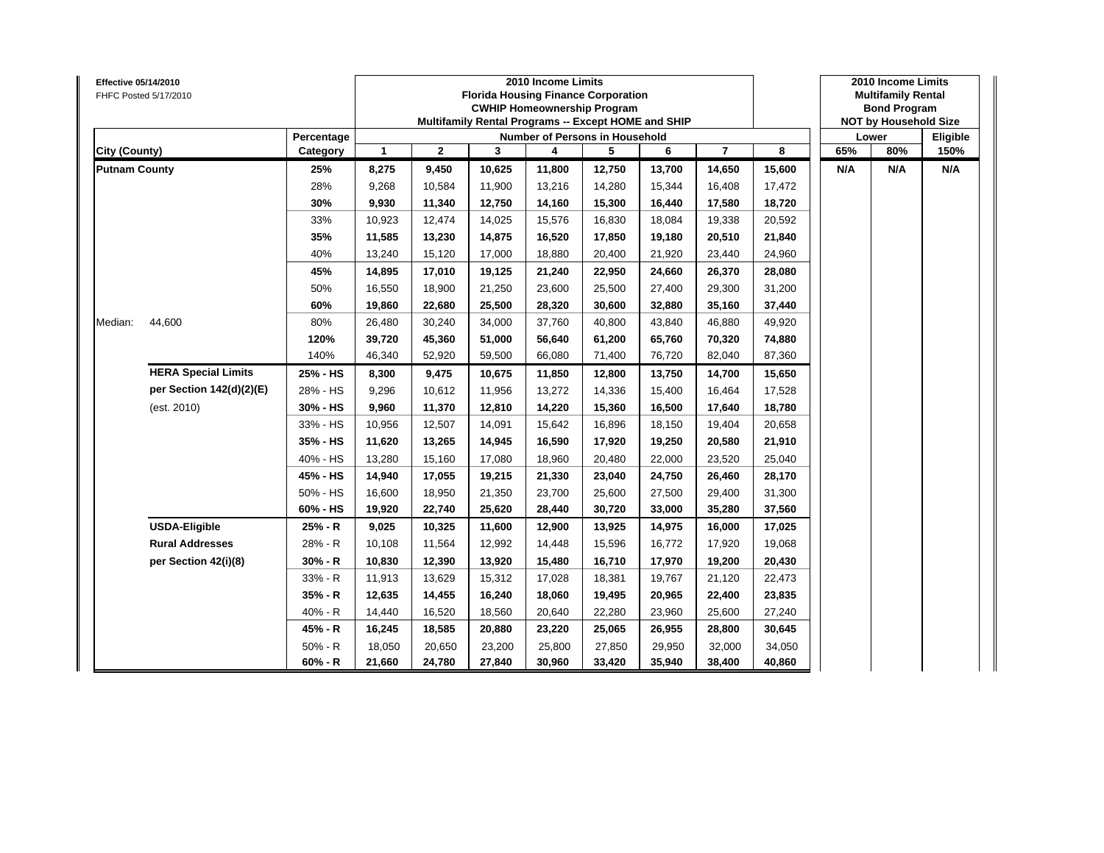| <b>Effective 05/14/2010</b> | FHFC Posted 5/17/2010      |            |              |              | <b>Florida Housing Finance Corporation</b><br>Multifamily Rental Programs -- Except HOME and SHIP | 2010 Income Limits<br><b>CWHIP Homeownership Program</b> |        |        |                |        |     | 2010 Income Limits<br><b>Multifamily Rental</b><br><b>Bond Program</b><br><b>NOT by Household Size</b><br>80%<br>N/A |          |
|-----------------------------|----------------------------|------------|--------------|--------------|---------------------------------------------------------------------------------------------------|----------------------------------------------------------|--------|--------|----------------|--------|-----|----------------------------------------------------------------------------------------------------------------------|----------|
|                             |                            | Percentage |              |              |                                                                                                   | Number of Persons in Household                           |        |        |                |        |     | Lower                                                                                                                | Eligible |
| City (County)               |                            | Category   | $\mathbf{1}$ | $\mathbf{2}$ | 3                                                                                                 | 4                                                        | 5      | 6      | $\overline{7}$ | 8      | 65% |                                                                                                                      | 150%     |
| <b>Putnam County</b>        |                            | 25%        | 8,275        | 9,450        | 10,625                                                                                            | 11,800                                                   | 12,750 | 13,700 | 14,650         | 15,600 | N/A |                                                                                                                      | N/A      |
|                             |                            | 28%        | 9,268        | 10,584       | 11,900                                                                                            | 13,216                                                   | 14,280 | 15,344 | 16,408         | 17,472 |     |                                                                                                                      |          |
|                             |                            | 30%        | 9,930        | 11,340       | 12,750                                                                                            | 14,160                                                   | 15,300 | 16,440 | 17,580         | 18,720 |     |                                                                                                                      |          |
|                             |                            | 33%        | 10,923       | 12,474       | 14,025                                                                                            | 15,576                                                   | 16,830 | 18,084 | 19,338         | 20,592 |     |                                                                                                                      |          |
|                             |                            | 35%        | 11,585       | 13,230       | 14,875                                                                                            | 16,520                                                   | 17,850 | 19,180 | 20,510         | 21,840 |     |                                                                                                                      |          |
|                             |                            | 40%        | 13,240       | 15,120       | 17,000                                                                                            | 18,880                                                   | 20,400 | 21,920 | 23,440         | 24,960 |     |                                                                                                                      |          |
|                             |                            | 45%        | 14,895       | 17,010       | 19,125                                                                                            | 21,240                                                   | 22,950 | 24,660 | 26,370         | 28,080 |     |                                                                                                                      |          |
|                             |                            | 50%        | 16,550       | 18,900       | 21,250                                                                                            | 23,600                                                   | 25,500 | 27,400 | 29,300         | 31,200 |     |                                                                                                                      |          |
|                             |                            | 60%        | 19,860       | 22,680       | 25,500                                                                                            | 28,320                                                   | 30,600 | 32,880 | 35,160         | 37,440 |     |                                                                                                                      |          |
| Median:                     | 44,600                     | 80%        | 26,480       | 30,240       | 34,000                                                                                            | 37,760                                                   | 40,800 | 43,840 | 46,880         | 49,920 |     |                                                                                                                      |          |
|                             |                            | 120%       | 39,720       | 45,360       | 51,000                                                                                            | 56,640                                                   | 61,200 | 65,760 | 70,320         | 74,880 |     |                                                                                                                      |          |
|                             |                            | 140%       | 46,340       | 52,920       | 59,500                                                                                            | 66,080                                                   | 71,400 | 76,720 | 82,040         | 87,360 |     |                                                                                                                      |          |
|                             | <b>HERA Special Limits</b> | 25% - HS   | 8,300        | 9,475        | 10,675                                                                                            | 11,850                                                   | 12,800 | 13,750 | 14,700         | 15,650 |     |                                                                                                                      |          |
|                             | per Section 142(d)(2)(E)   | 28% - HS   | 9,296        | 10,612       | 11,956                                                                                            | 13,272                                                   | 14,336 | 15,400 | 16,464         | 17,528 |     |                                                                                                                      |          |
|                             | (est. 2010)                | 30% - HS   | 9,960        | 11,370       | 12,810                                                                                            | 14,220                                                   | 15,360 | 16,500 | 17,640         | 18,780 |     |                                                                                                                      |          |
|                             |                            | 33% - HS   | 10,956       | 12,507       | 14,091                                                                                            | 15,642                                                   | 16,896 | 18,150 | 19,404         | 20,658 |     |                                                                                                                      |          |
|                             |                            | 35% - HS   | 11,620       | 13,265       | 14,945                                                                                            | 16,590                                                   | 17,920 | 19,250 | 20,580         | 21,910 |     |                                                                                                                      |          |
|                             |                            | 40% - HS   | 13,280       | 15,160       | 17,080                                                                                            | 18,960                                                   | 20,480 | 22,000 | 23,520         | 25,040 |     |                                                                                                                      |          |
|                             |                            | 45% - HS   | 14,940       | 17,055       | 19,215                                                                                            | 21,330                                                   | 23,040 | 24,750 | 26,460         | 28,170 |     |                                                                                                                      |          |
|                             |                            | 50% - HS   | 16,600       | 18,950       | 21,350                                                                                            | 23,700                                                   | 25,600 | 27,500 | 29,400         | 31,300 |     |                                                                                                                      |          |
|                             |                            | 60% - HS   | 19,920       | 22,740       | 25,620                                                                                            | 28,440                                                   | 30,720 | 33,000 | 35,280         | 37,560 |     |                                                                                                                      |          |
|                             | <b>USDA-Eligible</b>       | 25% - R    | 9,025        | 10,325       | 11,600                                                                                            | 12,900                                                   | 13,925 | 14,975 | 16,000         | 17,025 |     |                                                                                                                      |          |
|                             | <b>Rural Addresses</b>     | 28% - R    | 10,108       | 11,564       | 12,992                                                                                            | 14,448                                                   | 15,596 | 16,772 | 17,920         | 19,068 |     |                                                                                                                      |          |
|                             | per Section 42(i)(8)       | 30% - R    | 10,830       | 12,390       | 13,920                                                                                            | 15,480                                                   | 16,710 | 17,970 | 19,200         | 20,430 |     |                                                                                                                      |          |
|                             |                            | 33% - R    | 11,913       | 13,629       | 15,312                                                                                            | 17,028                                                   | 18,381 | 19,767 | 21,120         | 22,473 |     |                                                                                                                      |          |
|                             |                            | 35% - R    | 12,635       | 14,455       | 16,240                                                                                            | 18,060                                                   | 19,495 | 20,965 | 22,400         | 23,835 |     |                                                                                                                      |          |
|                             |                            | 40% - R    | 14,440       | 16,520       | 18,560                                                                                            | 20,640                                                   | 22,280 | 23,960 | 25,600         | 27,240 |     |                                                                                                                      |          |
|                             |                            | 45% - R    | 16,245       | 18,585       | 20,880                                                                                            | 23,220                                                   | 25,065 | 26,955 | 28,800         | 30,645 |     |                                                                                                                      |          |
|                             |                            | $50% - R$  | 18,050       | 20,650       | 23,200                                                                                            | 25,800                                                   | 27,850 | 29,950 | 32,000         | 34,050 |     |                                                                                                                      |          |
|                             |                            | $60% - R$  | 21,660       | 24,780       | 27,840                                                                                            | 30,960                                                   | 33,420 | 35,940 | 38,400         | 40,860 |     |                                                                                                                      |          |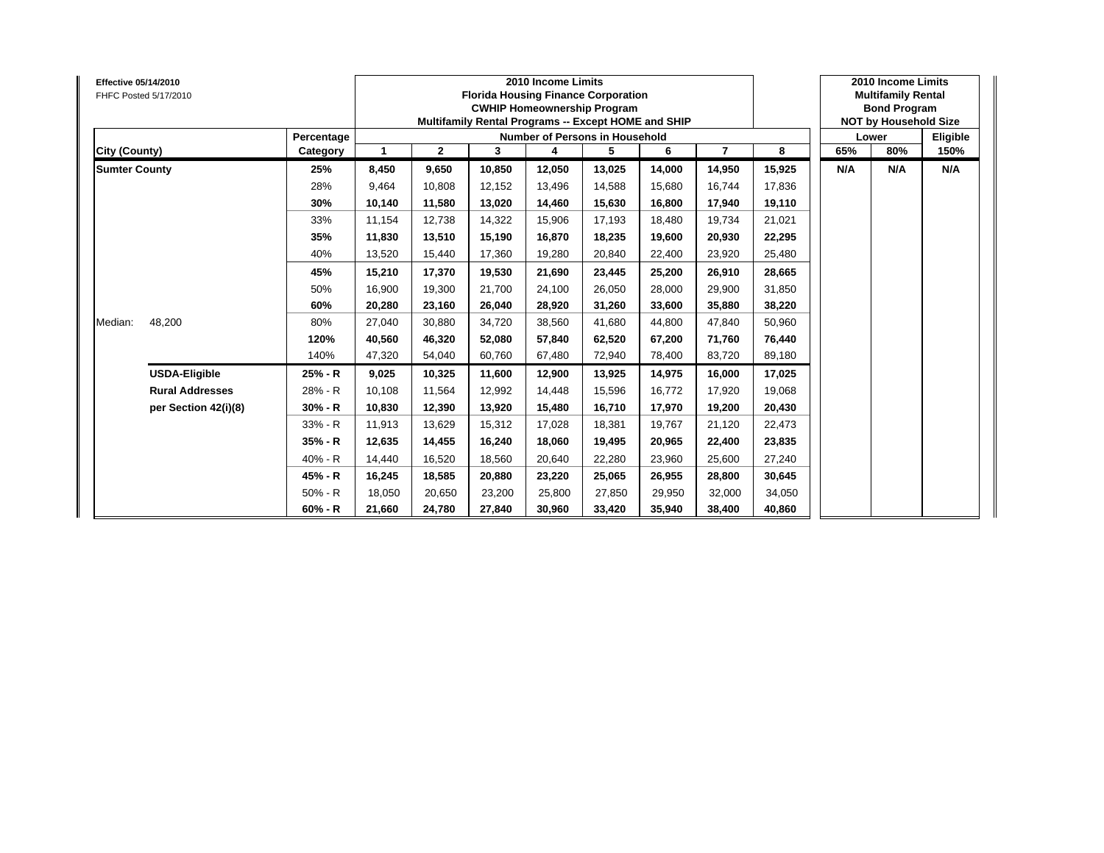| <b>Effective 05/14/2010</b> | FHFC Posted 5/17/2010  |            |        |              |        | 2010 Income Limits<br><b>Florida Housing Finance Corporation</b><br><b>CWHIP Homeownership Program</b><br>Multifamily Rental Programs -- Except HOME and SHIP |        |        |                |        |     | 2010 Income Limits<br><b>Multifamily Rental</b><br><b>Bond Program</b><br><b>NOT by Household Size</b> |          |
|-----------------------------|------------------------|------------|--------|--------------|--------|---------------------------------------------------------------------------------------------------------------------------------------------------------------|--------|--------|----------------|--------|-----|--------------------------------------------------------------------------------------------------------|----------|
|                             |                        | Percentage |        |              |        | <b>Number of Persons in Household</b>                                                                                                                         |        |        |                |        |     |                                                                                                        | Eligible |
| City (County)               |                        | Category   | 1      | $\mathbf{2}$ | 3      | 4                                                                                                                                                             | 5      | 6      | $\overline{7}$ | 8      | 65% |                                                                                                        | 150%     |
| <b>Sumter County</b>        |                        | 25%        | 8,450  | 9,650        | 10,850 | 12,050                                                                                                                                                        | 13,025 | 14,000 | 14,950         | 15,925 | N/A | N/A                                                                                                    | N/A      |
|                             |                        | 28%        | 9,464  | 10,808       | 12,152 | 13,496                                                                                                                                                        | 14,588 | 15,680 | 16,744         | 17,836 |     |                                                                                                        |          |
|                             |                        | 30%        | 10,140 | 11,580       | 13,020 | 14,460                                                                                                                                                        | 15,630 | 16,800 | 17,940         | 19,110 |     |                                                                                                        |          |
|                             |                        | 33%        | 11,154 | 12,738       | 14,322 | 15,906                                                                                                                                                        | 17,193 | 18,480 | 19,734         | 21,021 |     |                                                                                                        |          |
|                             |                        | 35%        | 11,830 | 13,510       | 15,190 | 16,870                                                                                                                                                        | 18,235 | 19.600 | 20,930         | 22,295 |     |                                                                                                        |          |
|                             |                        | 40%        | 13,520 | 15,440       | 17,360 | 19,280                                                                                                                                                        | 20,840 | 22,400 | 23,920         | 25,480 |     |                                                                                                        |          |
|                             |                        | 45%        | 15,210 | 17,370       | 19.530 | 21,690                                                                                                                                                        | 23,445 | 25.200 | 26,910         | 28,665 |     |                                                                                                        |          |
|                             |                        | 50%        | 16,900 | 19,300       | 21,700 | 24,100                                                                                                                                                        | 26,050 | 28,000 | 29,900         | 31,850 |     |                                                                                                        |          |
|                             |                        | 60%        | 20,280 | 23,160       | 26,040 | 28,920                                                                                                                                                        | 31,260 | 33,600 | 35,880         | 38,220 |     | Lower<br>80%                                                                                           |          |
| Median:                     | 48,200                 | 80%        | 27,040 | 30,880       | 34,720 | 38,560                                                                                                                                                        | 41,680 | 44.800 | 47,840         | 50,960 |     |                                                                                                        |          |
|                             |                        | 120%       | 40,560 | 46,320       | 52.080 | 57,840                                                                                                                                                        | 62,520 | 67.200 | 71,760         | 76,440 |     |                                                                                                        |          |
|                             |                        | 140%       | 47,320 | 54,040       | 60,760 | 67,480                                                                                                                                                        | 72,940 | 78,400 | 83,720         | 89,180 |     |                                                                                                        |          |
|                             | <b>USDA-Eligible</b>   | 25% - R    | 9,025  | 10,325       | 11,600 | 12,900                                                                                                                                                        | 13,925 | 14,975 | 16,000         | 17,025 |     |                                                                                                        |          |
|                             | <b>Rural Addresses</b> | 28% - R    | 10,108 | 11,564       | 12,992 | 14,448                                                                                                                                                        | 15,596 | 16,772 | 17,920         | 19,068 |     |                                                                                                        |          |
|                             | per Section 42(i)(8)   | $30% - R$  | 10,830 | 12,390       | 13.920 | 15,480                                                                                                                                                        | 16,710 | 17.970 | 19,200         | 20,430 |     |                                                                                                        |          |
|                             |                        | 33% - R    | 11,913 | 13,629       | 15,312 | 17,028                                                                                                                                                        | 18,381 | 19,767 | 21,120         | 22,473 |     |                                                                                                        |          |
|                             |                        | 35% - R    | 12,635 | 14,455       | 16,240 | 18,060                                                                                                                                                        | 19,495 | 20,965 | 22,400         | 23,835 |     |                                                                                                        |          |
|                             |                        | 40% - R    | 14,440 | 16,520       | 18,560 | 20,640                                                                                                                                                        | 22,280 | 23,960 | 25,600         | 27,240 |     |                                                                                                        |          |
|                             |                        | 45% - R    | 16,245 | 18,585       | 20,880 | 23,220                                                                                                                                                        | 25,065 | 26,955 | 28,800         | 30,645 |     |                                                                                                        |          |
|                             |                        | $50% - R$  | 18,050 | 20,650       | 23,200 | 25,800                                                                                                                                                        | 27,850 | 29,950 | 32,000         | 34,050 |     |                                                                                                        |          |
|                             |                        | $60% - R$  | 21,660 | 24,780       | 27,840 | 30,960                                                                                                                                                        | 33,420 | 35,940 | 38,400         | 40,860 |     |                                                                                                        |          |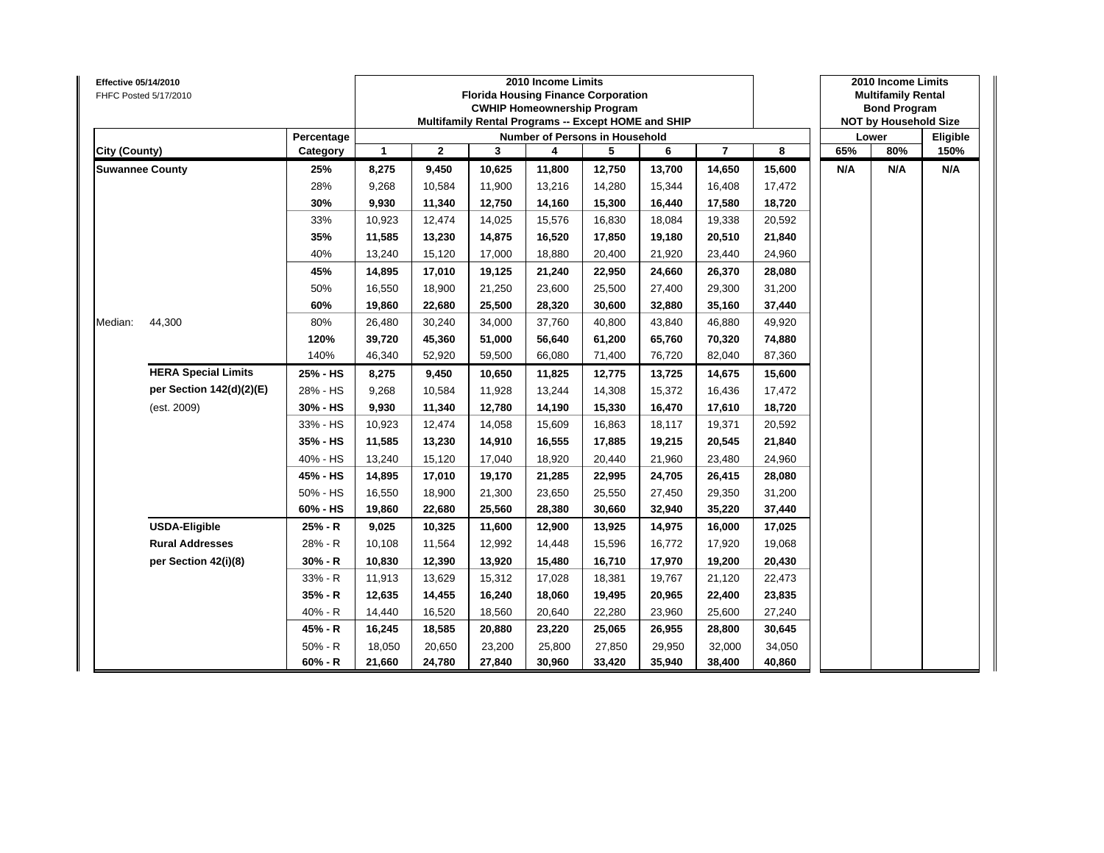| Effective 05/14/2010   | FHFC Posted 5/17/2010      |            |              |              |        | 2010 Income Limits<br><b>Florida Housing Finance Corporation</b><br><b>CWHIP Homeownership Program</b><br>Multifamily Rental Programs -- Except HOME and SHIP |        |        |                |        |     | 2010 Income Limits<br><b>Multifamily Rental</b><br><b>Bond Program</b><br><b>NOT by Household Size</b> |          |
|------------------------|----------------------------|------------|--------------|--------------|--------|---------------------------------------------------------------------------------------------------------------------------------------------------------------|--------|--------|----------------|--------|-----|--------------------------------------------------------------------------------------------------------|----------|
|                        |                            | Percentage |              |              |        | Number of Persons in Household                                                                                                                                |        |        |                |        |     | Lower                                                                                                  | Eligible |
| City (County)          |                            | Category   | $\mathbf{1}$ | $\mathbf{2}$ | 3      | 4                                                                                                                                                             | 5      | 6      | $\overline{7}$ | 8      | 65% | 80%                                                                                                    | 150%     |
| <b>Suwannee County</b> |                            | 25%        | 8,275        | 9,450        | 10,625 | 11,800                                                                                                                                                        | 12,750 | 13,700 | 14,650         | 15,600 | N/A | N/A                                                                                                    | N/A      |
|                        |                            | 28%        | 9,268        | 10,584       | 11,900 | 13,216                                                                                                                                                        | 14,280 | 15,344 | 16,408         | 17,472 |     |                                                                                                        |          |
|                        |                            | 30%        | 9,930        | 11,340       | 12,750 | 14,160                                                                                                                                                        | 15,300 | 16,440 | 17,580         | 18,720 |     |                                                                                                        |          |
|                        |                            | 33%        | 10,923       | 12,474       | 14,025 | 15,576                                                                                                                                                        | 16,830 | 18,084 | 19,338         | 20,592 |     |                                                                                                        |          |
|                        |                            | 35%        | 11,585       | 13,230       | 14,875 | 16,520                                                                                                                                                        | 17,850 | 19,180 | 20,510         | 21,840 |     |                                                                                                        |          |
|                        |                            | 40%        | 13,240       | 15,120       | 17,000 | 18,880                                                                                                                                                        | 20,400 | 21,920 | 23,440         | 24,960 |     |                                                                                                        |          |
|                        |                            | 45%        | 14,895       | 17,010       | 19,125 | 21,240                                                                                                                                                        | 22,950 | 24,660 | 26,370         | 28,080 |     |                                                                                                        |          |
|                        |                            | 50%        | 16,550       | 18,900       | 21,250 | 23,600                                                                                                                                                        | 25,500 | 27,400 | 29,300         | 31,200 |     |                                                                                                        |          |
|                        |                            | 60%        | 19,860       | 22,680       | 25,500 | 28,320                                                                                                                                                        | 30,600 | 32,880 | 35,160         | 37,440 |     |                                                                                                        |          |
| Median:                | 44,300                     | 80%        | 26,480       | 30,240       | 34,000 | 37,760                                                                                                                                                        | 40,800 | 43,840 | 46,880         | 49,920 |     |                                                                                                        |          |
|                        |                            | 120%       | 39,720       | 45,360       | 51,000 | 56,640                                                                                                                                                        | 61,200 | 65,760 | 70,320         | 74,880 |     |                                                                                                        |          |
|                        |                            | 140%       | 46,340       | 52,920       | 59,500 | 66,080                                                                                                                                                        | 71,400 | 76,720 | 82,040         | 87,360 |     |                                                                                                        |          |
|                        | <b>HERA Special Limits</b> | 25% - HS   | 8,275        | 9,450        | 10,650 | 11,825                                                                                                                                                        | 12,775 | 13,725 | 14,675         | 15,600 |     |                                                                                                        |          |
|                        | per Section 142(d)(2)(E)   | 28% - HS   | 9,268        | 10.584       | 11,928 | 13,244                                                                                                                                                        | 14,308 | 15,372 | 16,436         | 17,472 |     |                                                                                                        |          |
|                        | (est. 2009)                | 30% - HS   | 9,930        | 11,340       | 12,780 | 14,190                                                                                                                                                        | 15,330 | 16,470 | 17,610         | 18,720 |     |                                                                                                        |          |
|                        |                            | 33% - HS   | 10,923       | 12,474       | 14,058 | 15,609                                                                                                                                                        | 16,863 | 18,117 | 19,371         | 20,592 |     |                                                                                                        |          |
|                        |                            | 35% - HS   | 11,585       | 13,230       | 14,910 | 16,555                                                                                                                                                        | 17,885 | 19,215 | 20,545         | 21,840 |     |                                                                                                        |          |
|                        |                            | 40% - HS   | 13,240       | 15,120       | 17,040 | 18,920                                                                                                                                                        | 20,440 | 21,960 | 23,480         | 24,960 |     |                                                                                                        |          |
|                        |                            | 45% - HS   | 14,895       | 17,010       | 19,170 | 21,285                                                                                                                                                        | 22,995 | 24,705 | 26,415         | 28,080 |     |                                                                                                        |          |
|                        |                            | 50% - HS   | 16,550       | 18,900       | 21,300 | 23,650                                                                                                                                                        | 25,550 | 27,450 | 29,350         | 31,200 |     |                                                                                                        |          |
|                        |                            | 60% - HS   | 19,860       | 22,680       | 25,560 | 28,380                                                                                                                                                        | 30,660 | 32,940 | 35,220         | 37,440 |     |                                                                                                        |          |
|                        | <b>USDA-Eligible</b>       | 25% - R    | 9,025        | 10,325       | 11,600 | 12,900                                                                                                                                                        | 13,925 | 14,975 | 16,000         | 17,025 |     |                                                                                                        |          |
|                        | <b>Rural Addresses</b>     | 28% - R    | 10,108       | 11,564       | 12,992 | 14,448                                                                                                                                                        | 15,596 | 16,772 | 17,920         | 19,068 |     |                                                                                                        |          |
|                        | per Section 42(i)(8)       | 30% - R    | 10,830       | 12,390       | 13,920 | 15,480                                                                                                                                                        | 16,710 | 17,970 | 19,200         | 20,430 |     |                                                                                                        |          |
|                        |                            | 33% - R    | 11,913       | 13,629       | 15,312 | 17,028                                                                                                                                                        | 18,381 | 19,767 | 21,120         | 22,473 |     |                                                                                                        |          |
|                        |                            | $35% - R$  | 12,635       | 14,455       | 16,240 | 18,060                                                                                                                                                        | 19,495 | 20,965 | 22,400         | 23,835 |     |                                                                                                        |          |
|                        |                            | 40% - R    | 14,440       | 16,520       | 18,560 | 20,640                                                                                                                                                        | 22,280 | 23,960 | 25,600         | 27,240 |     |                                                                                                        |          |
|                        |                            | 45% - R    | 16,245       | 18,585       | 20,880 | 23,220                                                                                                                                                        | 25,065 | 26,955 | 28,800         | 30,645 |     |                                                                                                        |          |
|                        |                            | $50% - R$  | 18,050       | 20,650       | 23,200 | 25,800                                                                                                                                                        | 27,850 | 29,950 | 32,000         | 34,050 |     |                                                                                                        |          |
|                        |                            | $60% - R$  | 21,660       | 24,780       | 27,840 | 30,960                                                                                                                                                        | 33,420 | 35,940 | 38,400         | 40,860 |     |                                                                                                        |          |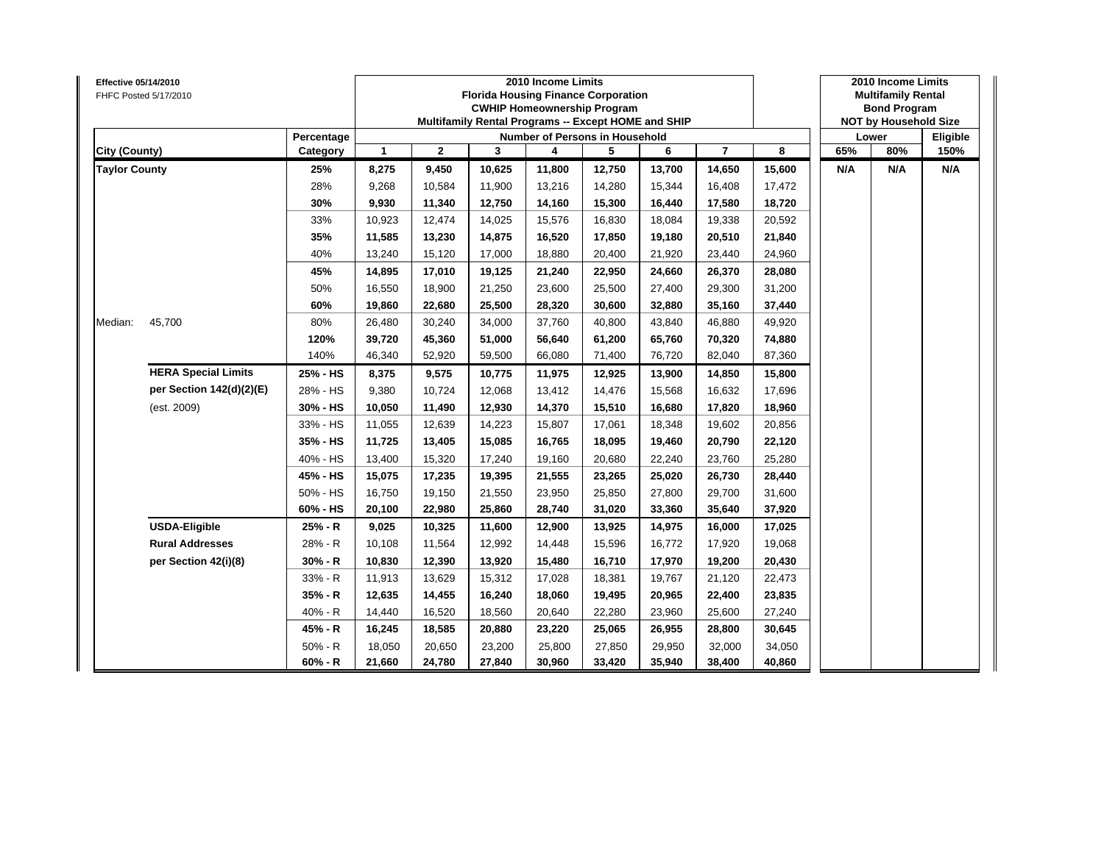| Effective 05/14/2010 | FHFC Posted 5/17/2010      |            |              |              | <b>Florida Housing Finance Corporation</b><br>Multifamily Rental Programs -- Except HOME and SHIP | 2010 Income Limits<br><b>CWHIP Homeownership Program</b> |        |        |                |        |     | 2010 Income Limits<br><b>Multifamily Rental</b><br><b>Bond Program</b><br><b>NOT by Household Size</b> |          |
|----------------------|----------------------------|------------|--------------|--------------|---------------------------------------------------------------------------------------------------|----------------------------------------------------------|--------|--------|----------------|--------|-----|--------------------------------------------------------------------------------------------------------|----------|
|                      |                            | Percentage |              |              |                                                                                                   | Number of Persons in Household                           |        |        |                |        |     | Lower                                                                                                  | Eligible |
| City (County)        |                            | Category   | $\mathbf{1}$ | $\mathbf{2}$ | 3                                                                                                 | 4                                                        | 5      | 6      | $\overline{7}$ | 8      | 65% |                                                                                                        | 150%     |
| <b>Taylor County</b> |                            | 25%        | 8,275        | 9,450        | 10,625                                                                                            | 11,800                                                   | 12,750 | 13,700 | 14,650         | 15,600 | N/A | N/A                                                                                                    | N/A      |
|                      |                            | 28%        | 9,268        | 10,584       | 11,900                                                                                            | 13,216                                                   | 14,280 | 15,344 | 16,408         | 17,472 |     |                                                                                                        |          |
|                      |                            | 30%        | 9,930        | 11,340       | 12,750                                                                                            | 14,160                                                   | 15,300 | 16,440 | 17,580         | 18,720 |     |                                                                                                        |          |
|                      |                            | 33%        | 10,923       | 12,474       | 14,025                                                                                            | 15,576                                                   | 16,830 | 18.084 | 19,338         | 20,592 |     |                                                                                                        |          |
|                      |                            | 35%        | 11,585       | 13,230       | 14,875                                                                                            | 16,520                                                   | 17,850 | 19,180 | 20,510         | 21,840 |     |                                                                                                        |          |
|                      |                            | 40%        | 13,240       | 15,120       | 17,000                                                                                            | 18,880                                                   | 20,400 | 21,920 | 23,440         | 24,960 |     |                                                                                                        |          |
|                      |                            | 45%        | 14,895       | 17,010       | 19,125                                                                                            | 21,240                                                   | 22,950 | 24,660 | 26,370         | 28,080 |     |                                                                                                        |          |
|                      |                            | 50%        | 16,550       | 18,900       | 21,250                                                                                            | 23,600                                                   | 25,500 | 27,400 | 29,300         | 31,200 |     |                                                                                                        |          |
|                      |                            | 60%        | 19,860       | 22,680       | 25,500                                                                                            | 28,320                                                   | 30,600 | 32,880 | 35,160         | 37,440 |     |                                                                                                        |          |
| Median:              | 45,700                     | 80%        | 26,480       | 30,240       | 34,000                                                                                            | 37,760                                                   | 40,800 | 43,840 | 46,880         | 49,920 |     |                                                                                                        |          |
|                      |                            | 120%       | 39,720       | 45,360       | 51,000                                                                                            | 56,640                                                   | 61,200 | 65,760 | 70,320         | 74,880 |     | 80%                                                                                                    |          |
|                      |                            | 140%       | 46,340       | 52,920       | 59,500                                                                                            | 66,080                                                   | 71,400 | 76,720 | 82,040         | 87,360 |     |                                                                                                        |          |
|                      | <b>HERA Special Limits</b> | 25% - HS   | 8,375        | 9,575        | 10,775                                                                                            | 11,975                                                   | 12,925 | 13,900 | 14,850         | 15,800 |     |                                                                                                        |          |
|                      | per Section 142(d)(2)(E)   | 28% - HS   | 9,380        | 10,724       | 12,068                                                                                            | 13,412                                                   | 14,476 | 15,568 | 16,632         | 17,696 |     |                                                                                                        |          |
|                      | (est. 2009)                | 30% - HS   | 10,050       | 11,490       | 12,930                                                                                            | 14,370                                                   | 15,510 | 16,680 | 17,820         | 18,960 |     |                                                                                                        |          |
|                      |                            | 33% - HS   | 11,055       | 12,639       | 14,223                                                                                            | 15,807                                                   | 17,061 | 18,348 | 19,602         | 20,856 |     |                                                                                                        |          |
|                      |                            | 35% - HS   | 11,725       | 13,405       | 15,085                                                                                            | 16,765                                                   | 18,095 | 19,460 | 20,790         | 22,120 |     |                                                                                                        |          |
|                      |                            | 40% - HS   | 13,400       | 15,320       | 17,240                                                                                            | 19,160                                                   | 20,680 | 22,240 | 23,760         | 25,280 |     |                                                                                                        |          |
|                      |                            | 45% - HS   | 15,075       | 17,235       | 19,395                                                                                            | 21,555                                                   | 23,265 | 25,020 | 26,730         | 28,440 |     |                                                                                                        |          |
|                      |                            | 50% - HS   | 16,750       | 19,150       | 21,550                                                                                            | 23,950                                                   | 25,850 | 27,800 | 29,700         | 31,600 |     |                                                                                                        |          |
|                      |                            | 60% - HS   | 20,100       | 22,980       | 25,860                                                                                            | 28,740                                                   | 31,020 | 33,360 | 35,640         | 37,920 |     |                                                                                                        |          |
|                      | <b>USDA-Eligible</b>       | 25% - R    | 9,025        | 10,325       | 11,600                                                                                            | 12,900                                                   | 13,925 | 14,975 | 16,000         | 17,025 |     |                                                                                                        |          |
|                      | <b>Rural Addresses</b>     | 28% - R    | 10,108       | 11,564       | 12,992                                                                                            | 14,448                                                   | 15,596 | 16,772 | 17,920         | 19,068 |     |                                                                                                        |          |
|                      | per Section 42(i)(8)       | $30% - R$  | 10,830       | 12,390       | 13,920                                                                                            | 15,480                                                   | 16,710 | 17,970 | 19,200         | 20,430 |     |                                                                                                        |          |
|                      |                            | 33% - R    | 11,913       | 13,629       | 15,312                                                                                            | 17,028                                                   | 18,381 | 19,767 | 21,120         | 22,473 |     |                                                                                                        |          |
|                      |                            | 35% - R    | 12,635       | 14,455       | 16,240                                                                                            | 18,060                                                   | 19,495 | 20,965 | 22,400         | 23,835 |     |                                                                                                        |          |
|                      |                            | 40% - R    | 14,440       | 16,520       | 18,560                                                                                            | 20,640                                                   | 22,280 | 23,960 | 25,600         | 27,240 |     |                                                                                                        |          |
|                      |                            | 45% - R    | 16,245       | 18,585       | 20,880                                                                                            | 23,220                                                   | 25,065 | 26,955 | 28,800         | 30,645 |     |                                                                                                        |          |
|                      |                            | $50% - R$  | 18,050       | 20,650       | 23,200                                                                                            | 25,800                                                   | 27,850 | 29,950 | 32,000         | 34,050 |     |                                                                                                        |          |
|                      |                            | $60% - R$  | 21,660       | 24,780       | 27,840                                                                                            | 30,960                                                   | 33,420 | 35,940 | 38,400         | 40,860 |     |                                                                                                        |          |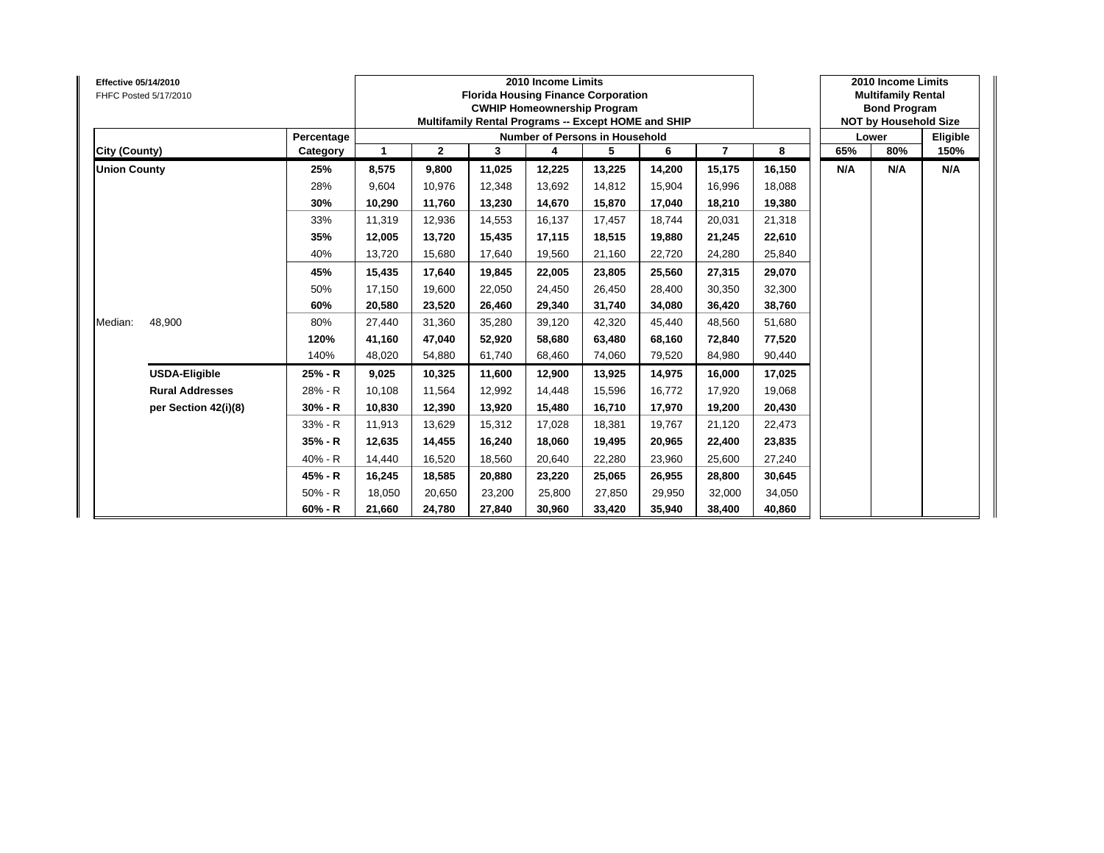| <b>Effective 05/14/2010</b> | FHFC Posted 5/17/2010  |            |             |              |        | 2010 Income Limits<br><b>Florida Housing Finance Corporation</b><br><b>CWHIP Homeownership Program</b><br>Multifamily Rental Programs -- Except HOME and SHIP |        |        |                |        |     | 2010 Income Limits<br><b>Multifamily Rental</b><br><b>Bond Program</b><br><b>NOT by Household Size</b> |          |
|-----------------------------|------------------------|------------|-------------|--------------|--------|---------------------------------------------------------------------------------------------------------------------------------------------------------------|--------|--------|----------------|--------|-----|--------------------------------------------------------------------------------------------------------|----------|
|                             |                        | Percentage |             |              |        | <b>Number of Persons in Household</b>                                                                                                                         |        |        |                |        |     | Lower                                                                                                  | Eligible |
| City (County)               |                        | Category   | $\mathbf 1$ | $\mathbf{2}$ | 3      | 4                                                                                                                                                             | 5      | 6      | $\overline{7}$ | 8      | 65% | 80%                                                                                                    | 150%     |
| <b>Union County</b>         |                        | 25%        | 8,575       | 9,800        | 11,025 | 12,225                                                                                                                                                        | 13,225 | 14,200 | 15,175         | 16,150 | N/A | N/A                                                                                                    | N/A      |
|                             |                        | 28%        | 9,604       | 10,976       | 12,348 | 13,692                                                                                                                                                        | 14,812 | 15,904 | 16,996         | 18,088 |     |                                                                                                        |          |
|                             |                        | 30%        | 10,290      | 11,760       | 13,230 | 14,670                                                                                                                                                        | 15,870 | 17,040 | 18,210         | 19,380 |     |                                                                                                        |          |
|                             |                        | 33%        | 11,319      | 12,936       | 14,553 | 16,137                                                                                                                                                        | 17,457 | 18,744 | 20,031         | 21,318 |     |                                                                                                        |          |
|                             |                        | 35%        | 12,005      | 13,720       | 15,435 | 17,115                                                                                                                                                        | 18,515 | 19.880 | 21,245         | 22,610 |     |                                                                                                        |          |
|                             |                        | 40%        | 13,720      | 15,680       | 17,640 | 19,560                                                                                                                                                        | 21,160 | 22,720 | 24,280         | 25,840 |     |                                                                                                        |          |
|                             |                        | 45%        | 15,435      | 17,640       | 19.845 | 22,005                                                                                                                                                        | 23,805 | 25.560 | 27,315         | 29,070 |     |                                                                                                        |          |
|                             |                        | 50%        | 17,150      | 19,600       | 22,050 | 24,450                                                                                                                                                        | 26,450 | 28,400 | 30,350         | 32,300 |     |                                                                                                        |          |
|                             |                        | 60%        | 20,580      | 23,520       | 26,460 | 29,340                                                                                                                                                        | 31,740 | 34,080 | 36,420         | 38,760 |     |                                                                                                        |          |
| Median:                     | 48,900                 | 80%        | 27,440      | 31,360       | 35,280 | 39,120                                                                                                                                                        | 42,320 | 45,440 | 48,560         | 51,680 |     |                                                                                                        |          |
|                             |                        | 120%       | 41,160      | 47,040       | 52,920 | 58,680                                                                                                                                                        | 63,480 | 68.160 | 72,840         | 77,520 |     |                                                                                                        |          |
|                             |                        | 140%       | 48,020      | 54,880       | 61,740 | 68,460                                                                                                                                                        | 74,060 | 79,520 | 84,980         | 90,440 |     |                                                                                                        |          |
|                             | <b>USDA-Eligible</b>   | 25% - R    | 9,025       | 10,325       | 11,600 | 12,900                                                                                                                                                        | 13,925 | 14,975 | 16,000         | 17,025 |     |                                                                                                        |          |
|                             | <b>Rural Addresses</b> | 28% - R    | 10,108      | 11,564       | 12,992 | 14,448                                                                                                                                                        | 15,596 | 16,772 | 17,920         | 19,068 |     |                                                                                                        |          |
|                             | per Section 42(i)(8)   | $30% - R$  | 10,830      | 12,390       | 13,920 | 15,480                                                                                                                                                        | 16,710 | 17.970 | 19,200         | 20,430 |     |                                                                                                        |          |
|                             |                        | 33% - R    | 11,913      | 13,629       | 15,312 | 17,028                                                                                                                                                        | 18,381 | 19,767 | 21,120         | 22,473 |     |                                                                                                        |          |
|                             |                        | 35% - R    | 12,635      | 14,455       | 16,240 | 18,060                                                                                                                                                        | 19,495 | 20,965 | 22,400         | 23,835 |     |                                                                                                        |          |
|                             |                        | 40% - R    | 14,440      | 16,520       | 18,560 | 20,640                                                                                                                                                        | 22,280 | 23,960 | 25,600         | 27,240 |     |                                                                                                        |          |
|                             |                        | 45% - R    | 16,245      | 18,585       | 20,880 | 23,220                                                                                                                                                        | 25,065 | 26,955 | 28,800         | 30,645 |     |                                                                                                        |          |
|                             |                        | $50% - R$  | 18,050      | 20,650       | 23,200 | 25,800                                                                                                                                                        | 27,850 | 29,950 | 32,000         | 34,050 |     |                                                                                                        |          |
|                             |                        | $60% - R$  | 21,660      | 24,780       | 27,840 | 30,960                                                                                                                                                        | 33,420 | 35,940 | 38,400         | 40,860 |     |                                                                                                        |          |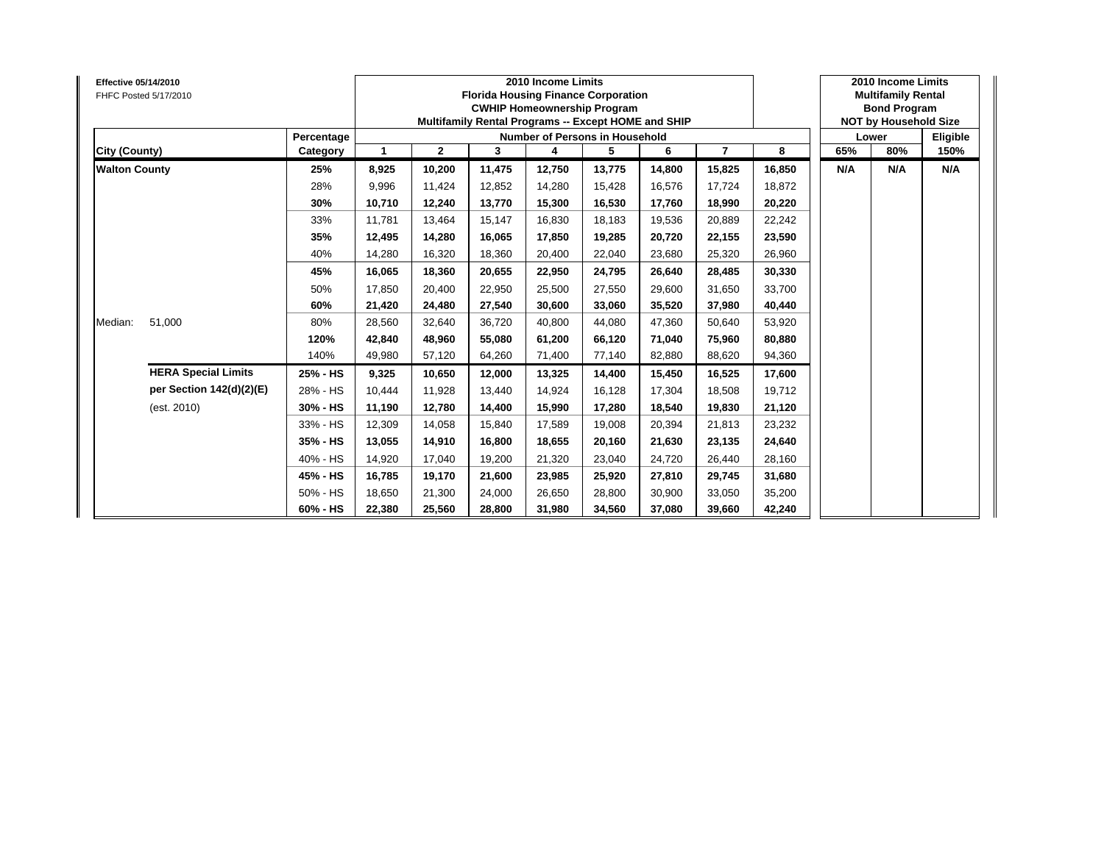| <b>Effective 05/14/2010</b> | FHFC Posted 5/17/2010      |            |        |              |        | 2010 Income Limits<br><b>Florida Housing Finance Corporation</b><br><b>CWHIP Homeownership Program</b><br>Multifamily Rental Programs -- Except HOME and SHIP |        |        |                |        | 2010 Income Limits<br><b>Multifamily Rental</b><br><b>Bond Program</b><br><b>NOT by Household Size</b><br>Lower<br>65%<br>80%<br>N/A<br>N/A |          |
|-----------------------------|----------------------------|------------|--------|--------------|--------|---------------------------------------------------------------------------------------------------------------------------------------------------------------|--------|--------|----------------|--------|---------------------------------------------------------------------------------------------------------------------------------------------|----------|
|                             |                            | Percentage |        |              |        | <b>Number of Persons in Household</b>                                                                                                                         |        |        |                |        |                                                                                                                                             | Eligible |
| City (County)               |                            | Category   | 1      | $\mathbf{2}$ | 3      | 4                                                                                                                                                             | 5      | 6      | $\overline{7}$ | 8      |                                                                                                                                             | 150%     |
| <b>Walton County</b>        |                            | 25%        | 8,925  | 10,200       | 11,475 | 12,750                                                                                                                                                        | 13,775 | 14,800 | 15,825         | 16,850 |                                                                                                                                             | N/A      |
|                             |                            | 28%        | 9,996  | 11,424       | 12,852 | 14,280                                                                                                                                                        | 15,428 | 16,576 | 17,724         | 18,872 |                                                                                                                                             |          |
|                             |                            | 30%        | 10,710 | 12,240       | 13,770 | 15,300                                                                                                                                                        | 16,530 | 17,760 | 18,990         | 20,220 |                                                                                                                                             |          |
|                             |                            | 33%        | 11,781 | 13,464       | 15,147 | 16,830                                                                                                                                                        | 18,183 | 19,536 | 20,889         | 22,242 |                                                                                                                                             |          |
|                             |                            | 35%        | 12,495 | 14,280       | 16.065 | 17,850                                                                                                                                                        | 19,285 | 20,720 | 22,155         | 23,590 |                                                                                                                                             |          |
|                             |                            | 40%        | 14,280 | 16,320       | 18,360 | 20,400                                                                                                                                                        | 22,040 | 23,680 | 25,320         | 26,960 |                                                                                                                                             |          |
|                             |                            | 45%        | 16,065 | 18,360       | 20,655 | 22,950                                                                                                                                                        | 24,795 | 26,640 | 28,485         | 30,330 |                                                                                                                                             |          |
|                             |                            | 50%        | 17,850 | 20,400       | 22,950 | 25,500                                                                                                                                                        | 27,550 | 29,600 | 31,650         | 33,700 |                                                                                                                                             |          |
|                             |                            | 60%        | 21,420 | 24,480       | 27,540 | 30,600                                                                                                                                                        | 33,060 | 35,520 | 37,980         | 40,440 |                                                                                                                                             |          |
| Median:                     | 51,000                     | 80%        | 28,560 | 32,640       | 36,720 | 40,800                                                                                                                                                        | 44,080 | 47.360 | 50,640         | 53,920 |                                                                                                                                             |          |
|                             |                            | 120%       | 42,840 | 48,960       | 55.080 | 61,200                                                                                                                                                        | 66,120 | 71,040 | 75,960         | 80,880 |                                                                                                                                             |          |
|                             |                            | 140%       | 49,980 | 57,120       | 64,260 | 71,400                                                                                                                                                        | 77,140 | 82,880 | 88,620         | 94,360 |                                                                                                                                             |          |
|                             | <b>HERA Special Limits</b> | 25% - HS   | 9,325  | 10,650       | 12,000 | 13,325                                                                                                                                                        | 14,400 | 15,450 | 16,525         | 17,600 |                                                                                                                                             |          |
|                             | per Section 142(d)(2)(E)   | 28% - HS   | 10,444 | 11,928       | 13,440 | 14,924                                                                                                                                                        | 16,128 | 17,304 | 18,508         | 19,712 |                                                                                                                                             |          |
|                             | (est. 2010)                | 30% - HS   | 11,190 | 12,780       | 14,400 | 15,990                                                                                                                                                        | 17,280 | 18.540 | 19,830         | 21,120 |                                                                                                                                             |          |
|                             |                            | 33% - HS   | 12,309 | 14,058       | 15,840 | 17,589                                                                                                                                                        | 19,008 | 20,394 | 21,813         | 23,232 |                                                                                                                                             |          |
|                             |                            | 35% - HS   | 13,055 | 14,910       | 16,800 | 18,655                                                                                                                                                        | 20,160 | 21,630 | 23,135         | 24,640 |                                                                                                                                             |          |
|                             |                            | 40% - HS   | 14,920 | 17,040       | 19,200 | 21,320                                                                                                                                                        | 23,040 | 24,720 | 26,440         | 28,160 |                                                                                                                                             |          |
|                             |                            | 45% - HS   | 16,785 | 19,170       | 21,600 | 23,985                                                                                                                                                        | 25,920 | 27,810 | 29,745         | 31,680 |                                                                                                                                             |          |
|                             |                            | 50% - HS   | 18,650 | 21,300       | 24,000 | 26,650                                                                                                                                                        | 28,800 | 30,900 | 33,050         | 35,200 |                                                                                                                                             |          |
|                             |                            | 60% - HS   | 22,380 | 25,560       | 28,800 | 31,980                                                                                                                                                        | 34,560 | 37,080 | 39,660         | 42,240 |                                                                                                                                             |          |